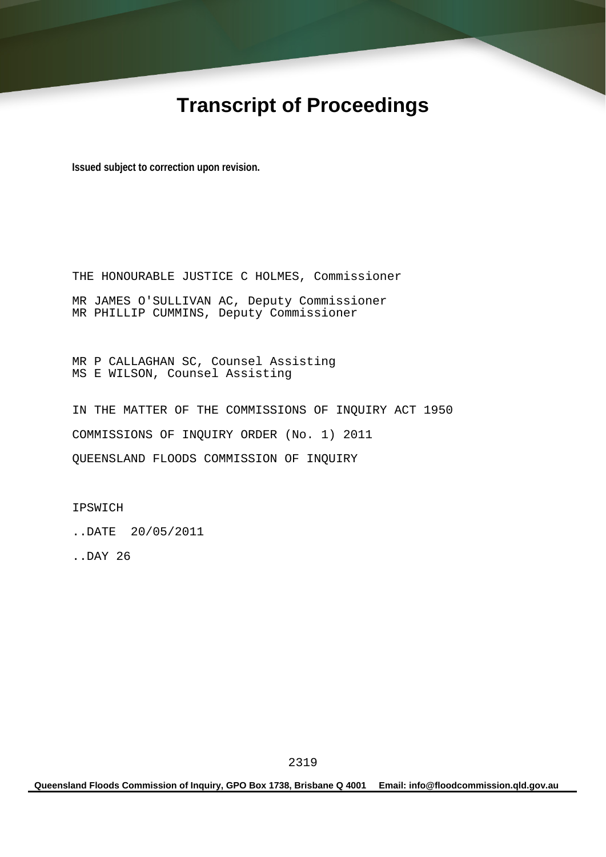# **Transcript of Proceedings**

**Issued subject to correction upon revision.** 

THE HONOURABLE JUSTICE C HOLMES, Commissioner MR JAMES O'SULLIVAN AC, Deputy Commissioner MR PHILLIP CUMMINS, Deputy Commissioner

MR P CALLAGHAN SC, Counsel Assisting MS E WILSON, Counsel Assisting

IN THE MATTER OF THE COMMISSIONS OF INQUIRY ACT 1950 COMMISSIONS OF INQUIRY ORDER (No. 1) 2011 QUEENSLAND FLOODS COMMISSION OF INQUIRY

IPSWICH

..DATE 20/05/2011

..DAY 26

**Queensland Floods Commission of Inquiry, GPO Box 1738, Brisbane Q 4001 Email: info@floodcommission.qld.gov.au**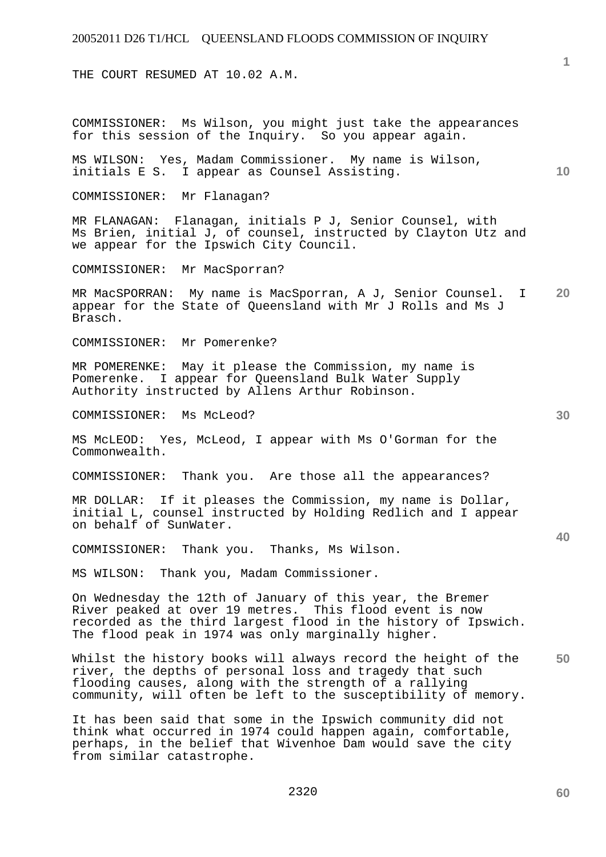THE COURT RESUMED AT 10.02 A.M.

COMMISSIONER: Ms Wilson, you might just take the appearances for this session of the Inquiry. So you appear again.

**10**  MS WILSON: Yes, Madam Commissioner. My name is Wilson, initials E S. I appear as Counsel Assisting.

COMMISSIONER: Mr Flanagan?

MR FLANAGAN: Flanagan, initials P J, Senior Counsel, with Ms Brien, initial J, of counsel, instructed by Clayton Utz and we appear for the Ipswich City Council.

COMMISSIONER: Mr MacSporran?

**20**  MR MacSPORRAN: My name is MacSporran, A J, Senior Counsel. I appear for the State of Queensland with Mr J Rolls and Ms J Brasch.

COMMISSIONER: Mr Pomerenke?

MR POMERENKE: May it please the Commission, my name is Pomerenke. I appear for Queensland Bulk Water Supply Authority instructed by Allens Arthur Robinson.

COMMISSIONER: Ms McLeod?

MS McLEOD: Yes, McLeod, I appear with Ms O'Gorman for the Commonwealth.

COMMISSIONER: Thank you. Are those all the appearances?

MR DOLLAR: If it pleases the Commission, my name is Dollar, initial L, counsel instructed by Holding Redlich and I appear on behalf of SunWater.

COMMISSIONER: Thank you. Thanks, Ms Wilson.

MS WILSON: Thank you, Madam Commissioner.

On Wednesday the 12th of January of this year, the Bremer River peaked at over 19 metres. This flood event is now recorded as the third largest flood in the history of Ipswich. The flood peak in 1974 was only marginally higher.

**50**  Whilst the history books will always record the height of the river, the depths of personal loss and tragedy that such flooding causes, along with the strength of a rallying community, will often be left to the susceptibility of memory.

It has been said that some in the Ipswich community did not think what occurred in 1974 could happen again, comfortable, perhaps, in the belief that Wivenhoe Dam would save the city from similar catastrophe.

**40** 

**30**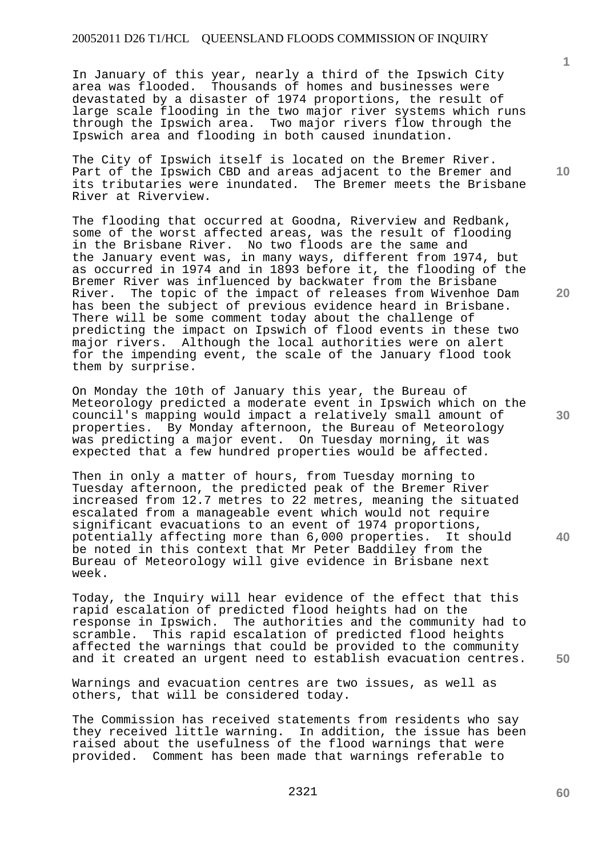In January of this year, nearly a third of the Ipswich City area was flooded. Thousands of homes and businesses were devastated by a disaster of 1974 proportions, the result of large scale flooding in the two major river systems which runs through the Ipswich area. Two major rivers flow through the Ipswich area and flooding in both caused inundation.

The City of Ipswich itself is located on the Bremer River. Part of the Ipswich CBD and areas adjacent to the Bremer and its tributaries were inundated. The Bremer meets the Brisbane River at Riverview.

The flooding that occurred at Goodna, Riverview and Redbank, some of the worst affected areas, was the result of flooding in the Brisbane River. No two floods are the same and the January event was, in many ways, different from 1974, but as occurred in 1974 and in 1893 before it, the flooding of the Bremer River was influenced by backwater from the Brisbane River. The topic of the impact of releases from Wivenhoe Dam has been the subject of previous evidence heard in Brisbane. There will be some comment today about the challenge of predicting the impact on Ipswich of flood events in these two major rivers. Although the local authorities were on alert for the impending event, the scale of the January flood took them by surprise.

On Monday the 10th of January this year, the Bureau of Meteorology predicted a moderate event in Ipswich which on the council's mapping would impact a relatively small amount of properties. By Monday afternoon, the Bureau of Meteorology was predicting a major event. On Tuesday morning, it was expected that a few hundred properties would be affected.

Then in only a matter of hours, from Tuesday morning to Tuesday afternoon, the predicted peak of the Bremer River increased from 12.7 metres to 22 metres, meaning the situated escalated from a manageable event which would not require significant evacuations to an event of 1974 proportions, potentially affecting more than 6,000 properties. It should be noted in this context that Mr Peter Baddiley from the Bureau of Meteorology will give evidence in Brisbane next week.

Today, the Inquiry will hear evidence of the effect that this rapid escalation of predicted flood heights had on the response in Ipswich. The authorities and the community had to scramble. This rapid escalation of predicted flood heights affected the warnings that could be provided to the community and it created an urgent need to establish evacuation centres.

Warnings and evacuation centres are two issues, as well as others, that will be considered today.

The Commission has received statements from residents who say they received little warning. In addition, the issue has been raised about the usefulness of the flood warnings that were provided. Comment has been made that warnings referable to

**10** 

**1**

**20** 

**30** 

**40** 

**60**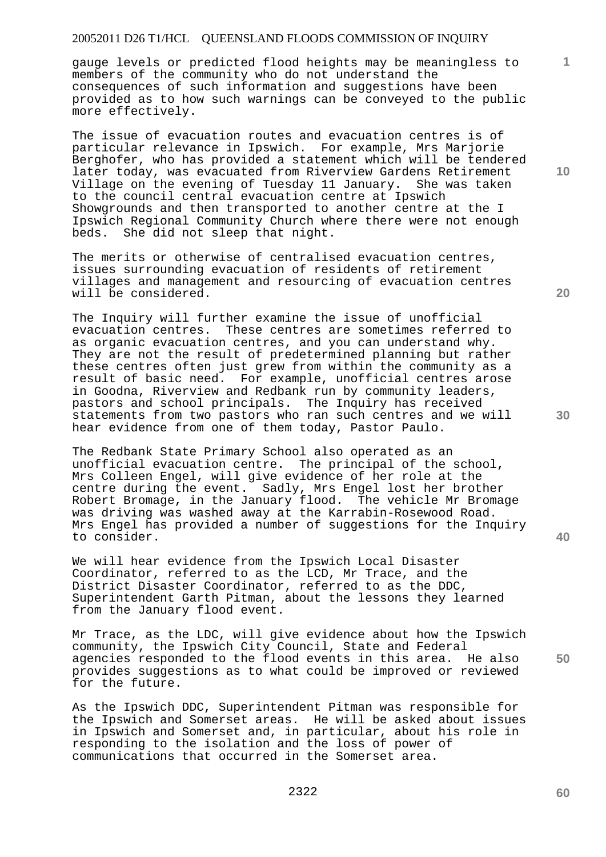gauge levels or predicted flood heights may be meaningless to members of the community who do not understand the consequences of such information and suggestions have been provided as to how such warnings can be conveyed to the public more effectively.

The issue of evacuation routes and evacuation centres is of particular relevance in Ipswich. For example, Mrs Marjorie Berghofer, who has provided a statement which will be tendered later today, was evacuated from Riverview Gardens Retirement Village on the evening of Tuesday 11 January. She was taken to the council central evacuation centre at Ipswich Showgrounds and then transported to another centre at the I Ipswich Regional Community Church where there were not enough beds. She did not sleep that night.

The merits or otherwise of centralised evacuation centres, issues surrounding evacuation of residents of retirement villages and management and resourcing of evacuation centres will be considered.

The Inquiry will further examine the issue of unofficial evacuation centres. These centres are sometimes referred to as organic evacuation centres, and you can understand why. They are not the result of predetermined planning but rather these centres often just grew from within the community as a result of basic need. For example, unofficial centres arose in Goodna, Riverview and Redbank run by community leaders, pastors and school principals. The Inquiry has received statements from two pastors who ran such centres and we will hear evidence from one of them today, Pastor Paulo.

The Redbank State Primary School also operated as an unofficial evacuation centre. The principal of the school, Mrs Colleen Engel, will give evidence of her role at the centre during the event. Sadly, Mrs Engel lost her brother Robert Bromage, in the January flood. The vehicle Mr Bromage was driving was washed away at the Karrabin-Rosewood Road. Mrs Engel has provided a number of suggestions for the Inquiry to consider.

We will hear evidence from the Ipswich Local Disaster Coordinator, referred to as the LCD, Mr Trace, and the District Disaster Coordinator, referred to as the DDC, Superintendent Garth Pitman, about the lessons they learned from the January flood event.

Mr Trace, as the LDC, will give evidence about how the Ipswich community, the Ipswich City Council, State and Federal agencies responded to the flood events in this area. He also provides suggestions as to what could be improved or reviewed for the future.

As the Ipswich DDC, Superintendent Pitman was responsible for the Ipswich and Somerset areas. He will be asked about issues in Ipswich and Somerset and, in particular, about his role in responding to the isolation and the loss of power of communications that occurred in the Somerset area.

**10** 

**1**

**20** 

**30** 

**40**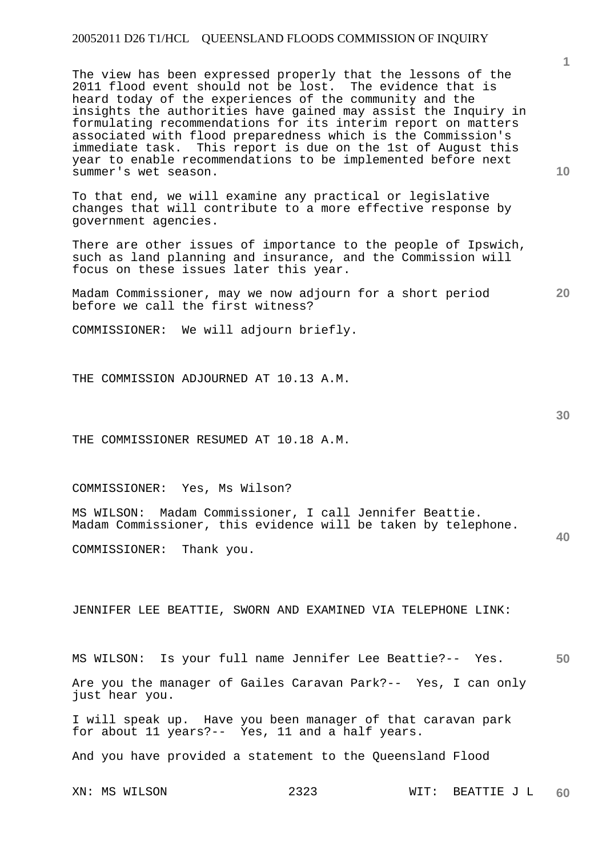The view has been expressed properly that the lessons of the 2011 flood event should not be lost. The evidence that is heard today of the experiences of the community and the insights the authorities have gained may assist the Inquiry in formulating recommendations for its interim report on matters associated with flood preparedness which is the Commission's immediate task. This report is due on the 1st of August this year to enable recommendations to be implemented before next summer's wet season.

To that end, we will examine any practical or legislative changes that will contribute to a more effective response by government agencies.

There are other issues of importance to the people of Ipswich, such as land planning and insurance, and the Commission will focus on these issues later this year.

Madam Commissioner, may we now adjourn for a short period before we call the first witness?

COMMISSIONER: We will adjourn briefly.

THE COMMISSION ADJOURNED AT 10.13 A.M.

THE COMMISSIONER RESUMED AT 10.18 A.M.

COMMISSIONER: Yes, Ms Wilson?

MS WILSON: Madam Commissioner, I call Jennifer Beattie. Madam Commissioner, this evidence will be taken by telephone.

COMMISSIONER: Thank you.

JENNIFER LEE BEATTIE, SWORN AND EXAMINED VIA TELEPHONE LINK:

**50**  MS WILSON: Is your full name Jennifer Lee Beattie?-- Yes. Are you the manager of Gailes Caravan Park?-- Yes, I can only just hear you.

I will speak up. Have you been manager of that caravan park for about 11 years?-- Yes, 11 and a half years.

And you have provided a statement to the Queensland Flood

**20** 

**10** 

**30**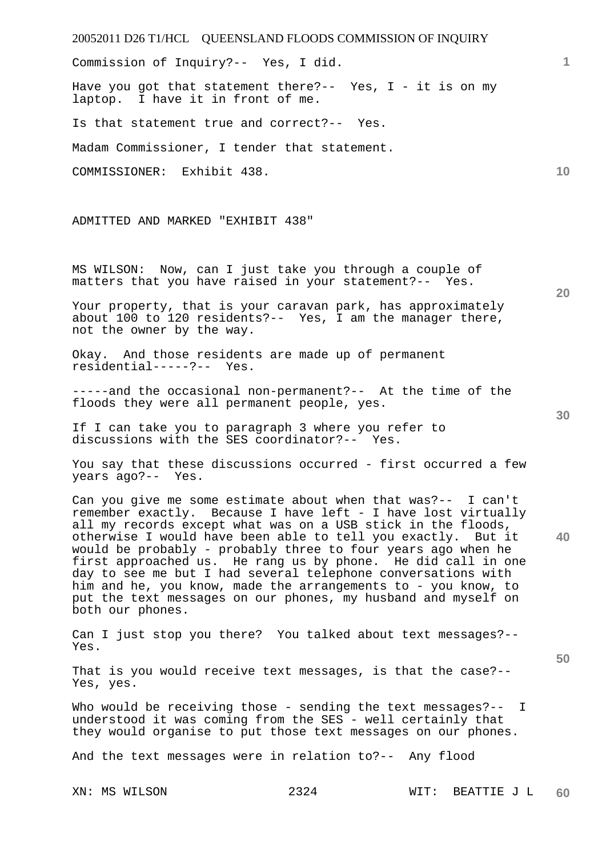20052011 D26 T1/HCL QUEENSLAND FLOODS COMMISSION OF INQUIRY XN: MS WILSON 2324 WIT: BEATTIE J L **1 10 20 30 40 50 60**  Commission of Inquiry?-- Yes, I did. Have you got that statement there?-- Yes,  $I - it$  it is on my laptop. I have it in front of me. Is that statement true and correct?-- Yes. Madam Commissioner, I tender that statement. COMMISSIONER: Exhibit 438. ADMITTED AND MARKED "EXHIBIT 438" MS WILSON: Now, can I just take you through a couple of matters that you have raised in your statement?-- Yes. Your property, that is your caravan park, has approximately about 100 to 120 residents?-- Yes, I am the manager there, not the owner by the way. Okay. And those residents are made up of permanent residential-----?-- Yes. -----and the occasional non-permanent?-- At the time of the floods they were all permanent people, yes. If I can take you to paragraph 3 where you refer to discussions with the SES coordinator?-- Yes. You say that these discussions occurred - first occurred a few years ago?-- Yes. Can you give me some estimate about when that was?-- I can't remember exactly. Because I have left - I have lost virtually all my records except what was on a USB stick in the floods, otherwise I would have been able to tell you exactly. But it would be probably - probably three to four years ago when he first approached us. He rang us by phone. He did call in one day to see me but I had several telephone conversations with him and he, you know, made the arrangements to - you know, to put the text messages on our phones, my husband and myself on both our phones. Can I just stop you there? You talked about text messages?-- Yes. That is you would receive text messages, is that the case?-- Yes, yes. Who would be receiving those - sending the text messages?-- I understood it was coming from the SES - well certainly that they would organise to put those text messages on our phones. And the text messages were in relation to?-- Any flood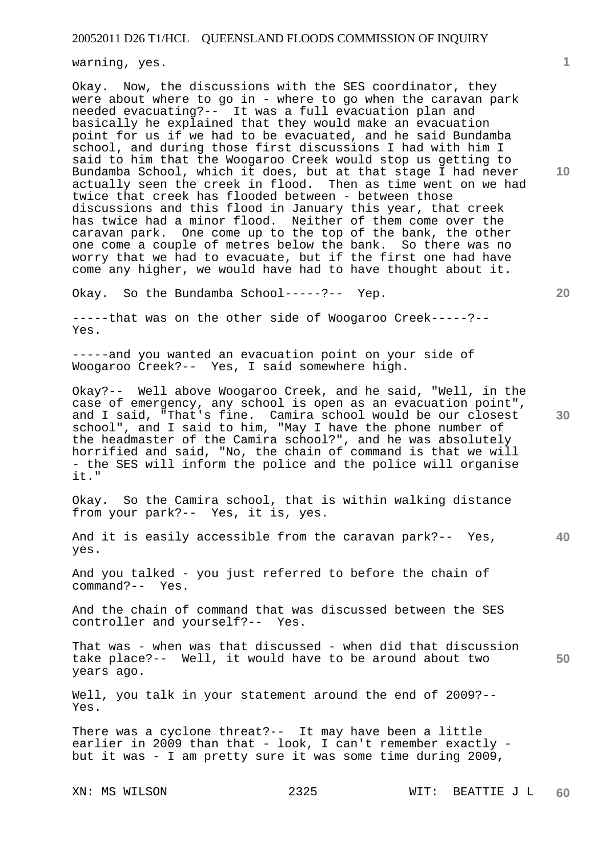warning, yes.

Okay. Now, the discussions with the SES coordinator, they were about where to go in - where to go when the caravan park needed evacuating?-- It was a full evacuation plan and basically he explained that they would make an evacuation point for us if we had to be evacuated, and he said Bundamba school, and during those first discussions I had with him I said to him that the Woogaroo Creek would stop us getting to Bundamba School, which it does, but at that stage I had never actually seen the creek in flood. Then as time went on we had twice that creek has flooded between - between those discussions and this flood in January this year, that creek has twice had a minor flood. Neither of them come over the caravan park. One come up to the top of the bank, the other one come a couple of metres below the bank. So there was no worry that we had to evacuate, but if the first one had have come any higher, we would have had to have thought about it.

Okay. So the Bundamba School-----?-- Yep.

-----that was on the other side of Woogaroo Creek-----?-- Yes.

-----and you wanted an evacuation point on your side of Woogaroo Creek?-- Yes, I said somewhere high.

Okay?-- Well above Woogaroo Creek, and he said, "Well, in the case of emergency, any school is open as an evacuation point", and I said, "That's fine. Camira school would be our closest school", and I said to him, "May I have the phone number of the headmaster of the Camira school?", and he was absolutely horrified and said, "No, the chain of command is that we will - the SES will inform the police and the police will organise it."

Okay. So the Camira school, that is within walking distance from your park?-- Yes, it is, yes.

**40**  And it is easily accessible from the caravan park?-- Yes, yes.

And you talked - you just referred to before the chain of command?-- Yes.

And the chain of command that was discussed between the SES controller and yourself?-- Yes.

That was - when was that discussed - when did that discussion take place?-- Well, it would have to be around about two years ago.

Well, you talk in your statement around the end of 2009?-- Yes.

There was a cyclone threat?-- It may have been a little earlier in 2009 than that - look, I can't remember exactly but it was - I am pretty sure it was some time during 2009,

**10** 

**1**

**20** 

**30**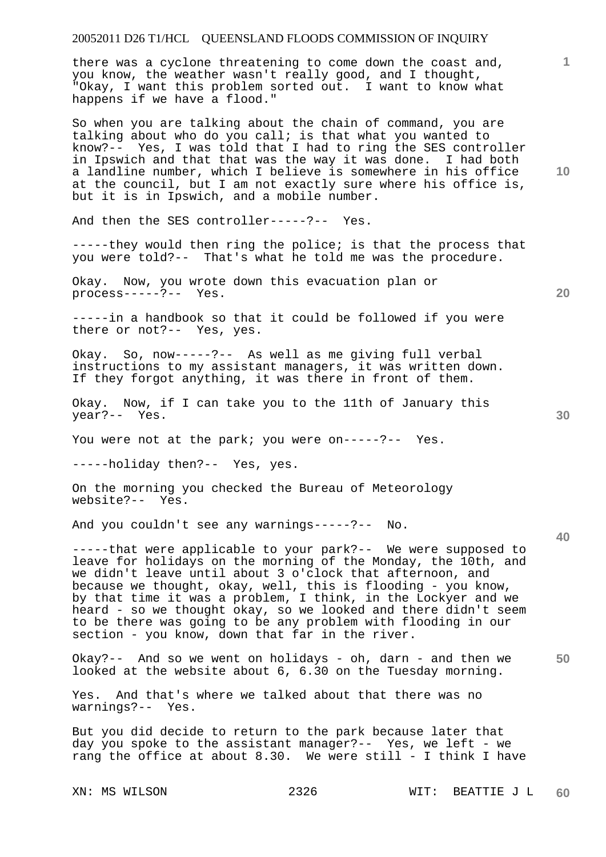there was a cyclone threatening to come down the coast and, you know, the weather wasn't really good, and I thought, "Okay, I want this problem sorted out. I want to know what happens if we have a flood."

So when you are talking about the chain of command, you are talking about who do you call; is that what you wanted to know?-- Yes, I was told that I had to ring the SES controller in Ipswich and that that was the way it was done. I had both a landline number, which I believe is somewhere in his office at the council, but I am not exactly sure where his office is, but it is in Ipswich, and a mobile number.

And then the SES controller-----?-- Yes.

-----they would then ring the police; is that the process that you were told?-- That's what he told me was the procedure.

Okay. Now, you wrote down this evacuation plan or process-----?-- Yes.

-----in a handbook so that it could be followed if you were there or not?-- Yes, yes.

Okay. So, now-----?-- As well as me giving full verbal instructions to my assistant managers, it was written down. If they forgot anything, it was there in front of them.

Okay. Now, if I can take you to the 11th of January this year?-- Yes.

You were not at the park; you were on-----?-- Yes.

-----holiday then?-- Yes, yes.

On the morning you checked the Bureau of Meteorology website?-- Yes.

And you couldn't see any warnings-----?-- No.

-----that were applicable to your park?-- We were supposed to leave for holidays on the morning of the Monday, the 10th, and we didn't leave until about 3 o'clock that afternoon, and because we thought, okay, well, this is flooding - you know, by that time it was a problem, I think, in the Lockyer and we heard - so we thought okay, so we looked and there didn't seem to be there was going to be any problem with flooding in our section - you know, down that far in the river.

**50**  Okay?-- And so we went on holidays - oh, darn - and then we looked at the website about 6, 6.30 on the Tuesday morning.

Yes. And that's where we talked about that there was no warnings?-- Yes.

But you did decide to return to the park because later that day you spoke to the assistant manager?-- Yes, we left - we rang the office at about 8.30. We were still - I think I have

**10** 

**1**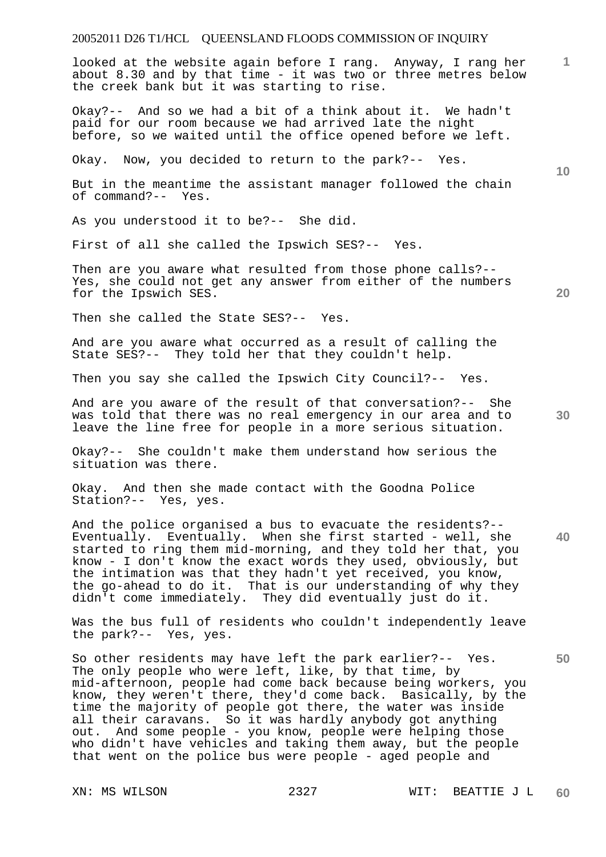looked at the website again before I rang. Anyway, I rang her about 8.30 and by that time - it was two or three metres below the creek bank but it was starting to rise.

Okay?-- And so we had a bit of a think about it. We hadn't paid for our room because we had arrived late the night before, so we waited until the office opened before we left.

Okay. Now, you decided to return to the park?-- Yes.

But in the meantime the assistant manager followed the chain of command?-- Yes.

As you understood it to be?-- She did.

First of all she called the Ipswich SES?-- Yes.

Then are you aware what resulted from those phone calls?-- Yes, she could not get any answer from either of the numbers for the Ipswich SES.

Then she called the State SES?-- Yes.

And are you aware what occurred as a result of calling the State SES?-- They told her that they couldn't help.

Then you say she called the Ipswich City Council?-- Yes.

And are you aware of the result of that conversation?-- She was told that there was no real emergency in our area and to leave the line free for people in a more serious situation.

Okay?-- She couldn't make them understand how serious the situation was there.

Okay. And then she made contact with the Goodna Police Station?-- Yes, yes.

And the police organised a bus to evacuate the residents?-- Eventually. Eventually. When she first started - well, she started to ring them mid-morning, and they told her that, you know - I don't know the exact words they used, obviously, but the intimation was that they hadn't yet received, you know, the go-ahead to do it. That is our understanding of why they didn't come immediately. They did eventually just do it.

Was the bus full of residents who couldn't independently leave the park?-- Yes, yes.

So other residents may have left the park earlier?-- Yes. The only people who were left, like, by that time, by mid-afternoon, people had come back because being workers, you know, they weren't there, they'd come back. Basically, by the time the majority of people got there, the water was inside all their caravans. So it was hardly anybody got anything out. And some people - you know, people were helping those who didn't have vehicles and taking them away, but the people that went on the police bus were people - aged people and

**30** 

**40** 

**50** 

**20** 

**10**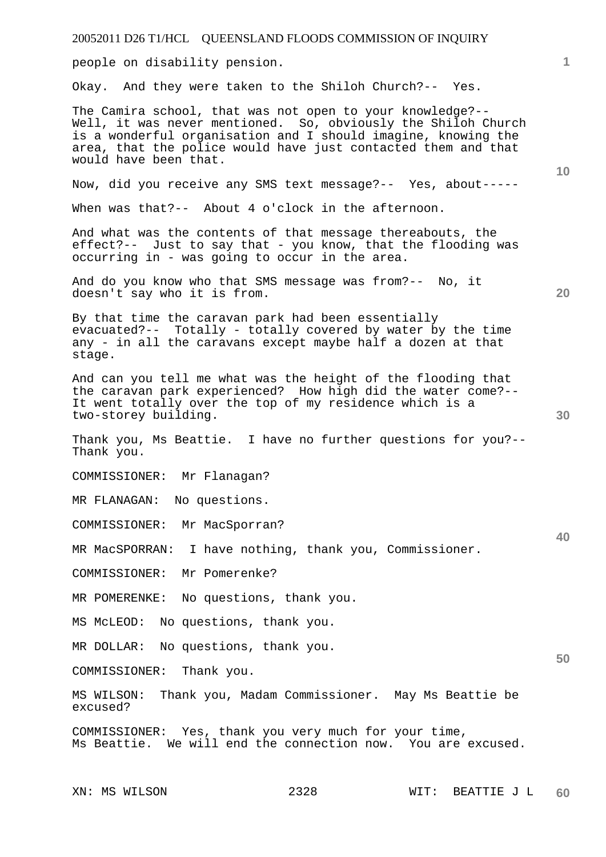people on disability pension.

Okay. And they were taken to the Shiloh Church?-- Yes.

The Camira school, that was not open to your knowledge?-- Well, it was never mentioned. So, obviously the Shiloh Church is a wonderful organisation and I should imagine, knowing the area, that the police would have just contacted them and that would have been that.

Now, did you receive any SMS text message?-- Yes, about-----

When was that?-- About 4 o'clock in the afternoon.

And what was the contents of that message thereabouts, the effect?-- Just to say that - you know, that the flooding was occurring in - was going to occur in the area.

And do you know who that SMS message was from?-- No, it doesn't say who it is from.

By that time the caravan park had been essentially evacuated?-- Totally - totally covered by water by the time any - in all the caravans except maybe half a dozen at that stage.

And can you tell me what was the height of the flooding that the caravan park experienced? How high did the water come?-- It went totally over the top of my residence which is a two-storey building.

Thank you, Ms Beattie. I have no further questions for you?-- Thank you.

COMMISSIONER: Mr Flanagan?

MR FLANAGAN: No questions.

COMMISSIONER: Mr MacSporran?

MR MacSPORRAN: I have nothing, thank you, Commissioner.

COMMISSIONER: Mr Pomerenke?

MR POMERENKE: No questions, thank you.

MS McLEOD: No questions, thank you.

MR DOLLAR: No questions, thank you.

COMMISSIONER: Thank you.

MS WILSON: Thank you, Madam Commissioner. May Ms Beattie be excused?

COMMISSIONER: Yes, thank you very much for your time, Ms Beattie. We will end the connection now. You are excused.

**1**

**20** 

**10** 

**30** 

**40**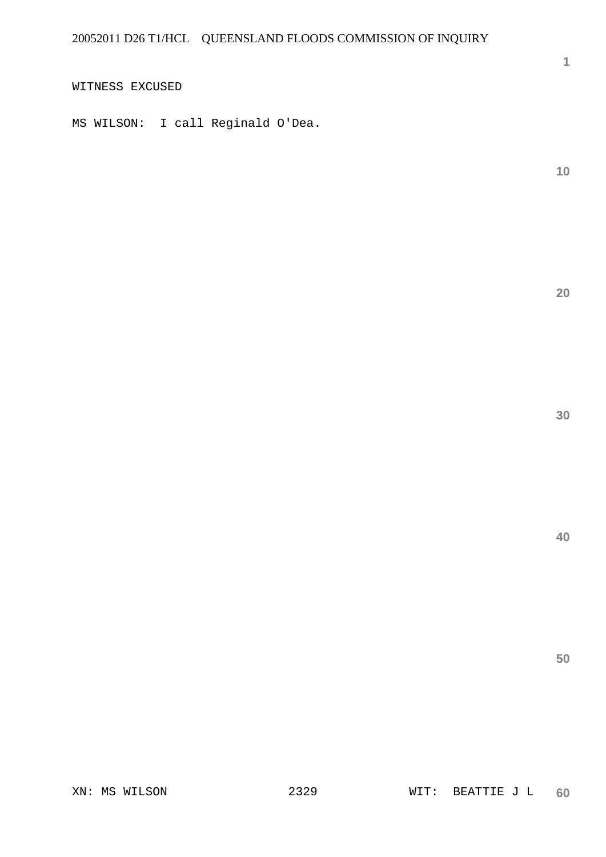WITNESS EXCUSED

MS WILSON: I call Reginald O'Dea.

**10** 

**1**

**20** 

**30**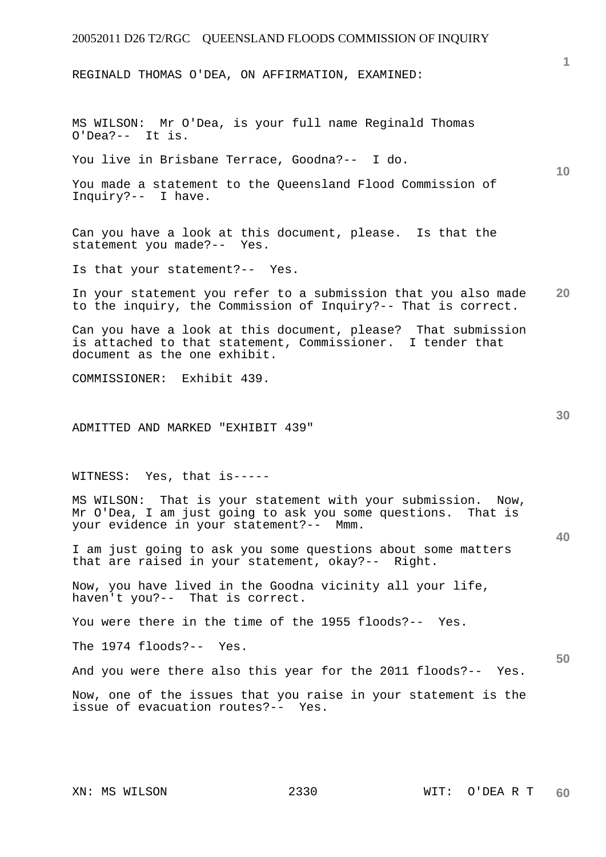REGINALD THOMAS O'DEA, ON AFFIRMATION, EXAMINED:

MS WILSON: Mr O'Dea, is your full name Reginald Thomas O'Dea?-- It is.

You live in Brisbane Terrace, Goodna?-- I do.

You made a statement to the Queensland Flood Commission of Inquiry?-- I have.

Can you have a look at this document, please. Is that the statement you made?-- Yes.

Is that your statement?-- Yes.

**20**  In your statement you refer to a submission that you also made to the inquiry, the Commission of Inquiry?-- That is correct.

Can you have a look at this document, please? That submission is attached to that statement, Commissioner. I tender that document as the one exhibit.

COMMISSIONER: Exhibit 439.

ADMITTED AND MARKED "EXHIBIT 439"

WITNESS: Yes, that is-----

MS WILSON: That is your statement with your submission. Now, Mr O'Dea, I am just going to ask you some questions. That is your evidence in your statement?-- Mmm.

I am just going to ask you some questions about some matters that are raised in your statement, okay?-- Right.

Now, you have lived in the Goodna vicinity all your life, haven't you?-- That is correct.

You were there in the time of the 1955 floods?-- Yes.

The 1974 floods?-- Yes.

And you were there also this year for the 2011 floods?-- Yes.

Now, one of the issues that you raise in your statement is the issue of evacuation routes?-- Yes.

**1**

**10** 

**30** 

**40**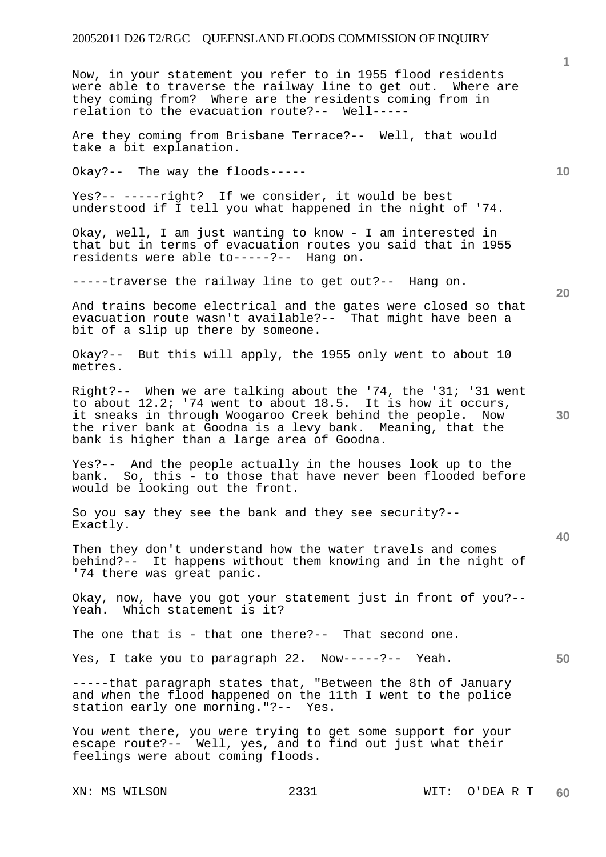Now, in your statement you refer to in 1955 flood residents were able to traverse the railway line to get out. Where are they coming from? Where are the residents coming from in relation to the evacuation route?-- Well-----

Are they coming from Brisbane Terrace?-- Well, that would take a bit explanation.

Okay?-- The way the floods-----

Yes?-- -----right? If we consider, it would be best understood if I tell you what happened in the night of '74.

Okay, well, I am just wanting to know - I am interested in that but in terms of evacuation routes you said that in 1955 residents were able to-----?-- Hang on.

-----traverse the railway line to get out?-- Hang on.

And trains become electrical and the gates were closed so that evacuation route wasn't available?-- That might have been a bit of a slip up there by someone.

Okay?-- But this will apply, the 1955 only went to about 10 metres.

Right?-- When we are talking about the '74, the '31; '31 went to about 12.2; '74 went to about 18.5. It is how it occurs, it sneaks in through Woogaroo Creek behind the people. Now the river bank at Goodna is a levy bank. Meaning, that the bank is higher than a large area of Goodna.

Yes?-- And the people actually in the houses look up to the bank. So, this - to those that have never been flooded before would be looking out the front.

So you say they see the bank and they see security?-- Exactly.

Then they don't understand how the water travels and comes behind?-- It happens without them knowing and in the night of '74 there was great panic.

Okay, now, have you got your statement just in front of you?--<br>Yeah. Which statement is it? Which statement is it?

The one that is - that one there?-- That second one.

Yes, I take you to paragraph 22. Now-----?-- Yeah.

-----that paragraph states that, "Between the 8th of January and when the flood happened on the 11th I went to the police station early one morning."?-- Yes. station early one morning."?--

You went there, you were trying to get some support for your escape route?-- Well, yes, and to find out just what their feelings were about coming floods.

**20** 

**1**

**40** 

**50**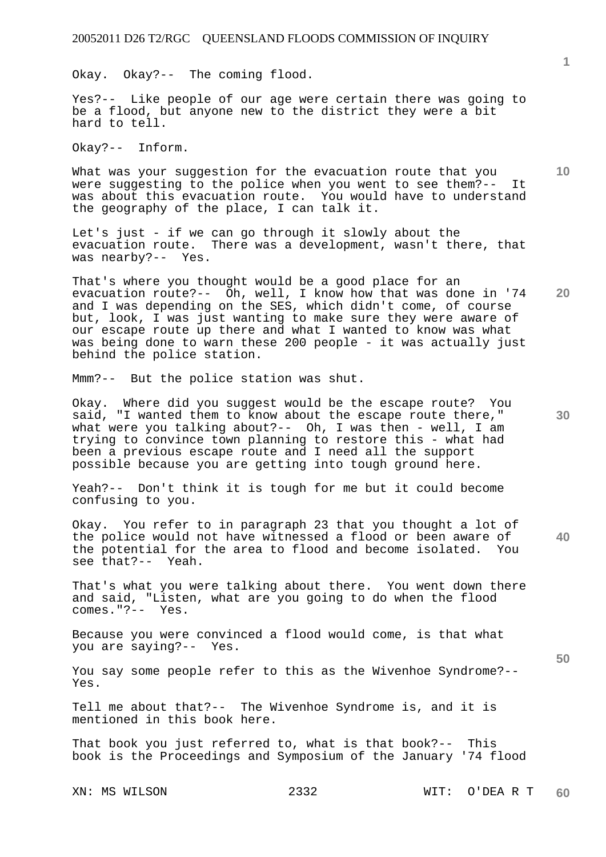Okay. Okay?-- The coming flood.

Yes?-- Like people of our age were certain there was going to be a flood, but anyone new to the district they were a bit hard to tell.

Okay?-- Inform.

What was your suggestion for the evacuation route that you were suggesting to the police when you went to see them?-- It was about this evacuation route. You would have to understand the geography of the place, I can talk it.

Let's just - if we can go through it slowly about the evacuation route. There was a development, wasn't there, that was nearby?-- Yes.

**20**  That's where you thought would be a good place for an evacuation route?-- Oh, well, I know how that was done in '74 and I was depending on the SES, which didn't come, of course but, look, I was just wanting to make sure they were aware of our escape route up there and what I wanted to know was what was being done to warn these 200 people - it was actually just behind the police station.

Mmm?-- But the police station was shut.

Okay. Where did you suggest would be the escape route? You said, "I wanted them to know about the escape route there," what were you talking about?-- Oh, I was then - well, I am trying to convince town planning to restore this - what had been a previous escape route and I need all the support possible because you are getting into tough ground here.

Yeah?-- Don't think it is tough for me but it could become confusing to you.

**40**  Okay. You refer to in paragraph 23 that you thought a lot of the police would not have witnessed a flood or been aware of the potential for the area to flood and become isolated. You see that?-- Yeah.

That's what you were talking about there. You went down there and said, "Listen, what are you going to do when the flood comes." $? -- Yes.$ 

Because you were convinced a flood would come, is that what you are saying?-- Yes.

You say some people refer to this as the Wivenhoe Syndrome?-- Yes.

Tell me about that?-- The Wivenhoe Syndrome is, and it is mentioned in this book here.

That book you just referred to, what is that book?-- This book is the Proceedings and Symposium of the January '74 flood

**1**

**10** 

**30**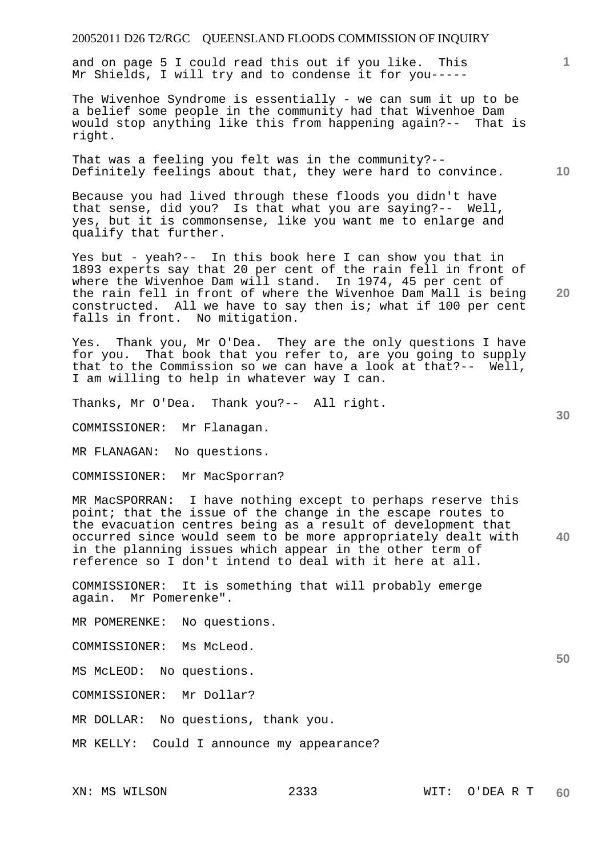and on page 5 I could read this out if you like. This Mr Shields, I will try and to condense it for you-----

The Wivenhoe Syndrome is essentially - we can sum it up to be a belief some people in the community had that Wivenhoe Dam would stop anything like this from happening again?-- That is right.

That was a feeling you felt was in the community?-- Definitely feelings about that, they were hard to convince.

Because you had lived through these floods you didn't have that sense, did you? Is that what you are saying?-- Well, yes, but it is commonsense, like you want me to enlarge and qualify that further.

Yes but - yeah?-- In this book here I can show you that in 1893 experts say that 20 per cent of the rain fell in front of where the Wivenhoe Dam will stand. In 1974, 45 per cent of the rain fell in front of where the Wivenhoe Dam Mall is being constructed. All we have to say then is; what if 100 per cent falls in front. No mitigation.

Yes. Thank you, Mr O'Dea. They are the only questions I have for you. That book that you refer to, are you going to supply that to the Commission so we can have a look at that?-- Well, I am willing to help in whatever way I can.

Thanks, Mr O'Dea. Thank you?-- All right.

COMMISSIONER: Mr Flanagan.

MR FLANAGAN: No questions.

COMMISSIONER: Mr MacSporran?

**40**  MR MacSPORRAN: I have nothing except to perhaps reserve this point; that the issue of the change in the escape routes to the evacuation centres being as a result of development that occurred since would seem to be more appropriately dealt with in the planning issues which appear in the other term of reference so I don't intend to deal with it here at all.

COMMISSIONER: It is something that will probably emerge again. Mr Pomerenke".

MR POMERENKE: No questions.

COMMISSIONER: Ms McLeod.

MS McLEOD: No questions.

COMMISSIONER: Mr Dollar?

MR DOLLAR: No questions, thank you.

MR KELLY: Could I announce my appearance?

**30** 

**20** 

**1**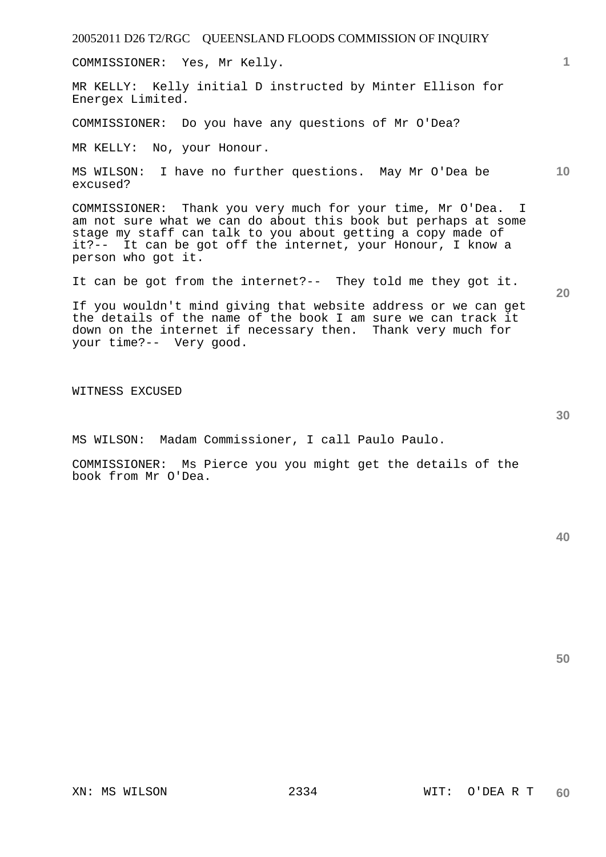COMMISSIONER: Yes, Mr Kelly.

MR KELLY: Kelly initial D instructed by Minter Ellison for Energex Limited.

COMMISSIONER: Do you have any questions of Mr O'Dea?

MR KELLY: No, your Honour.

MS WILSON: I have no further questions. May Mr O'Dea be excused?

COMMISSIONER: Thank you very much for your time, Mr O'Dea. I am not sure what we can do about this book but perhaps at some stage my staff can talk to you about getting a copy made of it?-- It can be got off the internet, your Honour, I know a person who got it.

It can be got from the internet?-- They told me they got it.

If you wouldn't mind giving that website address or we can get the details of the name of the book I am sure we can track it down on the internet if necessary then. Thank very much for your time?-- Very good.

WITNESS EXCUSED

MS WILSON: Madam Commissioner, I call Paulo Paulo.

COMMISSIONER: Ms Pierce you you might get the details of the book from Mr O'Dea.

**50** 

**10** 

**20** 

**1**

**30**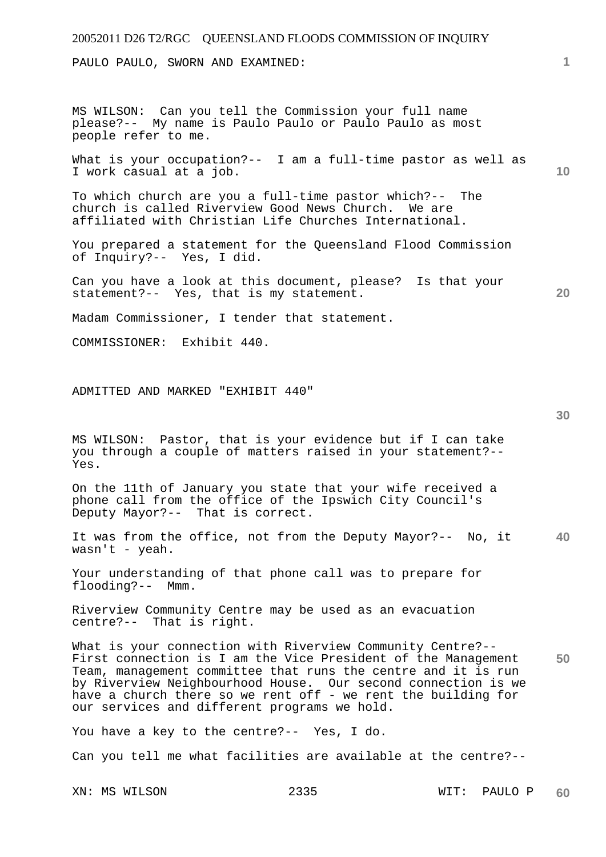PAULO PAULO, SWORN AND EXAMINED:

MS WILSON: Can you tell the Commission your full name please?-- My name is Paulo Paulo or Paulo Paulo as most people refer to me.

**10**  What is your occupation?-- I am a full-time pastor as well as I work casual at a job.

To which church are you a full-time pastor which?-- The church is called Riverview Good News Church. We are affiliated with Christian Life Churches International.

You prepared a statement for the Queensland Flood Commission of Inquiry?-- Yes, I did.

Can you have a look at this document, please? Is that your statement?-- Yes, that is my statement.

Madam Commissioner, I tender that statement.

COMMISSIONER: Exhibit 440.

ADMITTED AND MARKED "EXHIBIT 440"

MS WILSON: Pastor, that is your evidence but if I can take you through a couple of matters raised in your statement?-- Yes.

On the 11th of January you state that your wife received a phone call from the office of the Ipswich City Council's Deputy Mayor?-- That is correct.

**40**  It was from the office, not from the Deputy Mayor?-- No, it wasn't - yeah.

Your understanding of that phone call was to prepare for flooding?-- Mmm.

Riverview Community Centre may be used as an evacuation centre?-- That is right.

**50**  What is your connection with Riverview Community Centre?-- First connection is I am the Vice President of the Management Team, management committee that runs the centre and it is run by Riverview Neighbourhood House. Our second connection is we have a church there so we rent off - we rent the building for our services and different programs we hold.

You have a key to the centre?-- Yes, I do.

Can you tell me what facilities are available at the centre?--

**1**

**20**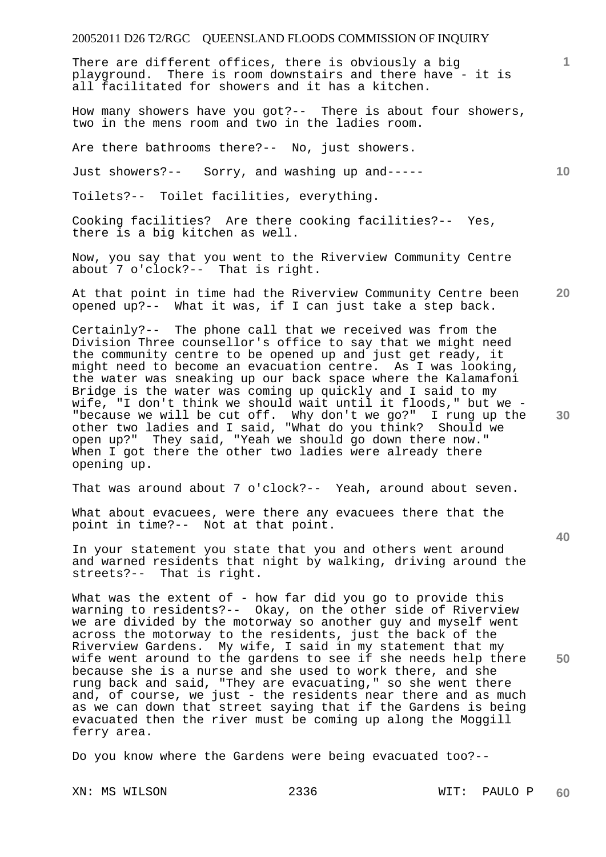There are different offices, there is obviously a big playground. There is room downstairs and there have - it is all facilitated for showers and it has a kitchen.

How many showers have you got?-- There is about four showers, two in the mens room and two in the ladies room.

Are there bathrooms there?-- No, just showers.

Just showers?-- Sorry, and washing up and-----

Toilets?-- Toilet facilities, everything.

Cooking facilities? Are there cooking facilities?-- Yes, there is a big kitchen as well.

Now, you say that you went to the Riverview Community Centre about 7 o'clock?-- That is right.

**20**  At that point in time had the Riverview Community Centre been opened up?-- What it was, if I can just take a step back.

Certainly?-- The phone call that we received was from the Division Three counsellor's office to say that we might need the community centre to be opened up and just get ready, it might need to become an evacuation centre. As I was looking, the water was sneaking up our back space where the Kalamafoni Bridge is the water was coming up quickly and I said to my wife, "I don't think we should wait until it floods," but we - "because we will be cut off. Why don't we go?" I rung up the other two ladies and I said, "What do you think? Should we open up?" They said, "Yeah we should go down there now." When I got there the other two ladies were already there opening up.

That was around about 7 o'clock?-- Yeah, around about seven.

What about evacuees, were there any evacuees there that the point in time?-- Not at that point.

In your statement you state that you and others went around and warned residents that night by walking, driving around the streets?-- That is right.

What was the extent of - how far did you go to provide this warning to residents?-- Okay, on the other side of Riverview warning to respect to the monor of the motor of the motor and myself went across the motorway to the residents, just the back of the Riverview Gardens. My wife, I said in my statement that my wife went around to the gardens to see if she needs help there because she is a nurse and she used to work there, and she rung back and said, "They are evacuating," so she went there and, of course, we just - the residents near there and as much as we can down that street saying that if the Gardens is being evacuated then the river must be coming up along the Moggill ferry area.

Do you know where the Gardens were being evacuated too?--

**30** 

**40** 

**50** 

**1**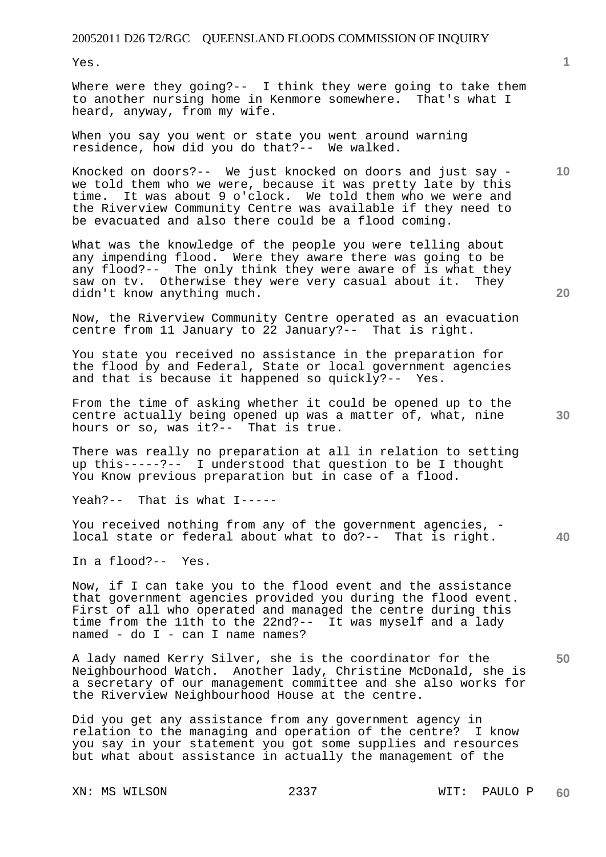Yes.

Where were they going?-- I think they were going to take them to another nursing home in Kenmore somewhere. That's what I heard, anyway, from my wife.

When you say you went or state you went around warning residence, how did you do that?-- We walked.

Knocked on doors?-- We just knocked on doors and just say we told them who we were, because it was pretty late by this time. It was about 9 o'clock. We told them who we were and the Riverview Community Centre was available if they need to be evacuated and also there could be a flood coming.

What was the knowledge of the people you were telling about any impending flood. Were they aware there was going to be any flood?-- The only think they were aware of is what they saw on tv. Otherwise they were very casual about it. They didn't know anything much.

Now, the Riverview Community Centre operated as an evacuation centre from 11 January to 22 January?-- That is right.

You state you received no assistance in the preparation for the flood by and Federal, State or local government agencies and that is because it happened so quickly?-- Yes.

From the time of asking whether it could be opened up to the centre actually being opened up was a matter of, what, nine hours or so, was it?-- That is true.

There was really no preparation at all in relation to setting up this-----?-- I understood that question to be I thought You Know previous preparation but in case of a flood.

Yeah?-- That is what I-----

You received nothing from any of the government agencies, local state or federal about what to do?-- That is right.

In a flood?-- Yes.

Now, if I can take you to the flood event and the assistance that government agencies provided you during the flood event. First of all who operated and managed the centre during this time from the 11th to the 22nd?-- It was myself and a lady named - do I - can I name names?

A lady named Kerry Silver, she is the coordinator for the Neighbourhood Watch. Another lady, Christine McDonald, she is a secretary of our management committee and she also works for the Riverview Neighbourhood House at the centre.

Did you get any assistance from any government agency in relation to the managing and operation of the centre? I know you say in your statement you got some supplies and resources but what about assistance in actually the management of the

XN: MS WILSON 2337 WIT: PAULO P

**40** 

**50** 

**10**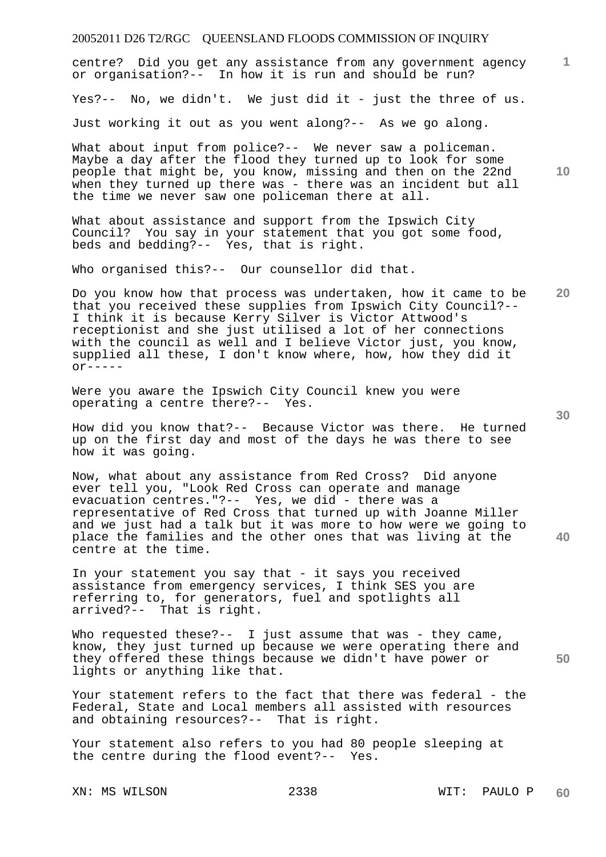centre? Did you get any assistance from any government agency or organisation?-- In how it is run and should be run?

Yes?-- No, we didn't. We just did it - just the three of us.

Just working it out as you went along?-- As we go along.

What about input from police?-- We never saw a policeman. Maybe a day after the flood they turned up to look for some people that might be, you know, missing and then on the 22nd when they turned up there was - there was an incident but all the time we never saw one policeman there at all.

What about assistance and support from the Ipswich City Council? You say in your statement that you got some food, beds and bedding?-- Yes, that is right.

Who organised this?-- Our counsellor did that.

**20**  Do you know how that process was undertaken, how it came to be that you received these supplies from Ipswich City Council?-- I think it is because Kerry Silver is Victor Attwood's receptionist and she just utilised a lot of her connections with the council as well and I believe Victor just, you know, supplied all these, I don't know where, how, how they did it  $OY$ -----

Were you aware the Ipswich City Council knew you were operating a centre there?-- Yes.

How did you know that?-- Because Victor was there. He turned up on the first day and most of the days he was there to see how it was going.

Now, what about any assistance from Red Cross? Did anyone ever tell you, "Look Red Cross can operate and manage evacuation centres."?-- Yes, we did - there was a representative of Red Cross that turned up with Joanne Miller and we just had a talk but it was more to how were we going to place the families and the other ones that was living at the centre at the time.

In your statement you say that - it says you received assistance from emergency services, I think SES you are referring to, for generators, fuel and spotlights all arrived?-- That is right.

Who requested these?-- I just assume that was - they came, know, they just turned up because we were operating there and they offered these things because we didn't have power or lights or anything like that.

Your statement refers to the fact that there was federal - the Federal, State and Local members all assisted with resources and obtaining resources?-- That is right.

Your statement also refers to you had 80 people sleeping at the centre during the flood event?-- Yes.

**30** 

**40** 

**50** 

**10**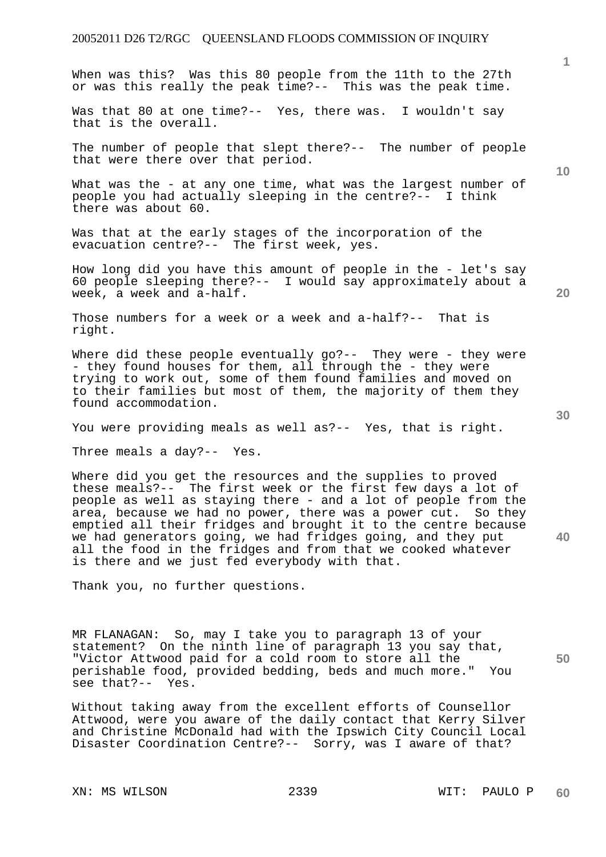When was this? Was this 80 people from the 11th to the 27th

or was this really the peak time?-- This was the peak time. Was that 80 at one time?-- Yes, there was. I wouldn't say that is the overall. The number of people that slept there?-- The number of people that were there over that period. What was the - at any one time, what was the largest number of people you had actually sleeping in the centre?-- I think there was about 60. Was that at the early stages of the incorporation of the evacuation centre?-- The first week, yes. How long did you have this amount of people in the - let's say 60 people sleeping there?-- I would say approximately about a week, a week and a-half. Those numbers for a week or a week and a-half?-- That is right. Where did these people eventually go?-- They were - they were - they found houses for them, all through the - they were trying to work out, some of them found families and moved on to their families but most of them, the majority of them they found accommodation.

You were providing meals as well as?-- Yes, that is right.

Three meals a day?-- Yes.

Where did you get the resources and the supplies to proved these meals?-- The first week or the first few days a lot of people as well as staying there - and a lot of people from the area, because we had no power, there was a power cut. So they emptied all their fridges and brought it to the centre because we had generators going, we had fridges going, and they put all the food in the fridges and from that we cooked whatever is there and we just fed everybody with that.

Thank you, no further questions.

MR FLANAGAN: So, may I take you to paragraph 13 of your statement? On the ninth line of paragraph 13 you say that, "Victor Attwood paid for a cold room to store all the perishable food, provided bedding, beds and much more." You see that?-- Yes.

Without taking away from the excellent efforts of Counsellor Attwood, were you aware of the daily contact that Kerry Silver and Christine McDonald had with the Ipswich City Council Local Disaster Coordination Centre?-- Sorry, was I aware of that?

XN: MS WILSON 2339 WIT: PAULO P

**1**

**10** 

**20** 

**40**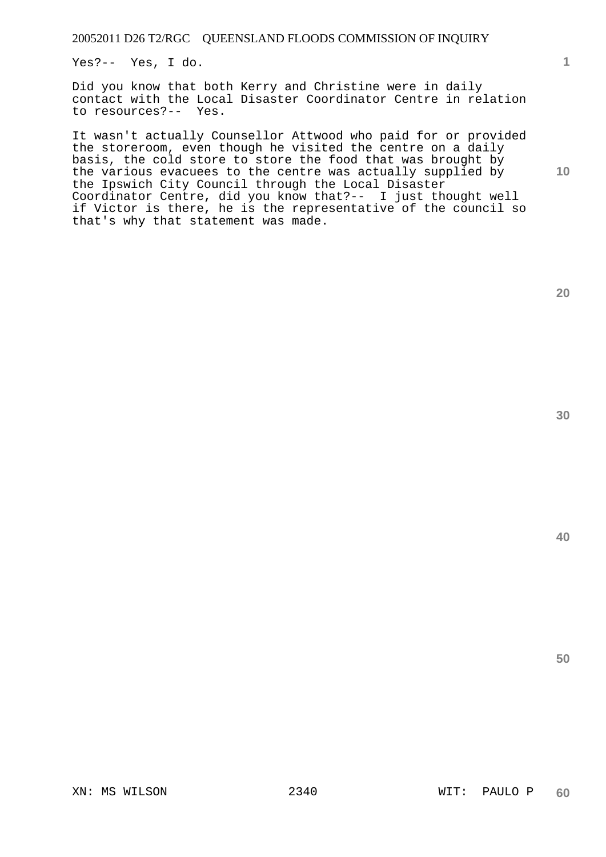Yes?-- Yes, I do.

Did you know that both Kerry and Christine were in daily contact with the Local Disaster Coordinator Centre in relation to resources?-- Yes.

It wasn't actually Counsellor Attwood who paid for or provided the storeroom, even though he visited the centre on a daily basis, the cold store to store the food that was brought by the various evacuees to the centre was actually supplied by the Ipswich City Council through the Local Disaster Coordinator Centre, did you know that?-- I just thought well if Victor is there, he is the representative of the council so that's why that statement was made.

**1**

**10** 

**40**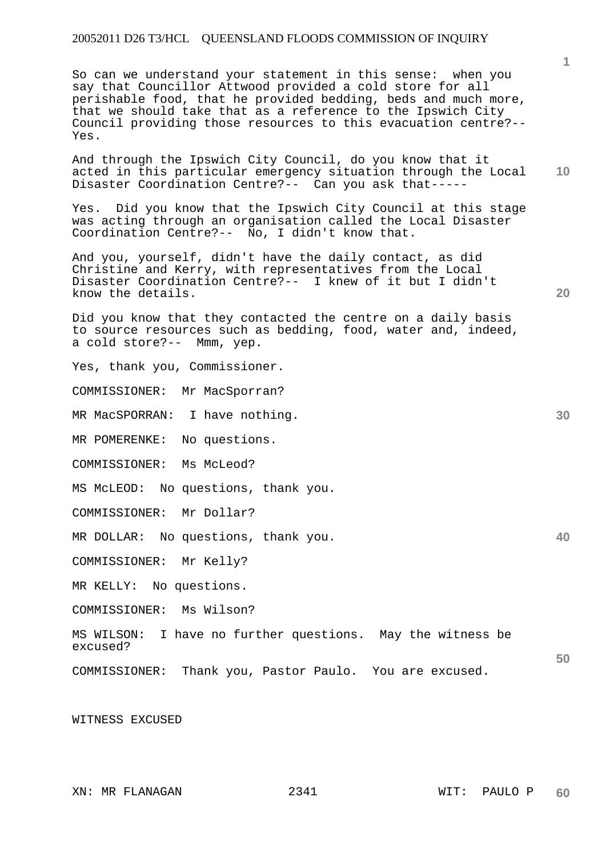So can we understand your statement in this sense: when you say that Councillor Attwood provided a cold store for all perishable food, that he provided bedding, beds and much more, that we should take that as a reference to the Ipswich City Council providing those resources to this evacuation centre?-- Yes.

**10**  And through the Ipswich City Council, do you know that it acted in this particular emergency situation through the Local Disaster Coordination Centre?-- Can you ask that-----

Yes. Did you know that the Ipswich City Council at this stage was acting through an organisation called the Local Disaster Coordination Centre?-- No, I didn't know that.

And you, yourself, didn't have the daily contact, as did Christine and Kerry, with representatives from the Local Disaster Coordination Centre?-- I knew of it but I didn't know the details.

Did you know that they contacted the centre on a daily basis to source resources such as bedding, food, water and, indeed, a cold store?-- Mmm, yep.

Yes, thank you, Commissioner.

COMMISSIONER: Mr MacSporran?

MR MacSPORRAN: I have nothing.

MR POMERENKE: No questions.

COMMISSIONER: Ms McLeod?

MS McLEOD: No questions, thank you.

COMMISSIONER: Mr Dollar?

MR DOLLAR: No questions, thank you.

COMMISSIONER: Mr Kelly?

MR KELLY: No questions.

COMMISSIONER: Ms Wilson?

MS WILSON: I have no further questions. May the witness be excused?

COMMISSIONER: Thank you, Pastor Paulo. You are excused.

WITNESS EXCUSED

**50**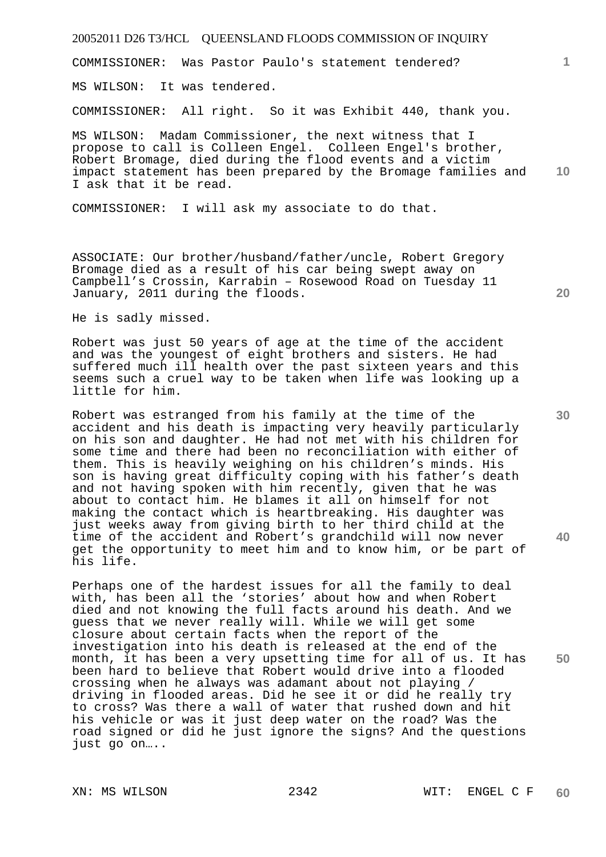COMMISSIONER: Was Pastor Paulo's statement tendered?

MS WILSON: It was tendered.

COMMISSIONER: All right. So it was Exhibit 440, thank you.

**10**  MS WILSON: Madam Commissioner, the next witness that I propose to call is Colleen Engel. Colleen Engel's brother, Robert Bromage, died during the flood events and a victim impact statement has been prepared by the Bromage families and I ask that it be read.

COMMISSIONER: I will ask my associate to do that.

ASSOCIATE: Our brother/husband/father/uncle, Robert Gregory Bromage died as a result of his car being swept away on Campbell's Crossin, Karrabin – Rosewood Road on Tuesday 11 January, 2011 during the floods.

He is sadly missed.

Robert was just 50 years of age at the time of the accident and was the youngest of eight brothers and sisters. He had suffered much ill health over the past sixteen years and this seems such a cruel way to be taken when life was looking up a little for him.

Robert was estranged from his family at the time of the accident and his death is impacting very heavily particularly on his son and daughter. He had not met with his children for some time and there had been no reconciliation with either of them. This is heavily weighing on his children's minds. His son is having great difficulty coping with his father's death and not having spoken with him recently, given that he was about to contact him. He blames it all on himself for not making the contact which is heartbreaking. His daughter was just weeks away from giving birth to her third child at the time of the accident and Robert's grandchild will now never get the opportunity to meet him and to know him, or be part of his life.

Perhaps one of the hardest issues for all the family to deal with, has been all the 'stories' about how and when Robert died and not knowing the full facts around his death. And we guess that we never really will. While we will get some closure about certain facts when the report of the investigation into his death is released at the end of the month, it has been a very upsetting time for all of us. It has been hard to believe that Robert would drive into a flooded crossing when he always was adamant about not playing / driving in flooded areas. Did he see it or did he really try to cross? Was there a wall of water that rushed down and hit his vehicle or was it just deep water on the road? Was the road signed or did he just ignore the signs? And the questions just go on…..

**20** 

**1**

**30** 

**40**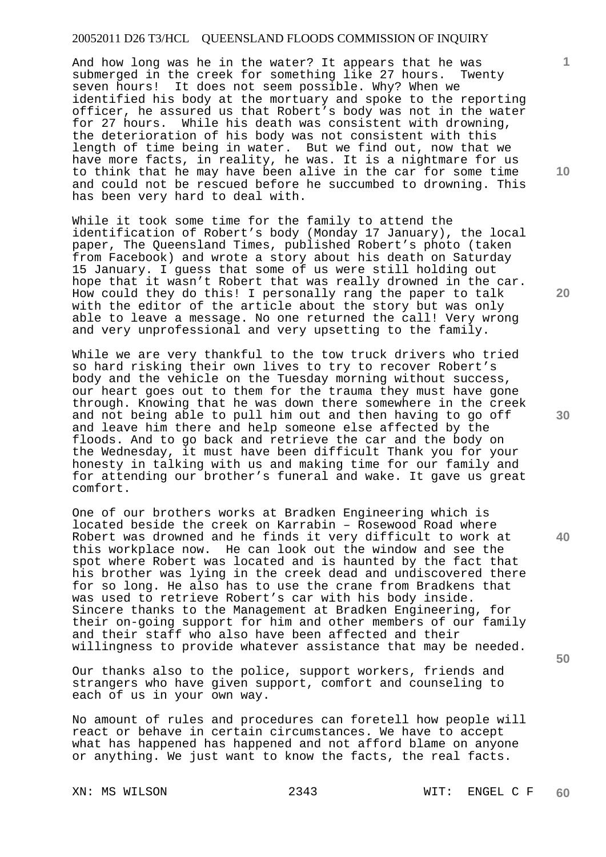And how long was he in the water? It appears that he was submerged in the creek for something like 27 hours. Twenty seven hours! It does not seem possible. Why? When we identified his body at the mortuary and spoke to the reporting officer, he assured us that Robert's body was not in the water for 27 hours. While his death was consistent with drowning, the deterioration of his body was not consistent with this length of time being in water. But we find out, now that we have more facts, in reality, he was. It is a nightmare for us to think that he may have been alive in the car for some time and could not be rescued before he succumbed to drowning. This has been very hard to deal with.

While it took some time for the family to attend the identification of Robert's body (Monday 17 January), the local paper, The Queensland Times, published Robert's photo (taken from Facebook) and wrote a story about his death on Saturday 15 January. I guess that some of us were still holding out hope that it wasn't Robert that was really drowned in the car. How could they do this! I personally rang the paper to talk with the editor of the article about the story but was only able to leave a message. No one returned the call! Very wrong and very unprofessional and very upsetting to the family.

While we are very thankful to the tow truck drivers who tried so hard risking their own lives to try to recover Robert's body and the vehicle on the Tuesday morning without success, our heart goes out to them for the trauma they must have gone through. Knowing that he was down there somewhere in the creek and not being able to pull him out and then having to go off and leave him there and help someone else affected by the floods. And to go back and retrieve the car and the body on the Wednesday, it must have been difficult Thank you for your honesty in talking with us and making time for our family and for attending our brother's funeral and wake. It gave us great comfort.

One of our brothers works at Bradken Engineering which is located beside the creek on Karrabin – Rosewood Road where Robert was drowned and he finds it very difficult to work at this workplace now. He can look out the window and see the spot where Robert was located and is haunted by the fact that his brother was lying in the creek dead and undiscovered there for so long. He also has to use the crane from Bradkens that was used to retrieve Robert's car with his body inside. Sincere thanks to the Management at Bradken Engineering, for their on-going support for him and other members of our family and their staff who also have been affected and their willingness to provide whatever assistance that may be needed.

Our thanks also to the police, support workers, friends and strangers who have given support, comfort and counseling to each of us in your own way.

No amount of rules and procedures can foretell how people will react or behave in certain circumstances. We have to accept what has happened has happened and not afford blame on anyone or anything. We just want to know the facts, the real facts.

**10** 

**1**

**30** 

**20**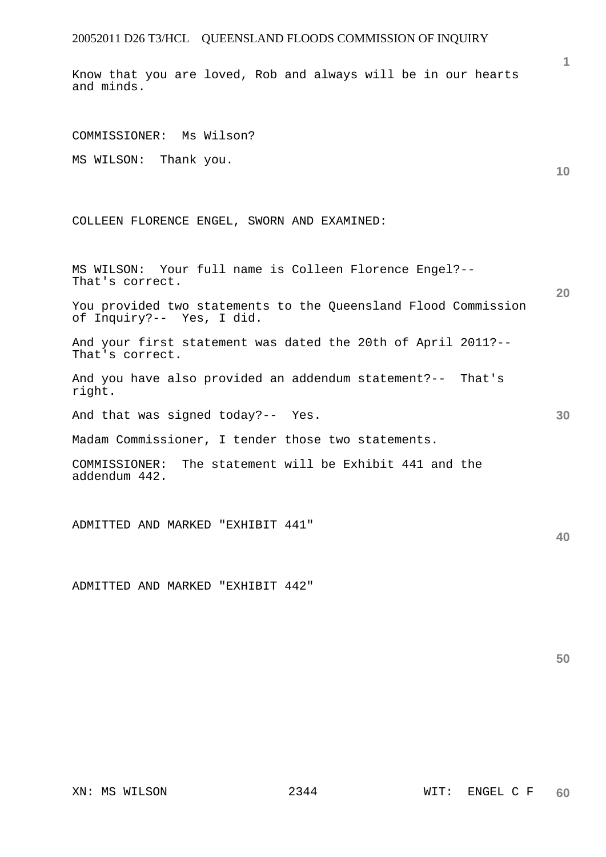Know that you are loved, Rob and always will be in our hearts and minds.

**10 20 30 40**  COMMISSIONER: Ms Wilson? MS WILSON: Thank you. COLLEEN FLORENCE ENGEL, SWORN AND EXAMINED: MS WILSON: Your full name is Colleen Florence Engel?-- That's correct. You provided two statements to the Queensland Flood Commission of Inquiry?-- Yes, I did. And your first statement was dated the 20th of April 2011?-- That's correct. And you have also provided an addendum statement?-- That's right. And that was signed today?-- Yes. Madam Commissioner, I tender those two statements. COMMISSIONER: The statement will be Exhibit 441 and the addendum 442. ADMITTED AND MARKED "EXHIBIT 441"

ADMITTED AND MARKED "EXHIBIT 442"

**50**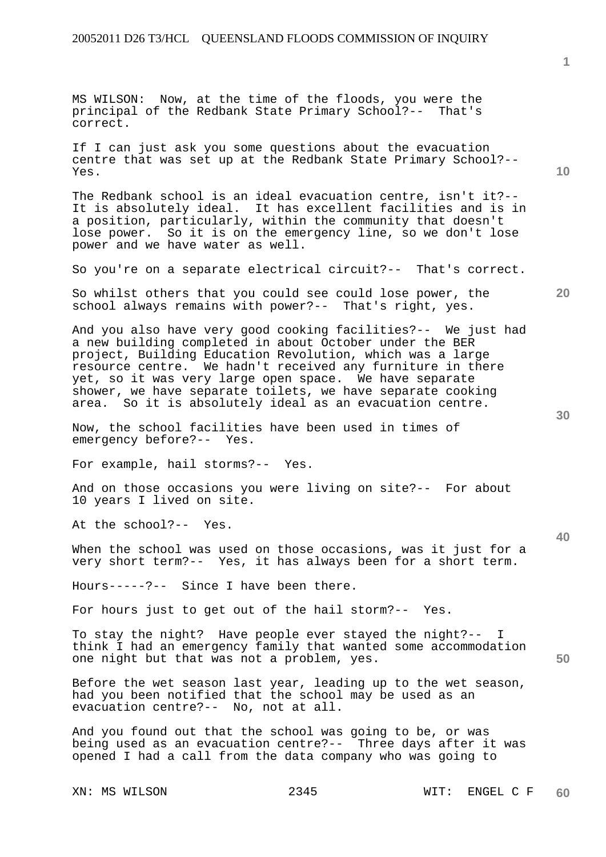**1**

**10** 

**20** 

**30** 

**40** 

**50** 

MS WILSON: Now, at the time of the floods, you were the principal of the Redbank State Primary School?-- That's correct. If I can just ask you some questions about the evacuation centre that was set up at the Redbank State Primary School?-- Yes. The Redbank school is an ideal evacuation centre, isn't it?-- It is absolutely ideal. It has excellent facilities and is in a position, particularly, within the community that doesn't lose power. So it is on the emergency line, so we don't lose power and we have water as well. So you're on a separate electrical circuit?-- That's correct. So whilst others that you could see could lose power, the school always remains with power?-- That's right, yes. And you also have very good cooking facilities?-- We just had a new building completed in about October under the BER project, Building Education Revolution, which was a large resource centre. We hadn't received any furniture in there yet, so it was very large open space. We have separate shower, we have separate toilets, we have separate cooking area. So it is absolutely ideal as an evacuation centre. Now, the school facilities have been used in times of emergency before?-- Yes. For example, hail storms?-- Yes. And on those occasions you were living on site?-- For about 10 years I lived on site. At the school?-- Yes. When the school was used on those occasions, was it just for a very short term?-- Yes, it has always been for a short term. Hours-----?-- Since I have been there. For hours just to get out of the hail storm?-- Yes. To stay the night? Have people ever stayed the night?-- I think I had an emergency family that wanted some accommodation one night but that was not a problem, yes. Before the wet season last year, leading up to the wet season, had you been notified that the school may be used as an evacuation centre?-- No, not at all. And you found out that the school was going to be, or was being used as an evacuation centre?-- Three days after it was opened I had a call from the data company who was going to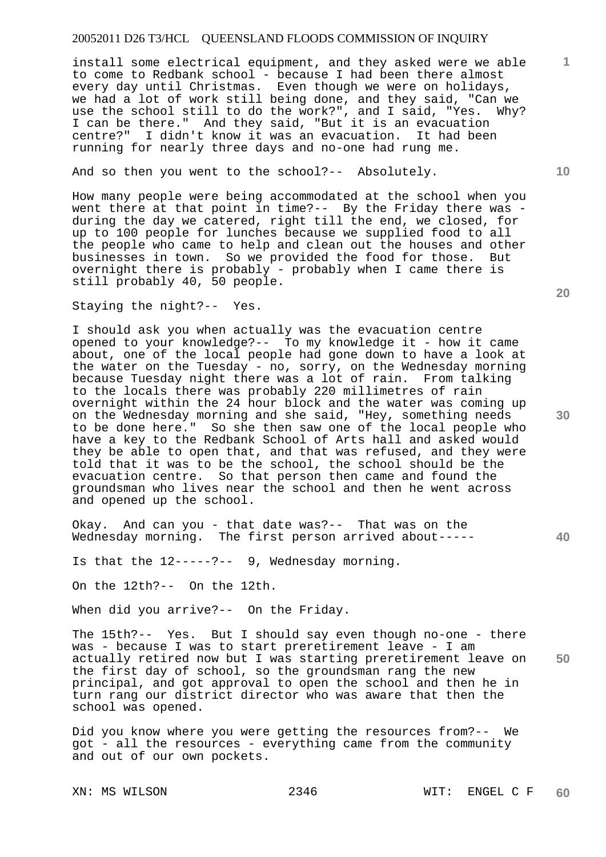install some electrical equipment, and they asked were we able to come to Redbank school - because I had been there almost every day until Christmas. Even though we were on holidays, we had a lot of work still being done, and they said, "Can we use the school still to do the work?", and I said, "Yes. Why? I can be there." And they said, "But it is an evacuation centre?" I didn't know it was an evacuation. It had been running for nearly three days and no-one had rung me.

#### And so then you went to the school?-- Absolutely.

How many people were being accommodated at the school when you went there at that point in time?-- By the Friday there was during the day we catered, right till the end, we closed, for up to 100 people for lunches because we supplied food to all the people who came to help and clean out the houses and other businesses in town. So we provided the food for those. But overnight there is probably - probably when I came there is still probably 40, 50 people.

Staying the night?-- Yes.

I should ask you when actually was the evacuation centre opened to your knowledge?-- To my knowledge it - how it came about, one of the local people had gone down to have a look at the water on the Tuesday - no, sorry, on the Wednesday morning because Tuesday night there was a lot of rain. From talking to the locals there was probably 220 millimetres of rain overnight within the 24 hour block and the water was coming up on the Wednesday morning and she said, "Hey, something needs to be done here." So she then saw one of the local people who have a key to the Redbank School of Arts hall and asked would they be able to open that, and that was refused, and they were told that it was to be the school, the school should be the evacuation centre. So that person then came and found the groundsman who lives near the school and then he went across and opened up the school.

Okay. And can you - that date was?-- That was on the Wednesday morning. The first person arrived about-----

Is that the 12-----?-- 9, Wednesday morning.

On the 12th?-- On the 12th.

When did you arrive?-- On the Friday.

**50**  The 15th?-- Yes. But I should say even though no-one - there was - because I was to start preretirement leave - I am actually retired now but I was starting preretirement leave on the first day of school, so the groundsman rang the new principal, and got approval to open the school and then he in turn rang our district director who was aware that then the school was opened.

Did you know where you were getting the resources from?-- We got - all the resources - everything came from the community and out of our own pockets.

**20** 

**30** 

**10**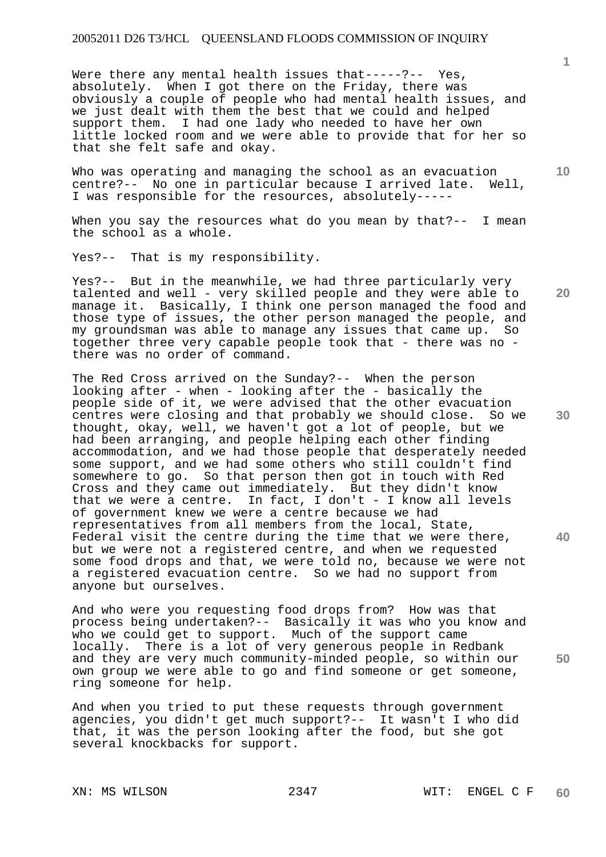Were there any mental health issues that-----?-- Yes, absolutely. When I got there on the Friday, there was obviously a couple of people who had mental health issues, and we just dealt with them the best that we could and helped support them. I had one lady who needed to have her own little locked room and we were able to provide that for her so that she felt safe and okay.

Who was operating and managing the school as an evacuation centre?-- No one in particular because I arrived late. Well, I was responsible for the resources, absolutely-----

When you say the resources what do you mean by that?-- I mean the school as a whole.

Yes?-- That is my responsibility.

Yes?-- But in the meanwhile, we had three particularly very talented and well - very skilled people and they were able to manage it. Basically, I think one person managed the food and those type of issues, the other person managed the people, and my groundsman was able to manage any issues that came up. So together three very capable people took that - there was no there was no order of command.

**30 40**  The Red Cross arrived on the Sunday?-- When the person looking after - when - looking after the - basically the people side of it, we were advised that the other evacuation centres were closing and that probably we should close. So we thought, okay, well, we haven't got a lot of people, but we had been arranging, and people helping each other finding accommodation, and we had those people that desperately needed some support, and we had some others who still couldn't find somewhere to go. So that person then got in touch with Red Cross and they came out immediately. But they didn't know that we were a centre. In fact, I don't - I know all levels of government knew we were a centre because we had representatives from all members from the local, State, Federal visit the centre during the time that we were there, but we were not a registered centre, and when we requested some food drops and that, we were told no, because we were not a registered evacuation centre. So we had no support from anyone but ourselves.

And who were you requesting food drops from? How was that process being undertaken?-- Basically it was who you know and who we could get to support. Much of the support came locally. There is a lot of very generous people in Redbank and they are very much community-minded people, so within our own group we were able to go and find someone or get someone, ring someone for help.

And when you tried to put these requests through government agencies, you didn't get much support?-- It wasn't I who did that, it was the person looking after the food, but she got several knockbacks for support.

**1**

**10** 

**20**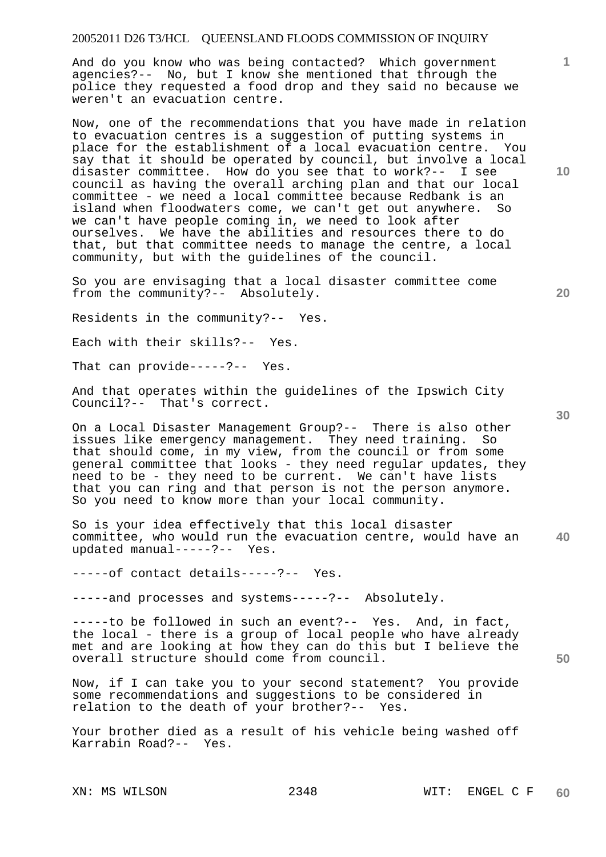And do you know who was being contacted? Which government agencies?-- No, but I know she mentioned that through the police they requested a food drop and they said no because we weren't an evacuation centre.

Now, one of the recommendations that you have made in relation to evacuation centres is a suggestion of putting systems in place for the establishment of a local evacuation centre. You say that it should be operated by council, but involve a local disaster committee. How do you see that to work?-- I see council as having the overall arching plan and that our local committee - we need a local committee because Redbank is an island when floodwaters come, we can't get out anywhere. So we can't have people coming in, we need to look after ourselves. We have the abilities and resources there to do that, but that committee needs to manage the centre, a local community, but with the guidelines of the council.

So you are envisaging that a local disaster committee come from the community?-- Absolutely.

Residents in the community?-- Yes.

Each with their skills?-- Yes.

That can provide-----?-- Yes.

And that operates within the guidelines of the Ipswich City Council?-- That's correct.

On a Local Disaster Management Group?-- There is also other issues like emergency management. They need training. So that should come, in my view, from the council or from some general committee that looks - they need regular updates, they need to be - they need to be current. We can't have lists that you can ring and that person is not the person anymore. So you need to know more than your local community.

**40**  So is your idea effectively that this local disaster committee, who would run the evacuation centre, would have an updated manual-----?-- Yes.

-----of contact details-----?-- Yes.

-----and processes and systems-----?-- Absolutely.

-----to be followed in such an event?-- Yes. And, in fact, the local - there is a group of local people who have already met and are looking at how they can do this but I believe the overall structure should come from council.

Now, if I can take you to your second statement? You provide some recommendations and suggestions to be considered in relation to the death of your brother?-- Yes.

Your brother died as a result of his vehicle being washed off Karrabin Road?-- Yes.

**10** 

**20** 

**1**

**30**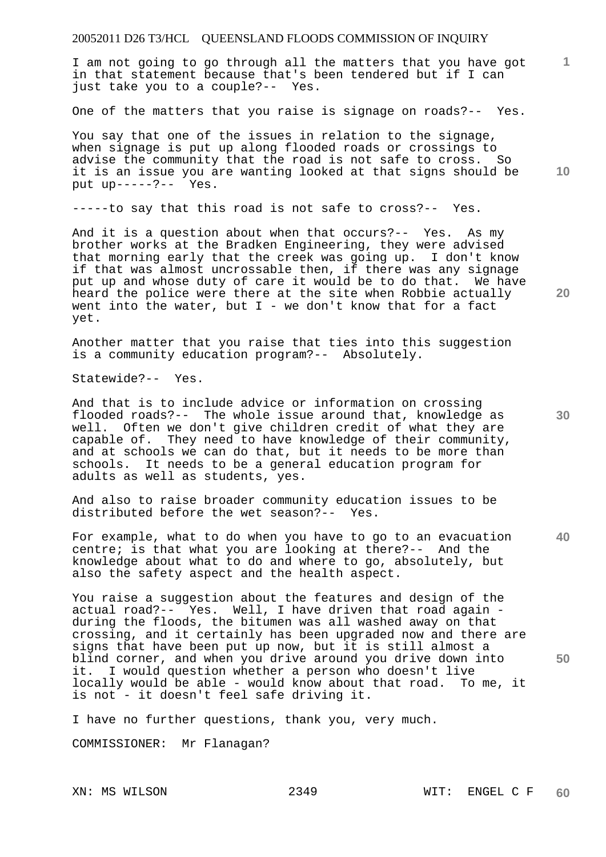I am not going to go through all the matters that you have got in that statement because that's been tendered but if I can just take you to a couple?-- Yes.

One of the matters that you raise is signage on roads?-- Yes.

You say that one of the issues in relation to the signage, when signage is put up along flooded roads or crossings to advise the community that the road is not safe to cross. So it is an issue you are wanting looked at that signs should be put up-----?-- Yes.

-----to say that this road is not safe to cross?-- Yes.

And it is a question about when that occurs?-- Yes. As my brother works at the Bradken Engineering, they were advised that morning early that the creek was going up. I don't know if that was almost uncrossable then, if there was any signage put up and whose duty of care it would be to do that. We have heard the police were there at the site when Robbie actually went into the water, but  $I$  - we don't know that for a fact yet.

Another matter that you raise that ties into this suggestion is a community education program?-- Absolutely.

Statewide?-- Yes.

And that is to include advice or information on crossing flooded roads?-- The whole issue around that, knowledge as well. Often we don't give children credit of what they are capable of. They need to have knowledge of their community, and at schools we can do that, but it needs to be more than schools. It needs to be a general education program for adults as well as students, yes.

And also to raise broader community education issues to be distributed before the wet season?-- Yes.

**40**  For example, what to do when you have to go to an evacuation centre; is that what you are looking at there?-- And the knowledge about what to do and where to go, absolutely, but also the safety aspect and the health aspect.

You raise a suggestion about the features and design of the actual road?-- Yes. Well, I have driven that road again during the floods, the bitumen was all washed away on that crossing, and it certainly has been upgraded now and there are signs that have been put up now, but it is still almost a blind corner, and when you drive around you drive down into it. I would question whether a person who doesn't live locally would be able - would know about that road. To me, it is not - it doesn't feel safe driving it.

I have no further questions, thank you, very much.

COMMISSIONER: Mr Flanagan?

**10** 

**20** 

**1**

**30**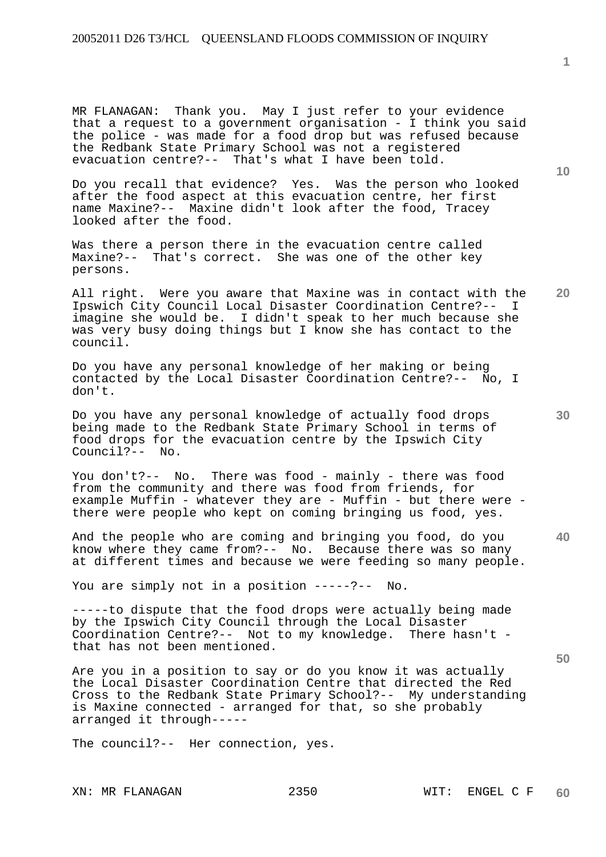MR FLANAGAN: Thank you. May I just refer to your evidence that a request to a government organisation - I think you said the police - was made for a food drop but was refused because the Redbank State Primary School was not a registered evacuation centre?-- That's what I have been told.

Do you recall that evidence? Yes. Was the person who looked after the food aspect at this evacuation centre, her first name Maxine?-- Maxine didn't look after the food, Tracey looked after the food.

Was there a person there in the evacuation centre called Maxine?-- That's correct. She was one of the other key persons.

**20**  All right. Were you aware that Maxine was in contact with the Ipswich City Council Local Disaster Coordination Centre?-- I imagine she would be. I didn't speak to her much because she was very busy doing things but I know she has contact to the council.

Do you have any personal knowledge of her making or being contacted by the Local Disaster Coordination Centre?-- No, I don't.

Do you have any personal knowledge of actually food drops being made to the Redbank State Primary School in terms of food drops for the evacuation centre by the Ipswich City Council?-- No.

You don't?-- No. There was food - mainly - there was food from the community and there was food from friends, for example Muffin - whatever they are - Muffin - but there were there were people who kept on coming bringing us food, yes.

And the people who are coming and bringing you food, do you know where they came from?-- No. Because there was so many at different times and because we were feeding so many people.

You are simply not in a position -----?-- No.

-----to dispute that the food drops were actually being made by the Ipswich City Council through the Local Disaster Coordination Centre?-- Not to my knowledge. There hasn't that has not been mentioned.

Are you in a position to say or do you know it was actually the Local Disaster Coordination Centre that directed the Red Cross to the Redbank State Primary School?-- My understanding is Maxine connected - arranged for that, so she probably arranged it through-----

The council?-- Her connection, yes.

**10** 

**1**

**30** 

**40**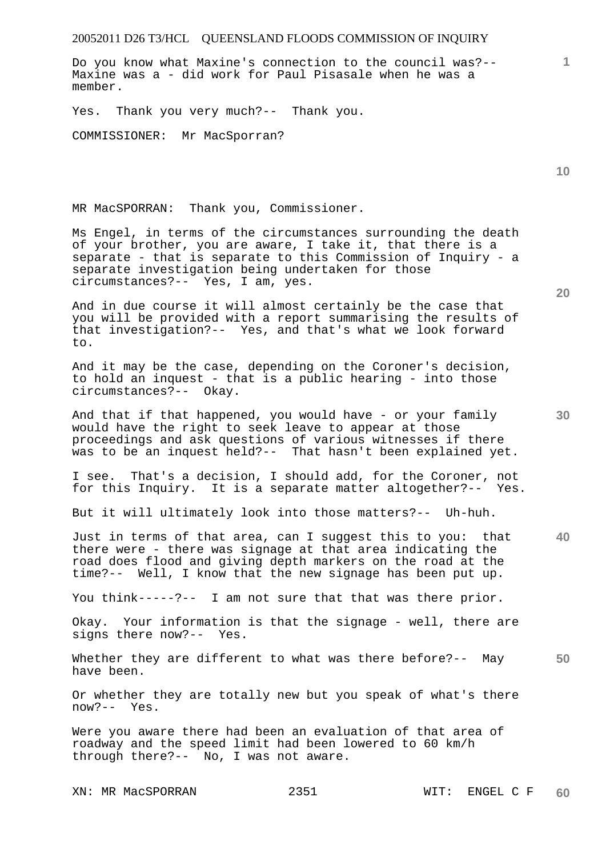Do you know what Maxine's connection to the council was?-- Maxine was a - did work for Paul Pisasale when he was a member.

Yes. Thank you very much?-- Thank you.

COMMISSIONER: Mr MacSporran?

MR MacSPORRAN: Thank you, Commissioner.

Ms Engel, in terms of the circumstances surrounding the death of your brother, you are aware, I take it, that there is a separate - that is separate to this Commission of Inquiry - a separate investigation being undertaken for those circumstances?-- Yes, I am, yes.

And in due course it will almost certainly be the case that you will be provided with a report summarising the results of that investigation?-- Yes, and that's what we look forward to.

And it may be the case, depending on the Coroner's decision, to hold an inquest - that is a public hearing - into those circumstances?-- Okay.

And that if that happened, you would have - or your family would have the right to seek leave to appear at those proceedings and ask questions of various witnesses if there was to be an inquest held?-- That hasn't been explained yet.

I see. That's a decision, I should add, for the Coroner, not for this Inquiry. It is a separate matter altogether?-- Yes.

But it will ultimately look into those matters?-- Uh-huh.

**40**  Just in terms of that area, can I suggest this to you: that there were - there was signage at that area indicating the road does flood and giving depth markers on the road at the time?-- Well, I know that the new signage has been put up.

You think-----?-- I am not sure that that was there prior.

Okay. Your information is that the signage - well, there are signs there now?-- Yes.

**50**  Whether they are different to what was there before?-- May have been.

Or whether they are totally new but you speak of what's there now?-- Yes.

Were you aware there had been an evaluation of that area of roadway and the speed limit had been lowered to 60 km/h through there?-- No, I was not aware.

XN: MR MacSPORRAN 2351 WIT: ENGEL C F **60** 

**20** 

**10**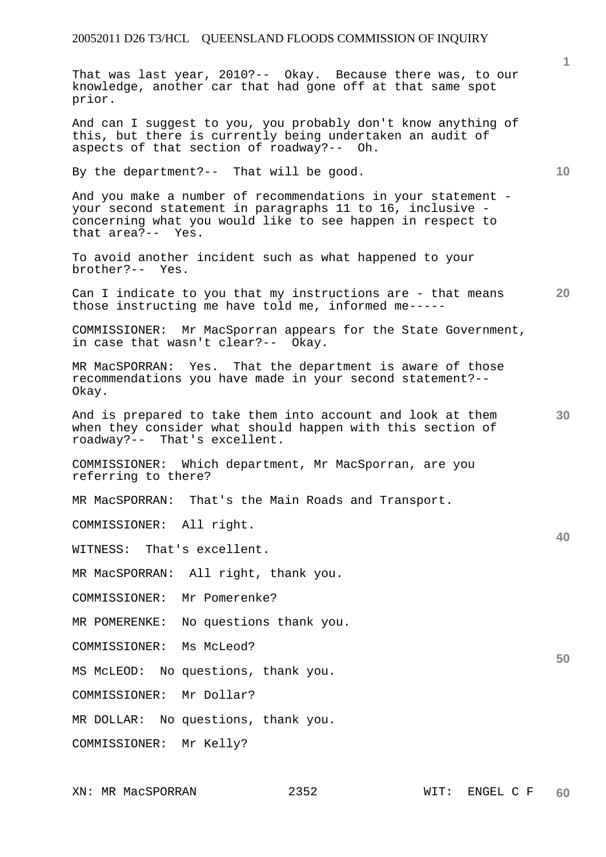That was last year, 2010?-- Okay. Because there was, to our knowledge, another car that had gone off at that same spot prior.

And can I suggest to you, you probably don't know anything of this, but there is currently being undertaken an audit of aspects of that section of roadway?-- Oh.

By the department?-- That will be good.

And you make a number of recommendations in your statement your second statement in paragraphs 11 to 16, inclusive concerning what you would like to see happen in respect to that area?-- Yes.

To avoid another incident such as what happened to your brother?-- Yes.

**20**  Can I indicate to you that my instructions are - that means those instructing me have told me, informed me-----

COMMISSIONER: Mr MacSporran appears for the State Government, in case that wasn't clear?-- Okay.

MR MacSPORRAN: Yes. That the department is aware of those recommendations you have made in your second statement?-- Okay.

And is prepared to take them into account and look at them when they consider what should happen with this section of roadway?-- That's excellent.

COMMISSIONER: Which department, Mr MacSporran, are you referring to there?

MR MacSPORRAN: That's the Main Roads and Transport.

COMMISSIONER: All right.

WITNESS: That's excellent.

MR MacSPORRAN: All right, thank you.

COMMISSIONER: Mr Pomerenke?

MR POMERENKE: No questions thank you.

COMMISSIONER: Ms McLeod?

MS McLEOD: No questions, thank you.

COMMISSIONER: Mr Dollar?

MR DOLLAR: No questions, thank you.

COMMISSIONER: Mr Kelly?

**10** 

**30** 

**40**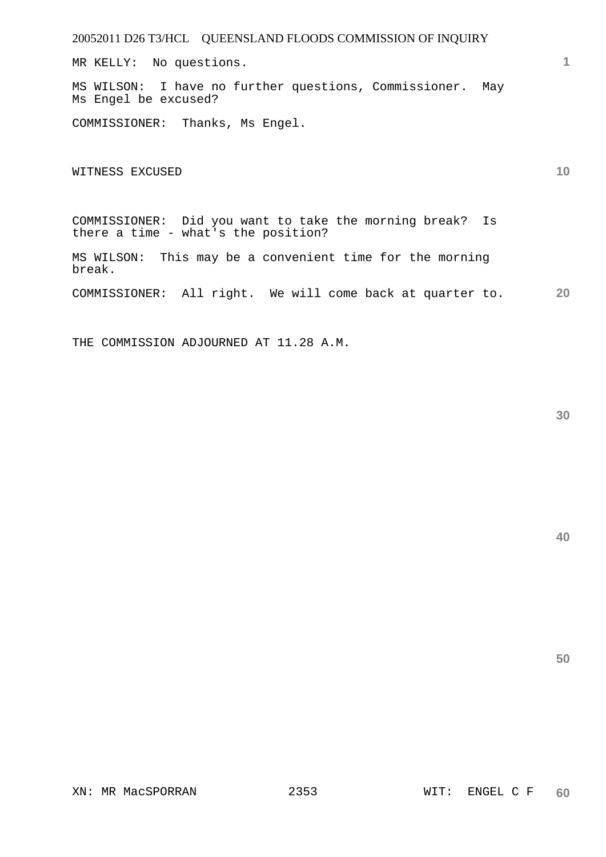MR KELLY: No questions.

MS WILSON: I have no further questions, Commissioner. May Ms Engel be excused?

COMMISSIONER: Thanks, Ms Engel.

WITNESS EXCUSED

COMMISSIONER: Did you want to take the morning break? Is there a time - what's the position?

MS WILSON: This may be a convenient time for the morning break.

**20**  COMMISSIONER: All right. We will come back at quarter to.

THE COMMISSION ADJOURNED AT 11.28 A.M.

**40** 

**1**

**10**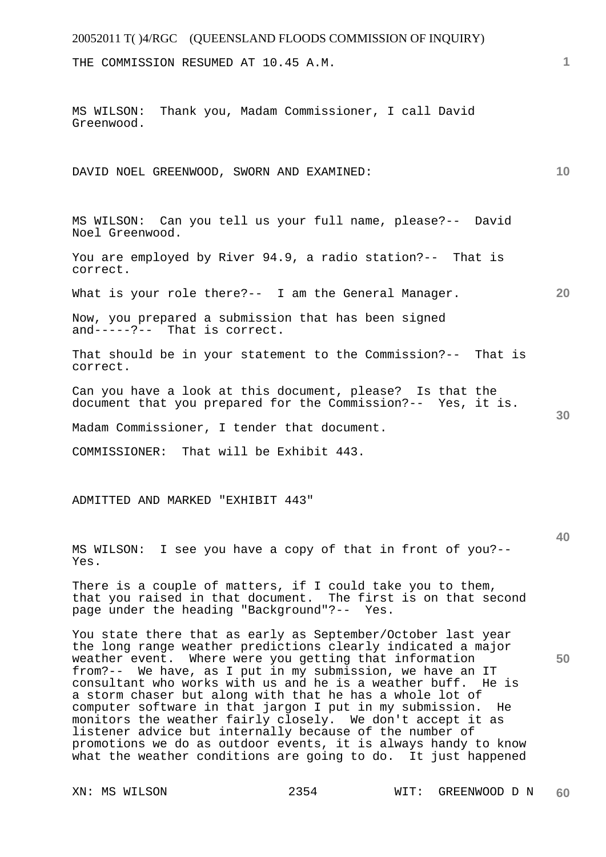## 20052011 T( )4/RGC (QUEENSLAND FLOODS COMMISSION OF INQUIRY) **1 10 20 30 40**  THE COMMISSION RESUMED AT 10.45 A.M. MS WILSON: Thank you, Madam Commissioner, I call David Greenwood. DAVID NOEL GREENWOOD, SWORN AND EXAMINED: MS WILSON: Can you tell us your full name, please?-- David Noel Greenwood. You are employed by River 94.9, a radio station?-- That is correct. What is your role there?-- I am the General Manager. Now, you prepared a submission that has been signed and-----?-- That is correct. That should be in your statement to the Commission?-- That is correct. Can you have a look at this document, please? Is that the document that you prepared for the Commission?-- Yes, it is. Madam Commissioner, I tender that document. COMMISSIONER: That will be Exhibit 443. ADMITTED AND MARKED "EXHIBIT 443" MS WILSON: I see you have a copy of that in front of you?-- Yes. There is a couple of matters, if I could take you to them, that you raised in that document. The first is on that second page under the heading "Background"?-- Yes.

You state there that as early as September/October last year the long range weather predictions clearly indicated a major weather event. Where were you getting that information from?-- We have, as I put in my submission, we have an IT consultant who works with us and he is a weather buff. He is a storm chaser but along with that he has a whole lot of computer software in that jargon I put in my submission. He monitors the weather fairly closely. We don't accept it as listener advice but internally because of the number of promotions we do as outdoor events, it is always handy to know what the weather conditions are going to do. It just happened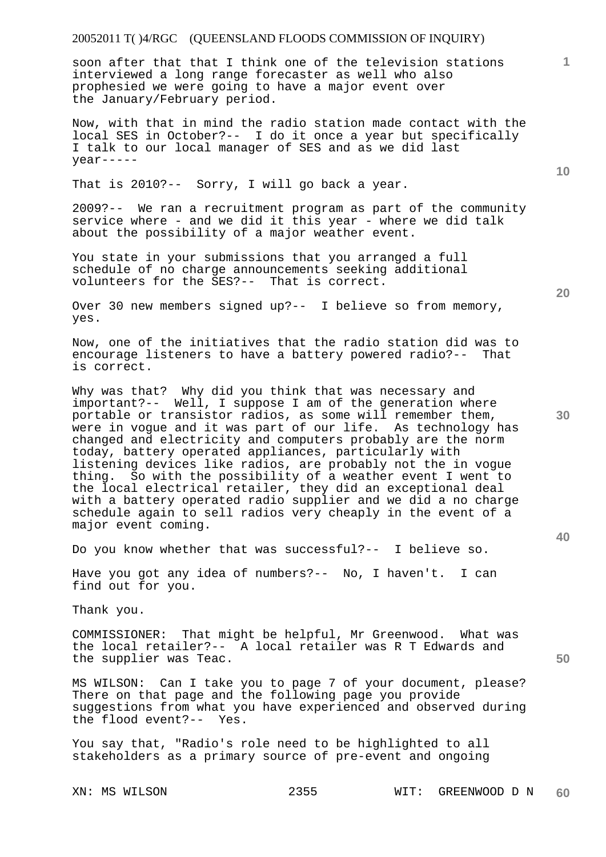# 20052011 T( )4/RGC (QUEENSLAND FLOODS COMMISSION OF INQUIRY)

soon after that that I think one of the television stations interviewed a long range forecaster as well who also prophesied we were going to have a major event over the January/February period.

Now, with that in mind the radio station made contact with the local SES in October?-- I do it once a year but specifically I talk to our local manager of SES and as we did last year-----

That is 2010?-- Sorry, I will go back a year.

2009?-- We ran a recruitment program as part of the community service where - and we did it this year - where we did talk about the possibility of a major weather event.

You state in your submissions that you arranged a full schedule of no charge announcements seeking additional volunteers for the SES?-- That is correct.

Over 30 new members signed up?-- I believe so from memory, yes.

Now, one of the initiatives that the radio station did was to encourage listeners to have a battery powered radio?-- That is correct.

Why was that? Why did you think that was necessary and important?-- Well, I suppose I am of the generation where portable or transistor radios, as some will remember them, were in vogue and it was part of our life. As technology has changed and electricity and computers probably are the norm today, battery operated appliances, particularly with listening devices like radios, are probably not the in vogue thing. So with the possibility of a weather event I went to the local electrical retailer, they did an exceptional deal with a battery operated radio supplier and we did a no charge schedule again to sell radios very cheaply in the event of a major event coming.

Do you know whether that was successful?-- I believe so.

Have you got any idea of numbers?-- No, I haven't. I can find out for you.

Thank you.

COMMISSIONER: That might be helpful, Mr Greenwood. What was the local retailer?-- A local retailer was R T Edwards and the supplier was Teac.

MS WILSON: Can I take you to page 7 of your document, please? There on that page and the following page you provide suggestions from what you have experienced and observed during the flood event?-- Yes.

You say that, "Radio's role need to be highlighted to all stakeholders as a primary source of pre-event and ongoing

**20** 

**40** 

**50** 

**10**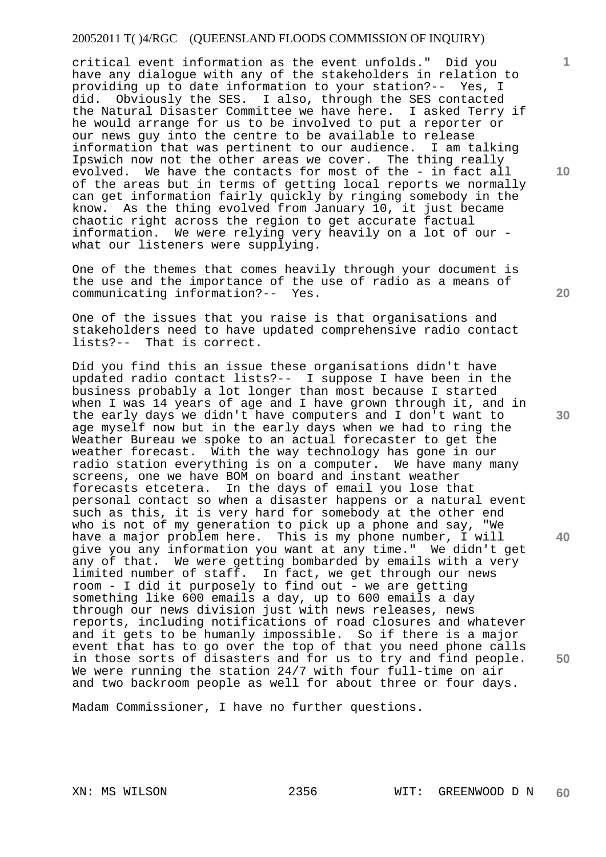### 20052011 T( )4/RGC (QUEENSLAND FLOODS COMMISSION OF INQUIRY)

critical event information as the event unfolds." Did you have any dialogue with any of the stakeholders in relation to providing up to date information to your station?-- Yes, I did. Obviously the SES. I also, through the SES contacted the Natural Disaster Committee we have here. I asked Terry if he would arrange for us to be involved to put a reporter or our news guy into the centre to be available to release information that was pertinent to our audience. I am talking Ipswich now not the other areas we cover. The thing really evolved. We have the contacts for most of the - in fact all of the areas but in terms of getting local reports we normally can get information fairly quickly by ringing somebody in the know. As the thing evolved from January 10, it just became chaotic right across the region to get accurate factual information. We were relying very heavily on a lot of our what our listeners were supplying.

One of the themes that comes heavily through your document is the use and the importance of the use of radio as a means of communicating information?-- Yes.

One of the issues that you raise is that organisations and stakeholders need to have updated comprehensive radio contact lists?-- That is correct.

Did you find this an issue these organisations didn't have updated radio contact lists?-- I suppose I have been in the business probably a lot longer than most because I started when I was 14 years of age and I have grown through it, and in the early days we didn't have computers and I don't want to age myself now but in the early days when we had to ring the Weather Bureau we spoke to an actual forecaster to get the weather forecast. With the way technology has gone in our radio station everything is on a computer. We have many many screens, one we have BOM on board and instant weather forecasts etcetera. In the days of email you lose that personal contact so when a disaster happens or a natural event such as this, it is very hard for somebody at the other end who is not of my generation to pick up a phone and say, "We have a major problem here. This is my phone number, I will give you any information you want at any time." We didn't get any of that. We were getting bombarded by emails with a very limited number of staff. In fact, we get through our news room - I did it purposely to find out - we are getting something like 600 emails a day, up to 600 emails a day through our news division just with news releases, news reports, including notifications of road closures and whatever and it gets to be humanly impossible. So if there is a major event that has to go over the top of that you need phone calls in those sorts of disasters and for us to try and find people. We were running the station 24/7 with four full-time on air and two backroom people as well for about three or four days.

Madam Commissioner, I have no further questions.

**10** 

**1**

**20** 

**30** 

**40**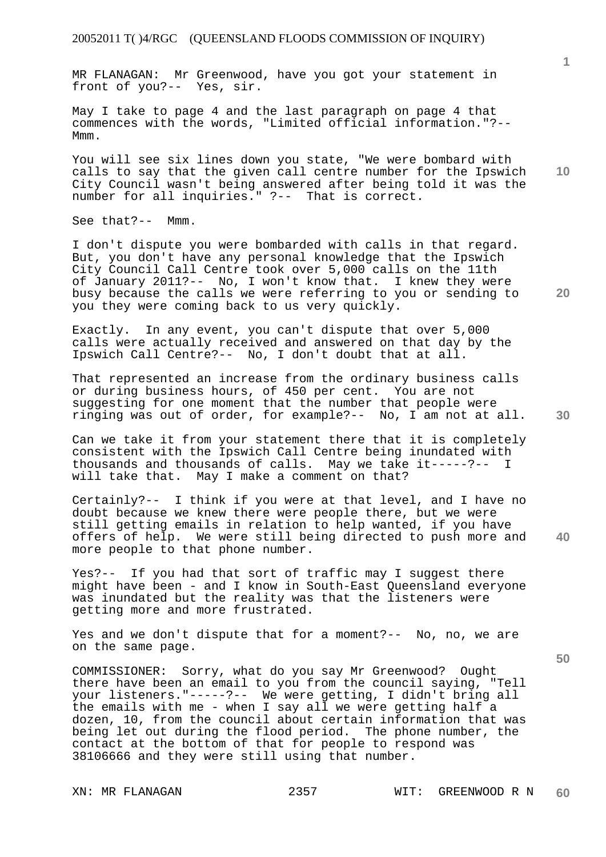MR FLANAGAN: Mr Greenwood, have you got your statement in front of you?-- Yes, sir.

May I take to page 4 and the last paragraph on page 4 that commences with the words, "Limited official information."?-- Mmm.

You will see six lines down you state, "We were bombard with calls to say that the given call centre number for the Ipswich City Council wasn't being answered after being told it was the number for all inquiries." ?-- That is correct.

See that?-- Mmm.

I don't dispute you were bombarded with calls in that regard. But, you don't have any personal knowledge that the Ipswich City Council Call Centre took over 5,000 calls on the 11th of January 2011?-- No, I won't know that. I knew they were busy because the calls we were referring to you or sending to you they were coming back to us very quickly.

Exactly. In any event, you can't dispute that over 5,000 calls were actually received and answered on that day by the Ipswich Call Centre?-- No, I don't doubt that at all.

That represented an increase from the ordinary business calls or during business hours, of 450 per cent. You are not suggesting for one moment that the number that people were ringing was out of order, for example?-- No, I am not at all.

Can we take it from your statement there that it is completely consistent with the Ipswich Call Centre being inundated with thousands and thousands of calls. May we take it-----?-- I will take that. May I make a comment on that?

**40**  Certainly?-- I think if you were at that level, and I have no doubt because we knew there were people there, but we were still getting emails in relation to help wanted, if you have offers of help. We were still being directed to push more and more people to that phone number.

Yes?-- If you had that sort of traffic may I suggest there might have been - and I know in South-East Queensland everyone was inundated but the reality was that the listeners were getting more and more frustrated.

Yes and we don't dispute that for a moment?-- No, no, we are on the same page.

COMMISSIONER: Sorry, what do you say Mr Greenwood? Ought there have been an email to you from the council saying, "Tell your listeners."-----?-- We were getting, I didn't bring all the emails with me - when I say all we were getting half a dozen, 10, from the council about certain information that was being let out during the flood period. The phone number, the contact at the bottom of that for people to respond was 38106666 and they were still using that number.

**20** 

**10**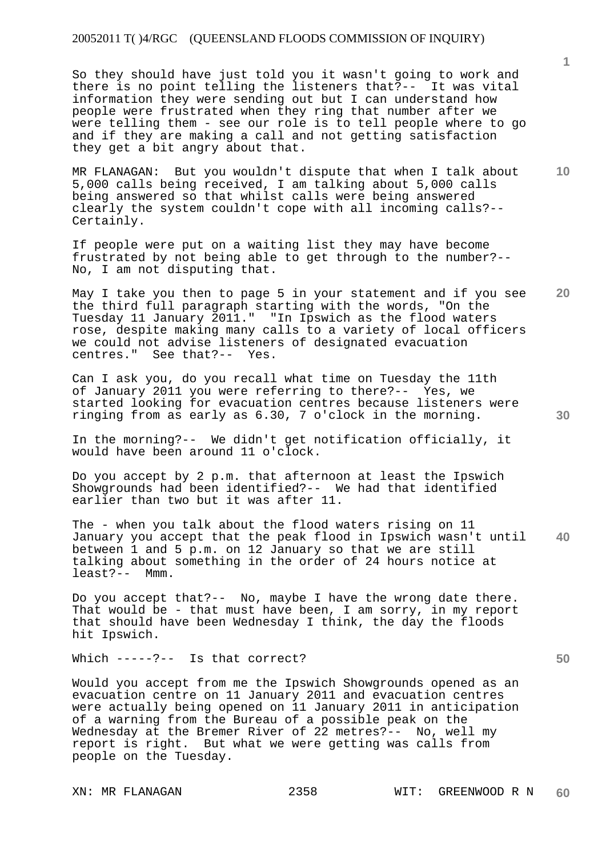### 20052011 T( )4/RGC (QUEENSLAND FLOODS COMMISSION OF INQUIRY)

So they should have just told you it wasn't going to work and there is no point telling the listeners that?-- It was vital information they were sending out but I can understand how people were frustrated when they ring that number after we were telling them - see our role is to tell people where to go and if they are making a call and not getting satisfaction they get a bit angry about that.

MR FLANAGAN: But you wouldn't dispute that when I talk about 5,000 calls being received, I am talking about 5,000 calls being answered so that whilst calls were being answered clearly the system couldn't cope with all incoming calls?-- Certainly.

If people were put on a waiting list they may have become frustrated by not being able to get through to the number?-- No, I am not disputing that.

May I take you then to page 5 in your statement and if you see the third full paragraph starting with the words, "On the Tuesday 11 January 2011." "In Ipswich as the flood waters rose, despite making many calls to a variety of local officers we could not advise listeners of designated evacuation centres." See that?-- Yes.

Can I ask you, do you recall what time on Tuesday the 11th of January 2011 you were referring to there?-- Yes, we started looking for evacuation centres because listeners were ringing from as early as 6.30, 7 o'clock in the morning.

In the morning?-- We didn't get notification officially, it would have been around 11 o'clock.

Do you accept by 2 p.m. that afternoon at least the Ipswich Showgrounds had been identified?-- We had that identified earlier than two but it was after 11.

**40**  The - when you talk about the flood waters rising on 11 January you accept that the peak flood in Ipswich wasn't until between 1 and 5 p.m. on 12 January so that we are still talking about something in the order of 24 hours notice at least?-- Mmm.

Do you accept that?-- No, maybe I have the wrong date there. That would be - that must have been, I am sorry, in my report that should have been Wednesday I think, the day the floods hit Ipswich.

Which -----?-- Is that correct?

Would you accept from me the Ipswich Showgrounds opened as an evacuation centre on 11 January 2011 and evacuation centres were actually being opened on 11 January 2011 in anticipation of a warning from the Bureau of a possible peak on the Wednesday at the Bremer River of 22 metres?-- No, well my report is right. But what we were getting was calls from people on the Tuesday.

**10** 

**20**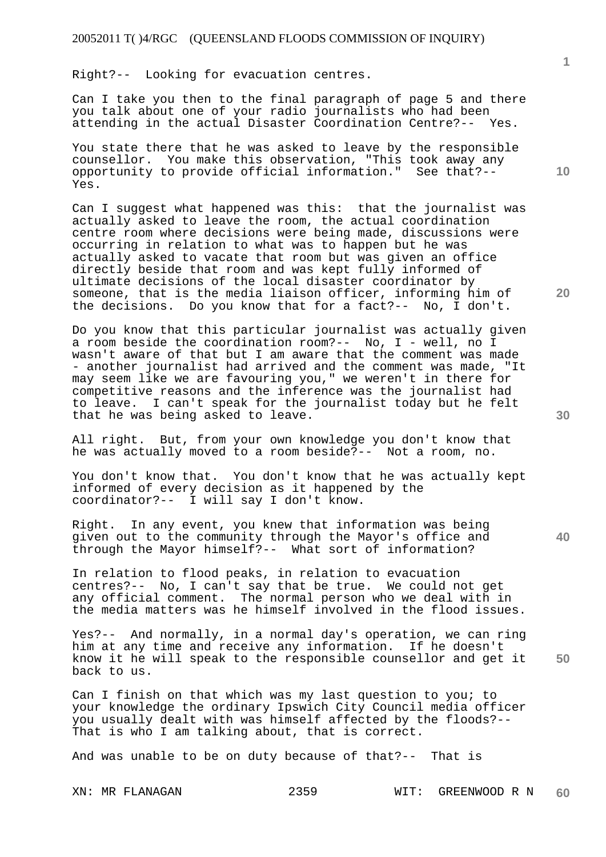Right?-- Looking for evacuation centres.

Can I take you then to the final paragraph of page 5 and there you talk about one of your radio journalists who had been attending in the actual Disaster Coordination Centre?-- Yes.

You state there that he was asked to leave by the responsible counsellor. You make this observation, "This took away any opportunity to provide official information." See that?-- Yes.

Can I suggest what happened was this: that the journalist was actually asked to leave the room, the actual coordination centre room where decisions were being made, discussions were occurring in relation to what was to happen but he was actually asked to vacate that room but was given an office directly beside that room and was kept fully informed of ultimate decisions of the local disaster coordinator by someone, that is the media liaison officer, informing him of the decisions. Do you know that for a fact?-- No, I don't.

Do you know that this particular journalist was actually given a room beside the coordination room?-- No, I - well, no I wasn't aware of that but I am aware that the comment was made - another journalist had arrived and the comment was made, "It may seem like we are favouring you," we weren't in there for competitive reasons and the inference was the journalist had to leave. I can't speak for the journalist today but he felt that he was being asked to leave.

All right. But, from your own knowledge you don't know that he was actually moved to a room beside?-- Not a room, no.

You don't know that. You don't know that he was actually kept informed of every decision as it happened by the coordinator?-- I will say I don't know.

Right. In any event, you knew that information was being given out to the community through the Mayor's office and through the Mayor himself?-- What sort of information?

In relation to flood peaks, in relation to evacuation centres?-- No, I can't say that be true. We could not get any official comment. The normal person who we deal with in the media matters was he himself involved in the flood issues.

Yes?-- And normally, in a normal day's operation, we can ring him at any time and receive any information. If he doesn't know it he will speak to the responsible counsellor and get it back to us.

Can I finish on that which was my last question to you; to your knowledge the ordinary Ipswich City Council media officer you usually dealt with was himself affected by the floods?-- That is who I am talking about, that is correct.

And was unable to be on duty because of that?-- That is

**1**

**10** 

**30** 

**20** 

**40**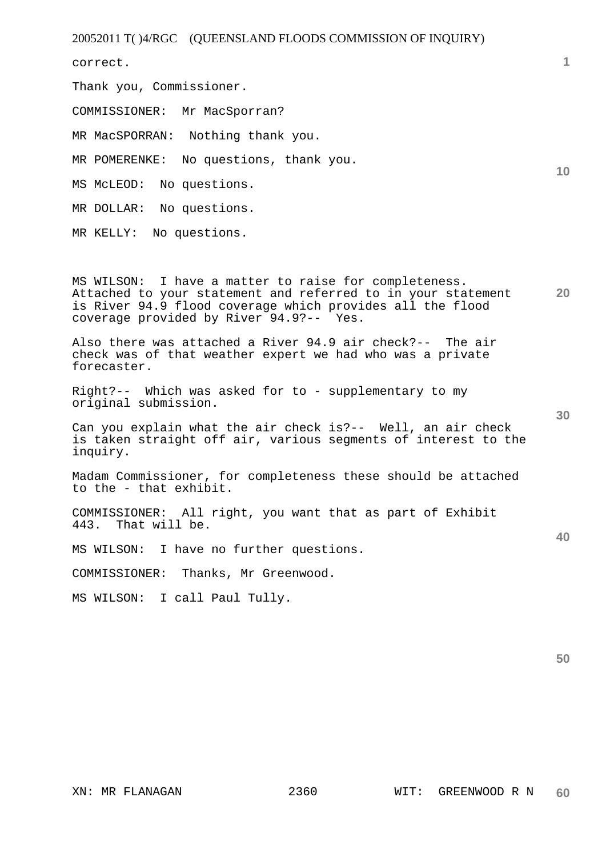20052011 T( )4/RGC (QUEENSLAND FLOODS COMMISSION OF INQUIRY)

correct.

Thank you, Commissioner.

COMMISSIONER: Mr MacSporran?

MR MacSPORRAN: Nothing thank you.

MR POMERENKE: No questions, thank you.

MS McLEOD: No questions.

MR DOLLAR: No questions.

MR KELLY: No questions.

**20**  MS WILSON: I have a matter to raise for completeness. Attached to your statement and referred to in your statement is River 94.9 flood coverage which provides all the flood coverage provided by River 94.9?-- Yes.

Also there was attached a River 94.9 air check?-- The air check was of that weather expert we had who was a private forecaster.

Right?-- Which was asked for to - supplementary to my original submission.

Can you explain what the air check is?-- Well, an air check is taken straight off air, various segments of interest to the inquiry.

Madam Commissioner, for completeness these should be attached to the - that exhibit.

COMMISSIONER: All right, you want that as part of Exhibit 443. That will be.

MS WILSON: I have no further questions.

COMMISSIONER: Thanks, Mr Greenwood.

MS WILSON: I call Paul Tully.

**1**

**10** 

**30**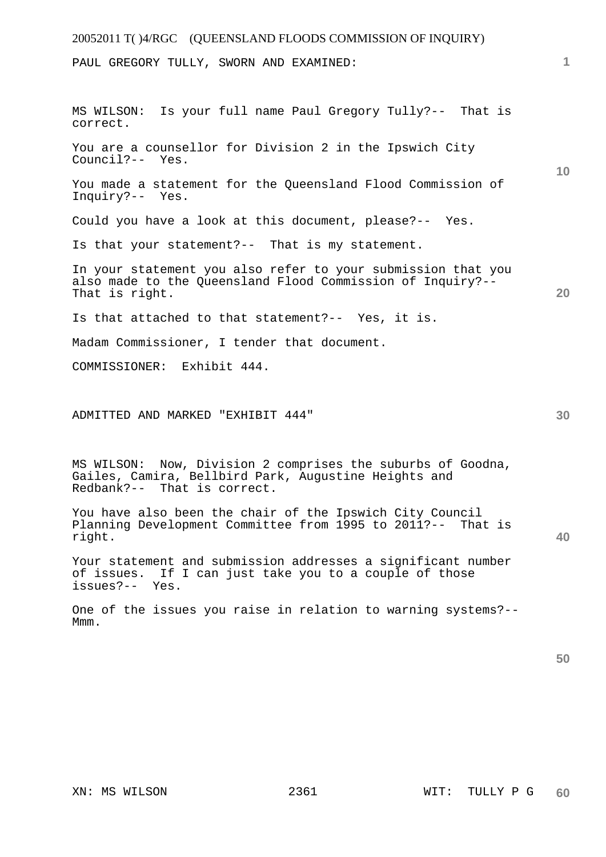### 20052011 T( )4/RGC (QUEENSLAND FLOODS COMMISSION OF INQUIRY)

PAUL GREGORY TULLY, SWORN AND EXAMINED:

**10 20 30**  MS WILSON: Is your full name Paul Gregory Tully?-- That is correct. You are a counsellor for Division 2 in the Ipswich City Council?-- Yes. You made a statement for the Queensland Flood Commission of Inquiry?-- Yes. Could you have a look at this document, please?-- Yes. Is that your statement?-- That is my statement. In your statement you also refer to your submission that you also made to the Queensland Flood Commission of Inquiry?-- That is right. Is that attached to that statement?-- Yes, it is. Madam Commissioner, I tender that document. COMMISSIONER: Exhibit 444. ADMITTED AND MARKED "EXHIBIT 444" MS WILSON: Now, Division 2 comprises the suburbs of Goodna,

Gailes, Camira, Bellbird Park, Augustine Heights and Redbank?-- That is correct.

You have also been the chair of the Ipswich City Council Planning Development Committee from 1995 to 2011?-- That is right.

Your statement and submission addresses a significant number of issues. If I can just take you to a couple of those issues?-- Yes.

One of the issues you raise in relation to warning systems?-- M<sub>mm</sub>.

**50** 

**40**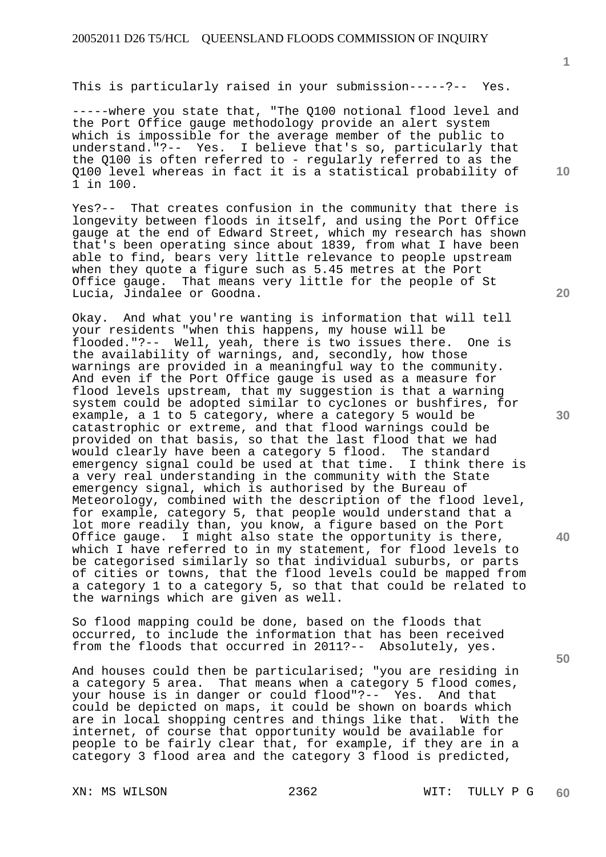This is particularly raised in your submission-----?-- Yes.

-----where you state that, "The Q100 notional flood level and the Port Office gauge methodology provide an alert system which is impossible for the average member of the public to understand."?-- Yes. I believe that's so, particularly that the Q100 is often referred to - regularly referred to as the Q100 level whereas in fact it is a statistical probability of 1 in 100.

Yes?-- That creates confusion in the community that there is longevity between floods in itself, and using the Port Office gauge at the end of Edward Street, which my research has shown that's been operating since about 1839, from what I have been able to find, bears very little relevance to people upstream when they quote a figure such as 5.45 metres at the Port Office gauge. That means very little for the people of St Lucia, Jindalee or Goodna.

Okay. And what you're wanting is information that will tell your residents "when this happens, my house will be flooded."?-- Well, yeah, there is two issues there. One is the availability of warnings, and, secondly, how those warnings are provided in a meaningful way to the community. And even if the Port Office gauge is used as a measure for flood levels upstream, that my suggestion is that a warning system could be adopted similar to cyclones or bushfires, for example, a 1 to 5 category, where a category 5 would be catastrophic or extreme, and that flood warnings could be provided on that basis, so that the last flood that we had would clearly have been a category 5 flood. The standard emergency signal could be used at that time. I think there is a very real understanding in the community with the State emergency signal, which is authorised by the Bureau of Meteorology, combined with the description of the flood level, for example, category 5, that people would understand that a lot more readily than, you know, a figure based on the Port Office gauge. I might also state the opportunity is there, which I have referred to in my statement, for flood levels to be categorised similarly so that individual suburbs, or parts of cities or towns, that the flood levels could be mapped from a category 1 to a category 5, so that that could be related to the warnings which are given as well.

So flood mapping could be done, based on the floods that occurred, to include the information that has been received from the floods that occurred in 2011?-- Absolutely, yes.

And houses could then be particularised; "you are residing in a category 5 area. That means when a category 5 flood comes, your house is in danger or could flood"?-- Yes. And that could be depicted on maps, it could be shown on boards which are in local shopping centres and things like that. With the internet, of course that opportunity would be available for people to be fairly clear that, for example, if they are in a category 3 flood area and the category 3 flood is predicted,

**1**

**10** 

**20** 

**30** 

**40**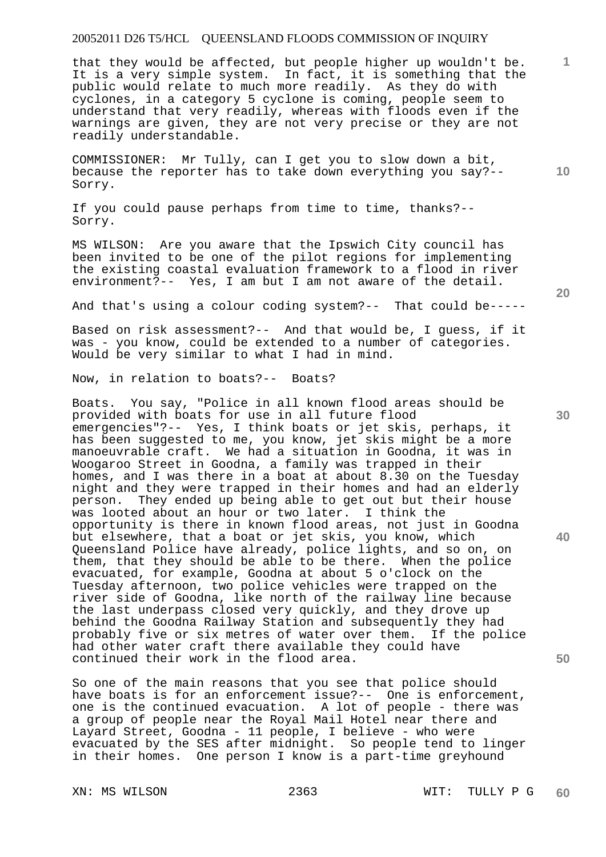that they would be affected, but people higher up wouldn't be. It is a very simple system. In fact, it is something that the public would relate to much more readily. As they do with cyclones, in a category 5 cyclone is coming, people seem to understand that very readily, whereas with floods even if the warnings are given, they are not very precise or they are not readily understandable.

COMMISSIONER: Mr Tully, can I get you to slow down a bit, because the reporter has to take down everything you say?-- Sorry.

If you could pause perhaps from time to time, thanks?-- Sorry.

MS WILSON: Are you aware that the Ipswich City council has been invited to be one of the pilot regions for implementing the existing coastal evaluation framework to a flood in river environment?-- Yes, I am but I am not aware of the detail.

And that's using a colour coding system?-- That could be-----

Based on risk assessment?-- And that would be, I guess, if it was - you know, could be extended to a number of categories. Would be very similar to what I had in mind.

Now, in relation to boats?-- Boats?

Boats. You say, "Police in all known flood areas should be provided with boats for use in all future flood emergencies"?-- Yes, I think boats or jet skis, perhaps, it has been suggested to me, you know, jet skis might be a more manoeuvrable craft. We had a situation in Goodna, it was in Woogaroo Street in Goodna, a family was trapped in their homes, and I was there in a boat at about 8.30 on the Tuesday night and they were trapped in their homes and had an elderly person. They ended up being able to get out but their house was looted about an hour or two later. I think the opportunity is there in known flood areas, not just in Goodna but elsewhere, that a boat or jet skis, you know, which Queensland Police have already, police lights, and so on, on them, that they should be able to be there. When the police evacuated, for example, Goodna at about 5 o'clock on the Tuesday afternoon, two police vehicles were trapped on the river side of Goodna, like north of the railway line because the last underpass closed very quickly, and they drove up behind the Goodna Railway Station and subsequently they had probably five or six metres of water over them. If the police had other water craft there available they could have continued their work in the flood area.

So one of the main reasons that you see that police should have boats is for an enforcement issue?-- One is enforcement, one is the continued evacuation. A lot of people - there was a group of people near the Royal Mail Hotel near there and Layard Street, Goodna - 11 people, I believe - who were evacuated by the SES after midnight. So people tend to linger in their homes. One person I know is a part-time greyhound

**20** 

**50** 

**30** 

**10**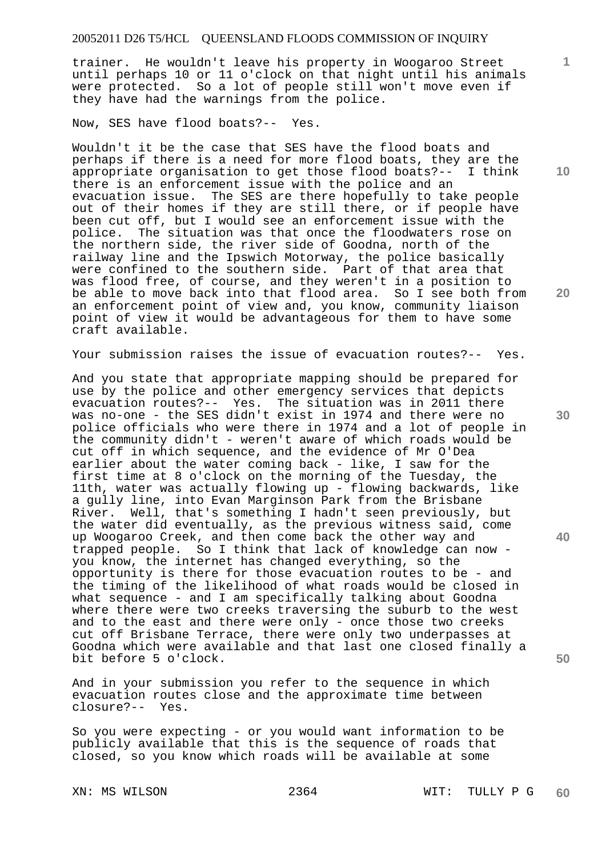trainer. He wouldn't leave his property in Woogaroo Street until perhaps 10 or 11 o'clock on that night until his animals were protected. So a lot of people still won't move even if they have had the warnings from the police.

Now, SES have flood boats?-- Yes.

Wouldn't it be the case that SES have the flood boats and perhaps if there is a need for more flood boats, they are the appropriate organisation to get those flood boats?-- I think there is an enforcement issue with the police and an evacuation issue. The SES are there hopefully to take people out of their homes if they are still there, or if people have been cut off, but I would see an enforcement issue with the police. The situation was that once the floodwaters rose on the northern side, the river side of Goodna, north of the railway line and the Ipswich Motorway, the police basically were confined to the southern side. Part of that area that was flood free, of course, and they weren't in a position to be able to move back into that flood area. So I see both from an enforcement point of view and, you know, community liaison point of view it would be advantageous for them to have some craft available.

Your submission raises the issue of evacuation routes?-- Yes.

And you state that appropriate mapping should be prepared for use by the police and other emergency services that depicts evacuation routes?-- Yes. The situation was in 2011 there was no-one - the SES didn't exist in 1974 and there were no police officials who were there in 1974 and a lot of people in the community didn't - weren't aware of which roads would be cut off in which sequence, and the evidence of Mr O'Dea earlier about the water coming back - like, I saw for the first time at 8 o'clock on the morning of the Tuesday, the 11th, water was actually flowing up - flowing backwards, like a gully line, into Evan Marginson Park from the Brisbane River. Well, that's something I hadn't seen previously, but the water did eventually, as the previous witness said, come up Woogaroo Creek, and then come back the other way and trapped people. So I think that lack of knowledge can now you know, the internet has changed everything, so the opportunity is there for those evacuation routes to be - and the timing of the likelihood of what roads would be closed in what sequence - and I am specifically talking about Goodna where there were two creeks traversing the suburb to the west and to the east and there were only - once those two creeks cut off Brisbane Terrace, there were only two underpasses at Goodna which were available and that last one closed finally a bit before 5 o'clock.

And in your submission you refer to the sequence in which evacuation routes close and the approximate time between closure?-- Yes. closure?--

So you were expecting - or you would want information to be publicly available that this is the sequence of roads that closed, so you know which roads will be available at some

**10** 

**1**

**20** 

**30** 

**40**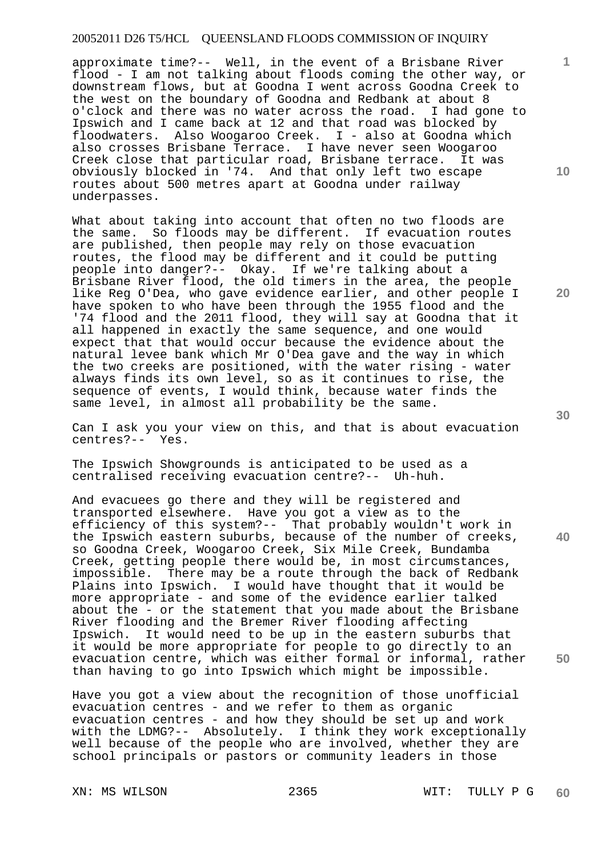approximate time?-- Well, in the event of a Brisbane River flood - I am not talking about floods coming the other way, or downstream flows, but at Goodna I went across Goodna Creek to the west on the boundary of Goodna and Redbank at about 8 o'clock and there was no water across the road. I had gone to Ipswich and I came back at 12 and that road was blocked by floodwaters. Also Woogaroo Creek. I - also at Goodna which also crosses Brisbane Terrace. I have never seen Woogaroo Creek close that particular road, Brisbane terrace. It was obviously blocked in '74. And that only left two escape routes about 500 metres apart at Goodna under railway underpasses.

What about taking into account that often no two floods are the same. So floods may be different. If evacuation routes are published, then people may rely on those evacuation routes, the flood may be different and it could be putting people into danger?-- Okay. If we're talking about a Brisbane River flood, the old timers in the area, the people like Reg O'Dea, who gave evidence earlier, and other people I have spoken to who have been through the 1955 flood and the '74 flood and the 2011 flood, they will say at Goodna that it all happened in exactly the same sequence, and one would expect that that would occur because the evidence about the natural levee bank which Mr O'Dea gave and the way in which the two creeks are positioned, with the water rising - water always finds its own level, so as it continues to rise, the sequence of events, I would think, because water finds the same level, in almost all probability be the same.

Can I ask you your view on this, and that is about evacuation centres?-- Yes.

The Ipswich Showgrounds is anticipated to be used as a centralised receiving evacuation centre?-- Uh-huh.

And evacuees go there and they will be registered and transported elsewhere. Have you got a view as to the efficiency of this system?-- That probably wouldn't work in the Ipswich eastern suburbs, because of the number of creeks, so Goodna Creek, Woogaroo Creek, Six Mile Creek, Bundamba Creek, getting people there would be, in most circumstances, impossible. There may be a route through the back of Redbank Plains into Ipswich. I would have thought that it would be more appropriate - and some of the evidence earlier talked about the - or the statement that you made about the Brisbane River flooding and the Bremer River flooding affecting Ipswich. It would need to be up in the eastern suburbs that it would be more appropriate for people to go directly to an evacuation centre, which was either formal or informal, rather than having to go into Ipswich which might be impossible.

Have you got a view about the recognition of those unofficial evacuation centres - and we refer to them as organic evacuation centres - and how they should be set up and work with the LDMG?-- Absolutely. I think they work exceptionally well because of the people who are involved, whether they are school principals or pastors or community leaders in those

**10** 

**1**

**20** 

**30** 

**40**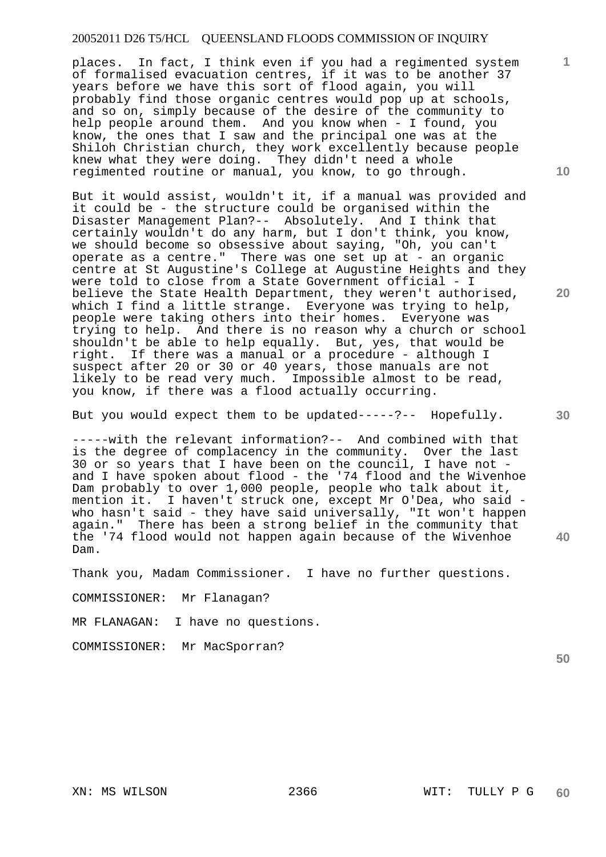places. In fact, I think even if you had a regimented system of formalised evacuation centres, if it was to be another 37 years before we have this sort of flood again, you will probably find those organic centres would pop up at schools, and so on, simply because of the desire of the community to help people around them. And you know when - I found, you know, the ones that I saw and the principal one was at the Shiloh Christian church, they work excellently because people knew what they were doing. They didn't need a whole regimented routine or manual, you know, to go through.

But it would assist, wouldn't it, if a manual was provided and it could be - the structure could be organised within the Disaster Management Plan?-- Absolutely. And I think that certainly wouldn't do any harm, but I don't think, you know, we should become so obsessive about saying, "Oh, you can't operate as a centre." There was one set up at - an organic centre at St Augustine's College at Augustine Heights and they were told to close from a State Government official - I believe the State Health Department, they weren't authorised, which I find a little strange. Everyone was trying to help, people were taking others into their homes. Everyone was trying to help. And there is no reason why a church or school shouldn't be able to help equally. But, yes, that would be right. If there was a manual or a procedure - although I suspect after 20 or 30 or 40 years, those manuals are not likely to be read very much. Impossible almost to be read, you know, if there was a flood actually occurring.

But you would expect them to be updated-----?-- Hopefully.

-----with the relevant information?-- And combined with that is the degree of complacency in the community. Over the last 30 or so years that I have been on the council, I have not and I have spoken about flood - the '74 flood and the Wivenhoe Dam probably to over 1,000 people, people who talk about it, mention it. I haven't struck one, except Mr O'Dea, who said who hasn't said - they have said universally, "It won't happen again." There has been a strong belief in the community that the '74 flood would not happen again because of the Wivenhoe Dam.

Thank you, Madam Commissioner. I have no further questions.

COMMISSIONER: Mr Flanagan?

MR FLANAGAN: I have no questions.

COMMISSIONER: Mr MacSporran?

**10** 

**1**

**30** 

**20** 

**40**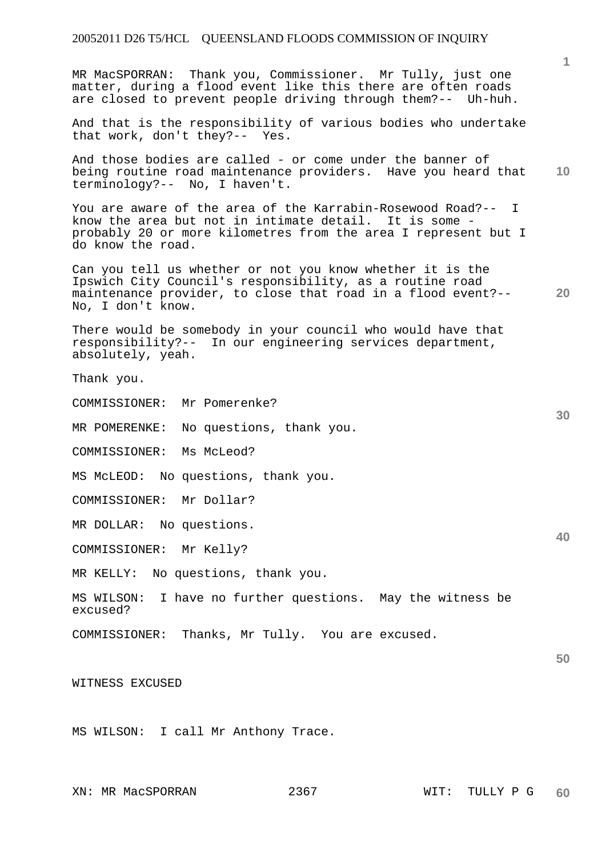MR MacSPORRAN: Thank you, Commissioner. Mr Tully, just one matter, during a flood event like this there are often roads are closed to prevent people driving through them?-- Uh-huh.

And that is the responsibility of various bodies who undertake that work, don't they?-- Yes.

**10**  And those bodies are called - or come under the banner of being routine road maintenance providers. Have you heard that terminology?-- No, I haven't.

You are aware of the area of the Karrabin-Rosewood Road?-- I know the area but not in intimate detail. It is some probably 20 or more kilometres from the area I represent but I do know the road.

**20**  Can you tell us whether or not you know whether it is the Ipswich City Council's responsibility, as a routine road maintenance provider, to close that road in a flood event?-- No, I don't know.

There would be somebody in your council who would have that responsibility?-- In our engineering services department, absolutely, yeah.

Thank you.

COMMISSIONER: Mr Pomerenke?

MR POMERENKE: No questions, thank you.

COMMISSIONER: Ms McLeod?

MS McLEOD: No questions, thank you.

COMMISSIONER: Mr Dollar?

MR DOLLAR: No questions.

COMMISSIONER: Mr Kelly?

MR KELLY: No questions, thank you.

MS WILSON: I have no further questions. May the witness be excused?

COMMISSIONER: Thanks, Mr Tully. You are excused.

WITNESS EXCUSED

MS WILSON: I call Mr Anthony Trace.

**40** 

**50** 

**60**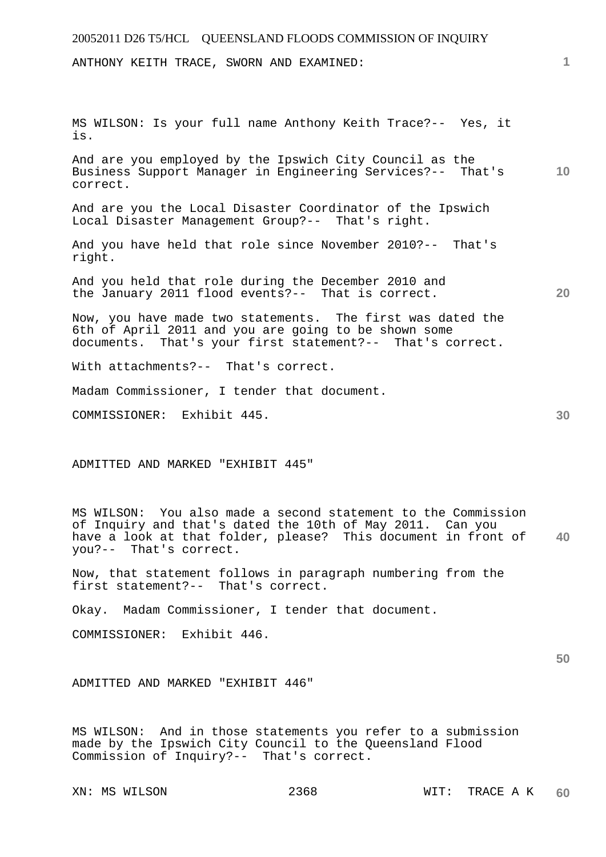| 20052011 D26 T5/HCL QUEENSLAND FLOODS COMMISSION OF INQUIRY                                                                                                                                 |                 |
|---------------------------------------------------------------------------------------------------------------------------------------------------------------------------------------------|-----------------|
| ANTHONY KEITH TRACE, SWORN AND EXAMINED:                                                                                                                                                    | 1.              |
|                                                                                                                                                                                             |                 |
|                                                                                                                                                                                             |                 |
| MS WILSON: Is your full name Anthony Keith Trace?-- Yes, it<br>is.                                                                                                                          |                 |
| And are you employed by the Ipswich City Council as the<br>Business Support Manager in Engineering Services?-- That's<br>correct.                                                           | 10 <sup>°</sup> |
| And are you the Local Disaster Coordinator of the Ipswich<br>Local Disaster Management Group?-- That's right.                                                                               |                 |
| And you have held that role since November 2010?-- That's<br>right.                                                                                                                         |                 |
| And you held that role during the December 2010 and<br>the January 2011 flood events?-- That is correct.                                                                                    | 20              |
| Now, you have made two statements. The first was dated the<br>6th of April 2011 and you are going to be shown some<br>documents. That's your first statement?-- That's correct.             |                 |
| With attachments?-- That's correct.                                                                                                                                                         |                 |
| Madam Commissioner, I tender that document.                                                                                                                                                 |                 |
| COMMISSIONER: Exhibit 445.                                                                                                                                                                  | 30              |
|                                                                                                                                                                                             |                 |
| ADMITTED AND MARKED "EXHIBIT 445"                                                                                                                                                           |                 |
|                                                                                                                                                                                             |                 |
| MS WILSON: You also made a second statement to the Commission<br>of Inquiry and that's dated the 10th of May 2011. Can you<br>have a look at that folder, please? This document in front of | 40              |

Now, that statement follows in paragraph numbering from the first statement?-- That's correct.

Okay. Madam Commissioner, I tender that document.

COMMISSIONER: Exhibit 446.

you?-- That's correct.

ADMITTED AND MARKED "EXHIBIT 446"

MS WILSON: And in those statements you refer to a submission made by the Ipswich City Council to the Queensland Flood Commission of Inquiry?-- That's correct.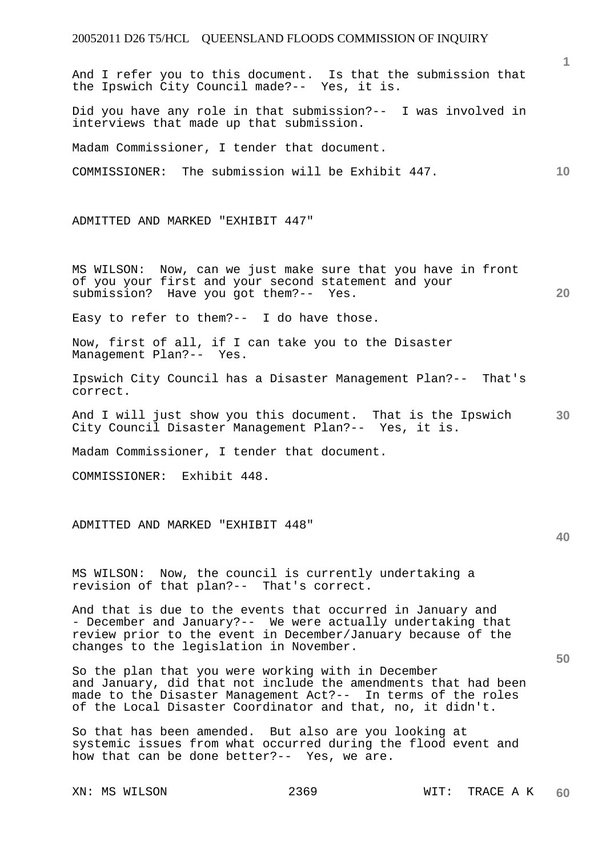|                                                                                                                                                                                                                                                    | $\mathbf{1}$ |
|----------------------------------------------------------------------------------------------------------------------------------------------------------------------------------------------------------------------------------------------------|--------------|
| And I refer you to this document. Is that the submission that<br>the Ipswich City Council made?-- Yes, it is.                                                                                                                                      |              |
| Did you have any role in that submission?-- I was involved in<br>interviews that made up that submission.                                                                                                                                          |              |
| Madam Commissioner, I tender that document.                                                                                                                                                                                                        |              |
| COMMISSIONER: The submission will be Exhibit 447.                                                                                                                                                                                                  | 10           |
| ADMITTED AND MARKED "EXHIBIT 447"                                                                                                                                                                                                                  |              |
| MS WILSON: Now, can we just make sure that you have in front<br>of you your first and your second statement and your<br>submission? Have you got them?-- Yes.                                                                                      | 20           |
| Easy to refer to them?-- I do have those.                                                                                                                                                                                                          |              |
| Now, first of all, if I can take you to the Disaster<br>Management Plan?-- Yes.                                                                                                                                                                    |              |
| Ipswich City Council has a Disaster Management Plan?-- That's<br>correct.                                                                                                                                                                          |              |
| And I will just show you this document. That is the Ipswich<br>City Council Disaster Management Plan?-- Yes, it is.                                                                                                                                | 30           |
| Madam Commissioner, I tender that document.                                                                                                                                                                                                        |              |
| COMMISSIONER: Exhibit 448.                                                                                                                                                                                                                         |              |
| ADMITTED AND MARKED "EXHIBIT 448"                                                                                                                                                                                                                  | 40           |
| MS WILSON: Now, the council is currently undertaking a<br>revision of that plan?-- That's correct.                                                                                                                                                 |              |
| And that is due to the events that occurred in January and<br>- December and January?-- We were actually undertaking that<br>review prior to the event in December/January because of the<br>changes to the legislation in November.               | 50           |
| So the plan that you were working with in December<br>and January, did that not include the amendments that had been<br>made to the Disaster Management Act?-- In terms of the roles<br>of the Local Disaster Coordinator and that, no, it didn't. |              |
| So that has been amended. But also are you looking at<br>systemic issues from what occurred during the flood event and<br>how that can be done better?-- Yes, we are.                                                                              |              |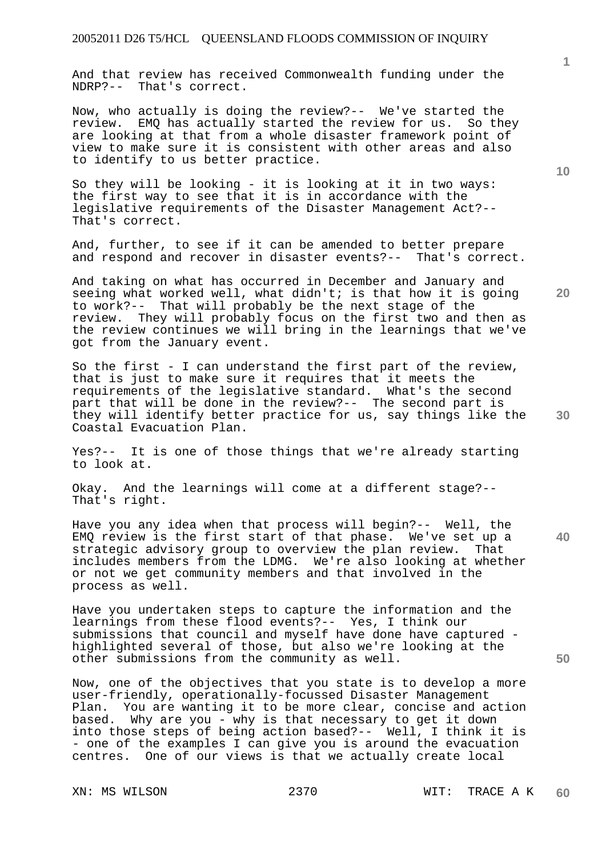And that review has received Commonwealth funding under the NDRP?-- That's correct.

Now, who actually is doing the review?-- We've started the review. EMQ has actually started the review for us. So they are looking at that from a whole disaster framework point of view to make sure it is consistent with other areas and also to identify to us better practice.

So they will be looking - it is looking at it in two ways: the first way to see that it is in accordance with the legislative requirements of the Disaster Management Act?-- That's correct.

And, further, to see if it can be amended to better prepare and respond and recover in disaster events?-- That's correct.

And taking on what has occurred in December and January and seeing what worked well, what didn't; is that how it is going to work?-- That will probably be the next stage of the review. They will probably focus on the first two and then as the review continues we will bring in the learnings that we've got from the January event.

**30**  So the first - I can understand the first part of the review, that is just to make sure it requires that it meets the requirements of the legislative standard. What's the second part that will be done in the review?-- The second part is they will identify better practice for us, say things like the Coastal Evacuation Plan.

Yes?-- It is one of those things that we're already starting to look at.

Okay. And the learnings will come at a different stage?-- That's right.

Have you any idea when that process will begin?-- Well, the EMQ review is the first start of that phase. We've set up a strategic advisory group to overview the plan review. That includes members from the LDMG. We're also looking at whether or not we get community members and that involved in the process as well.

Have you undertaken steps to capture the information and the learnings from these flood events?-- Yes, I think our submissions that council and myself have done have captured highlighted several of those, but also we're looking at the other submissions from the community as well.

Now, one of the objectives that you state is to develop a more user-friendly, operationally-focussed Disaster Management Plan. You are wanting it to be more clear, concise and action based. Why are you - why is that necessary to get it down into those steps of being action based?-- Well, I think it is - one of the examples I can give you is around the evacuation centres. One of our views is that we actually create local

**10** 

**20** 

**1**

**40**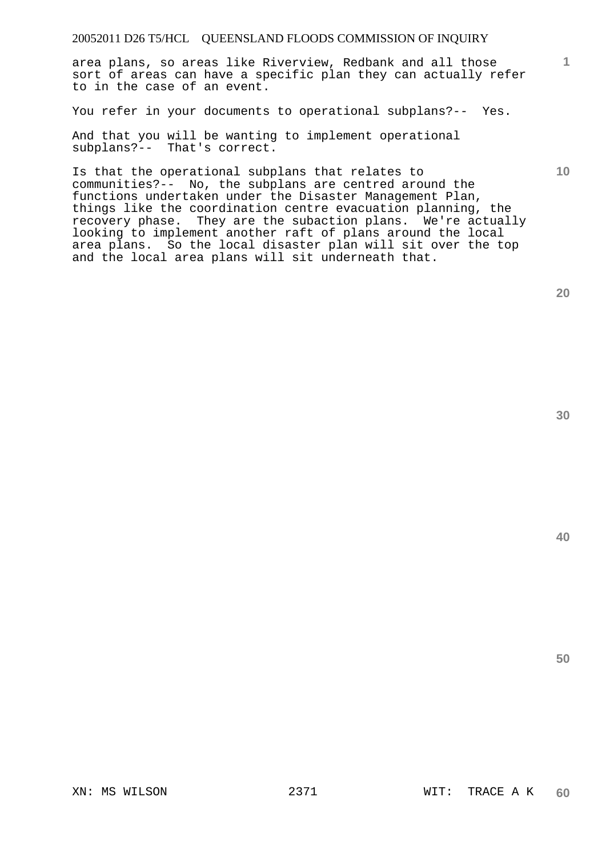area plans, so areas like Riverview, Redbank and all those sort of areas can have a specific plan they can actually refer to in the case of an event.

You refer in your documents to operational subplans?-- Yes.

And that you will be wanting to implement operational subplans?-- That's correct.

Is that the operational subplans that relates to communities?-- No, the subplans are centred around the functions undertaken under the Disaster Management Plan, things like the coordination centre evacuation planning, the recovery phase. They are the subaction plans. We're actually looking to implement another raft of plans around the local area plans. So the local disaster plan will sit over the top and the local area plans will sit underneath that.

**20** 

**1**

**10** 

**30**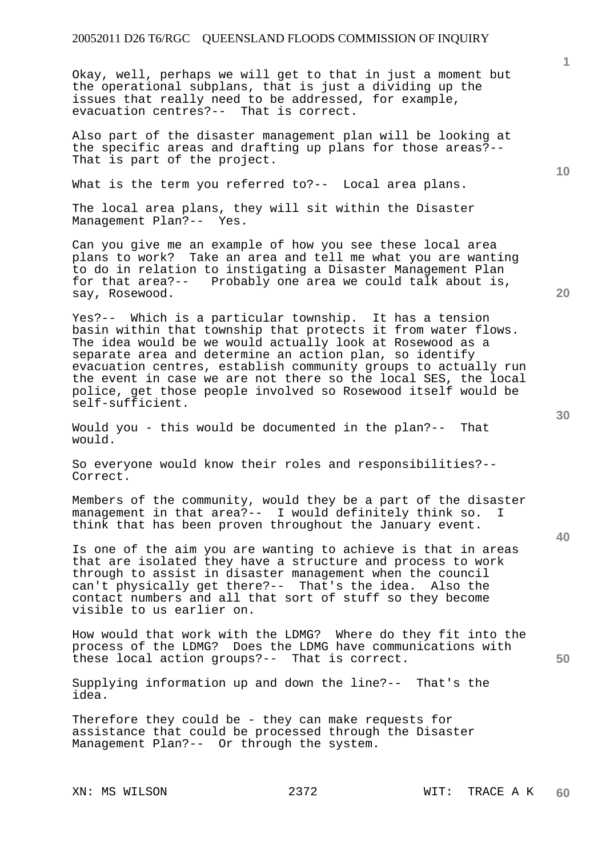Okay, well, perhaps we will get to that in just a moment but the operational subplans, that is just a dividing up the issues that really need to be addressed, for example, evacuation centres?-- That is correct.

Also part of the disaster management plan will be looking at the specific areas and drafting up plans for those areas?-- That is part of the project.

What is the term you referred to ?-- Local area plans.

The local area plans, they will sit within the Disaster Management Plan?-- Yes.

Can you give me an example of how you see these local area plans to work? Take an area and tell me what you are wanting to do in relation to instigating a Disaster Management Plan for that area?-- Probably one area we could talk about is, say, Rosewood.

Yes?-- Which is a particular township. It has a tension basin within that township that protects it from water flows. The idea would be we would actually look at Rosewood as a separate area and determine an action plan, so identify evacuation centres, establish community groups to actually run the event in case we are not there so the local SES, the local police, get those people involved so Rosewood itself would be self-sufficient.

Would you - this would be documented in the plan?-- That would.

So everyone would know their roles and responsibilities?-- Correct.

Members of the community, would they be a part of the disaster management in that area?-- I would definitely think so. I think that has been proven throughout the January event.

Is one of the aim you are wanting to achieve is that in areas that are isolated they have a structure and process to work through to assist in disaster management when the council can't physically get there?-- That's the idea. Also the contact numbers and all that sort of stuff so they become visible to us earlier on.

How would that work with the LDMG? Where do they fit into the process of the LDMG? Does the LDMG have communications with these local action groups?-- That is correct.

Supplying information up and down the line?-- That's the idea.

Therefore they could be - they can make requests for assistance that could be processed through the Disaster Management Plan?-- Or through the system.

**40** 

**50** 

**10**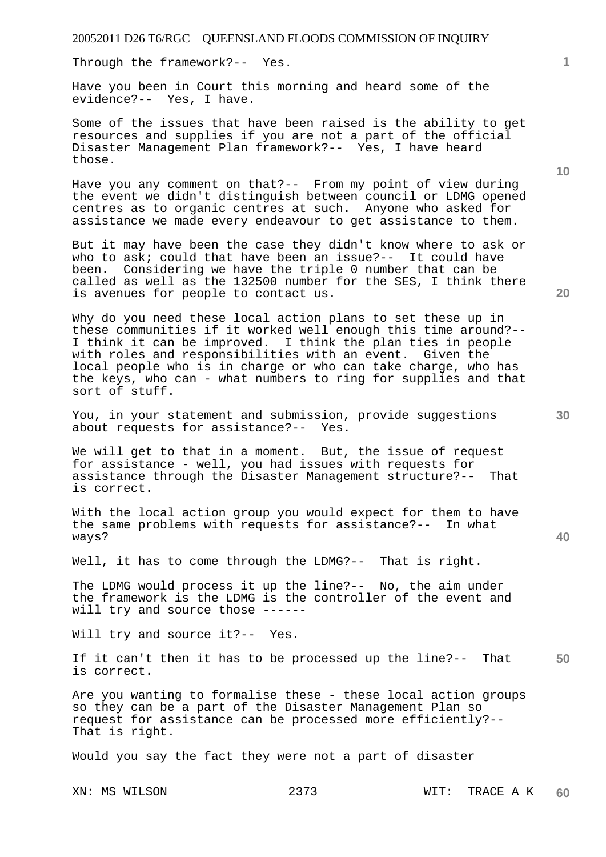Through the framework?-- Yes.

Have you been in Court this morning and heard some of the evidence?-- Yes, I have.

Some of the issues that have been raised is the ability to get resources and supplies if you are not a part of the official Disaster Management Plan framework?-- Yes, I have heard those.

Have you any comment on that?-- From my point of view during the event we didn't distinguish between council or LDMG opened centres as to organic centres at such. Anyone who asked for assistance we made every endeavour to get assistance to them.

But it may have been the case they didn't know where to ask or who to ask; could that have been an issue?-- It could have been. Considering we have the triple 0 number that can be called as well as the 132500 number for the SES, I think there is avenues for people to contact us.

Why do you need these local action plans to set these up in these communities if it worked well enough this time around?-- I think it can be improved. I think the plan ties in people with roles and responsibilities with an event. Given the local people who is in charge or who can take charge, who has the keys, who can - what numbers to ring for supplies and that sort of stuff.

You, in your statement and submission, provide suggestions about requests for assistance?-- Yes.

We will get to that in a moment. But, the issue of request for assistance - well, you had issues with requests for assistance through the Disaster Management structure?-- That is correct.

With the local action group you would expect for them to have the same problems with requests for assistance?-- In what ways?

Well, it has to come through the LDMG?-- That is right.

The LDMG would process it up the line?-- No, the aim under the framework is the LDMG is the controller of the event and will try and source those ------

Will try and source it ?-- Yes.

**50**  If it can't then it has to be processed up the line?-- That is correct.

Are you wanting to formalise these - these local action groups so they can be a part of the Disaster Management Plan so request for assistance can be processed more efficiently?-- That is right.

Would you say the fact they were not a part of disaster

**20** 

**40** 

**10**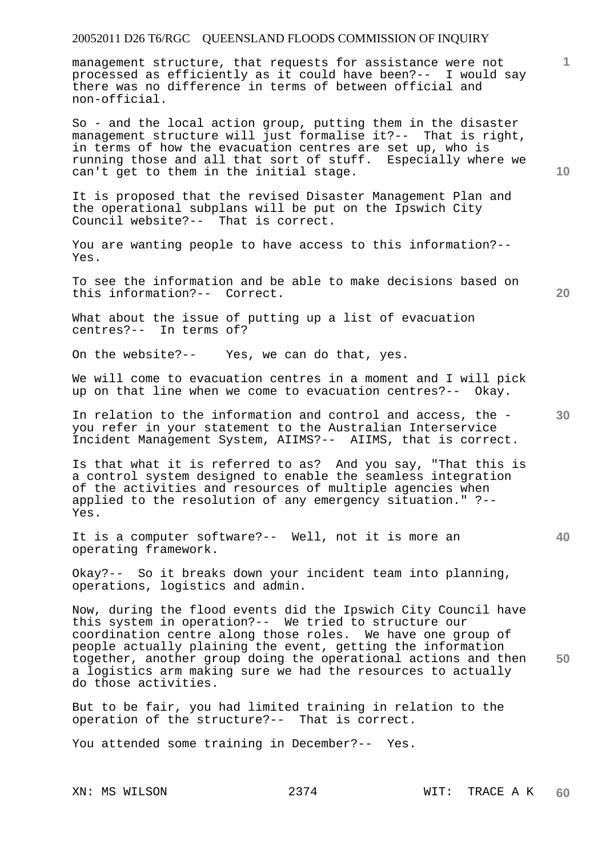management structure, that requests for assistance were not processed as efficiently as it could have been?-- I would say there was no difference in terms of between official and non-official.

So - and the local action group, putting them in the disaster management structure will just formalise it?-- That is right, in terms of how the evacuation centres are set up, who is running those and all that sort of stuff. Especially where we can't get to them in the initial stage.

It is proposed that the revised Disaster Management Plan and the operational subplans will be put on the Ipswich City Council website?-- That is correct.

You are wanting people to have access to this information?-- Yes.

To see the information and be able to make decisions based on this information?-- Correct.

**20** 

**30** 

**40** 

**1**

**10** 

What about the issue of putting up a list of evacuation centres?-- In terms of?

On the website?-- Yes, we can do that, yes.

We will come to evacuation centres in a moment and I will pick up on that line when we come to evacuation centres?-- Okay.

In relation to the information and control and access, the you refer in your statement to the Australian Interservice Incident Management System, AIIMS?-- AIIMS, that is correct.

Is that what it is referred to as? And you say, "That this is a control system designed to enable the seamless integration of the activities and resources of multiple agencies when applied to the resolution of any emergency situation." ?-- Yes.

It is a computer software?-- Well, not it is more an operating framework.

Okay?-- So it breaks down your incident team into planning, operations, logistics and admin.

**50**  Now, during the flood events did the Ipswich City Council have this system in operation?-- We tried to structure our coordination centre along those roles. We have one group of people actually plaining the event, getting the information together, another group doing the operational actions and then a logistics arm making sure we had the resources to actually do those activities.

But to be fair, you had limited training in relation to the operation of the structure?-- That is correct.

You attended some training in December?-- Yes.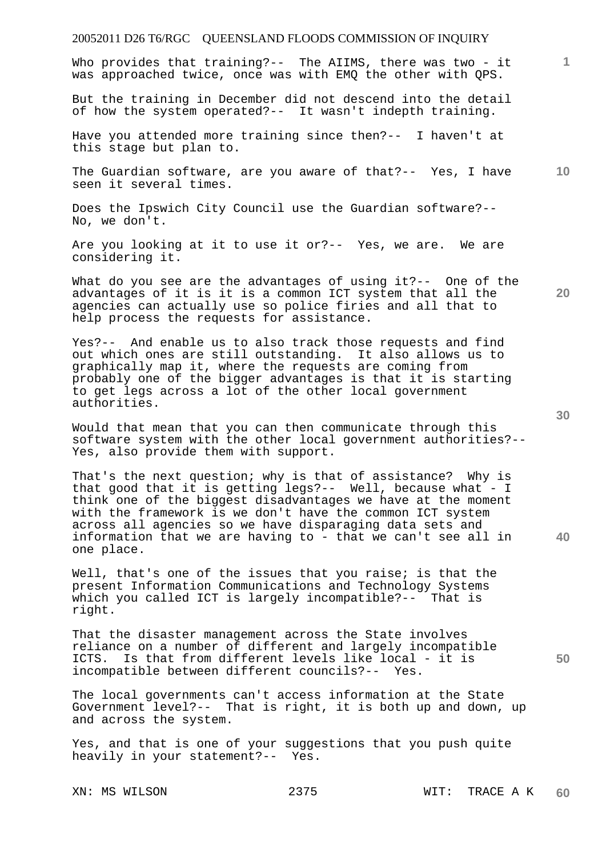Who provides that training?-- The AIIMS, there was two - it was approached twice, once was with EMQ the other with QPS.

But the training in December did not descend into the detail of how the system operated?-- It wasn't indepth training.

Have you attended more training since then?-- I haven't at this stage but plan to.

**10**  The Guardian software, are you aware of that?-- Yes, I have seen it several times.

Does the Ipswich City Council use the Guardian software?-- No, we don't.

Are you looking at it to use it or?-- Yes, we are. We are considering it.

What do you see are the advantages of using it?-- One of the advantages of it is it is a common ICT system that all the agencies can actually use so police firies and all that to help process the requests for assistance.

Yes?-- And enable us to also track those requests and find out which ones are still outstanding. It also allows us to graphically map it, where the requests are coming from probably one of the bigger advantages is that it is starting to get legs across a lot of the other local government authorities.

Would that mean that you can then communicate through this software system with the other local government authorities?-- Yes, also provide them with support.

That's the next question; why is that of assistance? Why is that good that it is getting legs?-- Well, because what - I think one of the biggest disadvantages we have at the moment with the framework is we don't have the common ICT system across all agencies so we have disparaging data sets and information that we are having to - that we can't see all in one place.

Well, that's one of the issues that you raise; is that the present Information Communications and Technology Systems which you called ICT is largely incompatible?-- That is right.

That the disaster management across the State involves reliance on a number of different and largely incompatible ICTS. Is that from different levels like local - it is incompatible between different councils?-- Yes.

The local governments can't access information at the State Government level?-- That is right, it is both up and down, up and across the system.

Yes, and that is one of your suggestions that you push quite heavily in your statement?-- Yes.

**30** 

**20** 

**40** 

**50**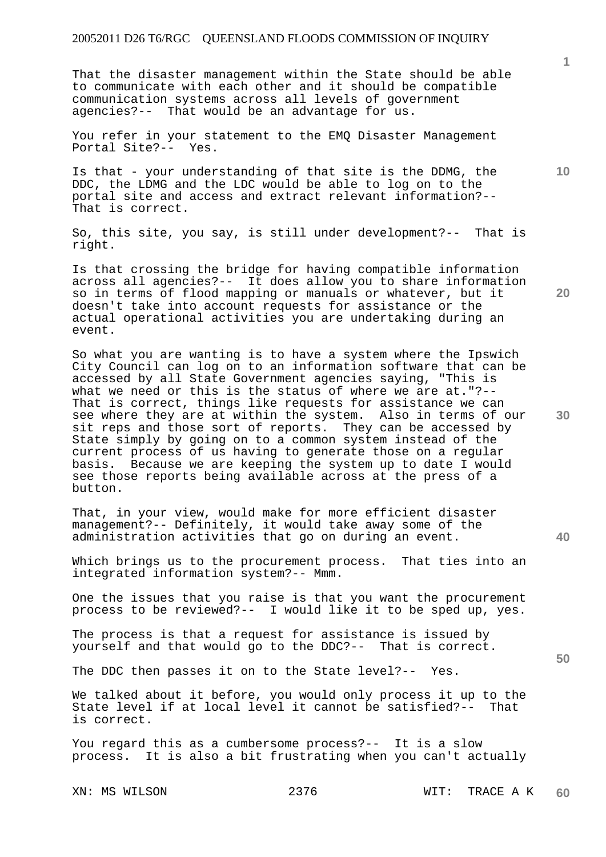That the disaster management within the State should be able to communicate with each other and it should be compatible communication systems across all levels of government agencies?-- That would be an advantage for us.

You refer in your statement to the EMQ Disaster Management Portal Site?-- Yes.

Is that - your understanding of that site is the DDMG, the DDC, the LDMG and the LDC would be able to log on to the portal site and access and extract relevant information?-- That is correct.

So, this site, you say, is still under development?-- That is right.

Is that crossing the bridge for having compatible information across all agencies?-- It does allow you to share information so in terms of flood mapping or manuals or whatever, but it doesn't take into account requests for assistance or the actual operational activities you are undertaking during an event.

So what you are wanting is to have a system where the Ipswich City Council can log on to an information software that can be accessed by all State Government agencies saying, "This is what we need or this is the status of where we are at."?-- That is correct, things like requests for assistance we can see where they are at within the system. Also in terms of our sit reps and those sort of reports. They can be accessed by State simply by going on to a common system instead of the current process of us having to generate those on a regular basis. Because we are keeping the system up to date I would see those reports being available across at the press of a button.

That, in your view, would make for more efficient disaster management?-- Definitely, it would take away some of the administration activities that go on during an event.

Which brings us to the procurement process. That ties into an integrated information system?-- Mmm.

One the issues that you raise is that you want the procurement process to be reviewed?-- I would like it to be sped up, yes.

The process is that a request for assistance is issued by yourself and that would go to the DDC?-- That is correct.

The DDC then passes it on to the State level?-- Yes.

We talked about it before, you would only process it up to the State level if at local level it cannot be satisfied?-- That is correct.

You regard this as a cumbersome process?-- It is a slow process. It is also a bit frustrating when you can't actually

**1**

**10** 

**20** 

**40**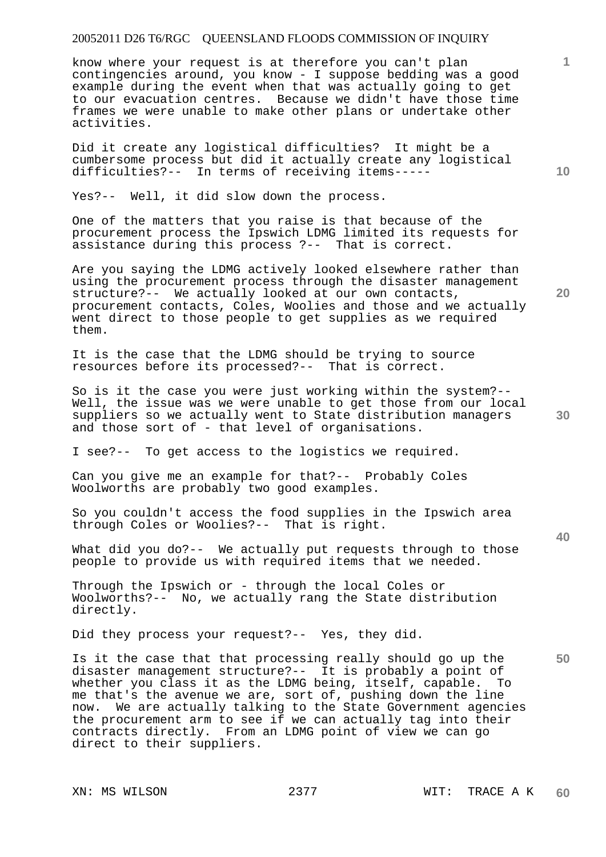know where your request is at therefore you can't plan contingencies around, you know - I suppose bedding was a good example during the event when that was actually going to get to our evacuation centres. Because we didn't have those time frames we were unable to make other plans or undertake other activities.

Did it create any logistical difficulties? It might be a cumbersome process but did it actually create any logistical difficulties?-- In terms of receiving items-----

Yes?-- Well, it did slow down the process.

One of the matters that you raise is that because of the procurement process the Ipswich LDMG limited its requests for assistance during this process ?-- That is correct.

Are you saying the LDMG actively looked elsewhere rather than using the procurement process through the disaster management structure?-- We actually looked at our own contacts, procurement contacts, Coles, Woolies and those and we actually went direct to those people to get supplies as we required them.

It is the case that the LDMG should be trying to source resources before its processed?-- That is correct.

So is it the case you were just working within the system?-- Well, the issue was we were unable to get those from our local suppliers so we actually went to State distribution managers and those sort of - that level of organisations.

I see?-- To get access to the logistics we required.

Can you give me an example for that?-- Probably Coles Woolworths are probably two good examples.

So you couldn't access the food supplies in the Ipswich area through Coles or Woolies?-- That is right.

What did you do?-- We actually put requests through to those people to provide us with required items that we needed.

Through the Ipswich or - through the local Coles or Woolworths?-- No, we actually rang the State distribution directly.

Did they process your request?-- Yes, they did.

Is it the case that that processing really should go up the disaster management structure?-- It is probably a point of whether you class it as the LDMG being, itself, capable. To whether you class it as the LDMG being, itself, capable. me that's the avenue we are, sort of, pushing down the line now. We are actually talking to the State Government agencies the procurement arm to see if we can actually tag into their contracts directly. From an LDMG point of view we can go direct to their suppliers.

**20** 

**40** 

**50** 

**10**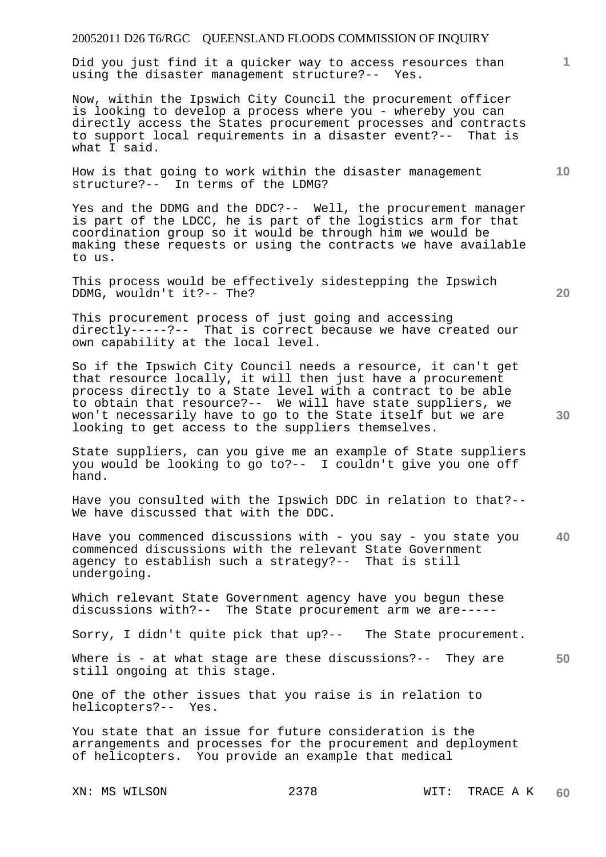Did you just find it a quicker way to access resources than using the disaster management structure?-- Yes.

Now, within the Ipswich City Council the procurement officer is looking to develop a process where you - whereby you can directly access the States procurement processes and contracts to support local requirements in a disaster event?-- That is what I said.

How is that going to work within the disaster management structure?-- In terms of the LDMG?

Yes and the DDMG and the DDC?-- Well, the procurement manager is part of the LDCC, he is part of the logistics arm for that coordination group so it would be through him we would be making these requests or using the contracts we have available to us.

This process would be effectively sidestepping the Ipswich DDMG, wouldn't it?-- The?

This procurement process of just going and accessing directly-----?-- That is correct because we have created our own capability at the local level.

So if the Ipswich City Council needs a resource, it can't get that resource locally, it will then just have a procurement process directly to a State level with a contract to be able to obtain that resource?-- We will have state suppliers, we won't necessarily have to go to the State itself but we are looking to get access to the suppliers themselves.

State suppliers, can you give me an example of State suppliers you would be looking to go to?-- I couldn't give you one off hand.

Have you consulted with the Ipswich DDC in relation to that?-- We have discussed that with the DDC.

**40**  Have you commenced discussions with - you say - you state you commenced discussions with the relevant State Government agency to establish such a strategy?-- That is still undergoing.

Which relevant State Government agency have you begun these discussions with?-- The State procurement arm we are-----

Sorry, I didn't quite pick that up?-- The State procurement.

**50**  Where is - at what stage are these discussions?-- They are still ongoing at this stage.

One of the other issues that you raise is in relation to helicopters?-- Yes.

You state that an issue for future consideration is the arrangements and processes for the procurement and deployment of helicopters. You provide an example that medical

XN: MS WILSON 2378 WIT: TRACE A K **60** 

**20** 

**1**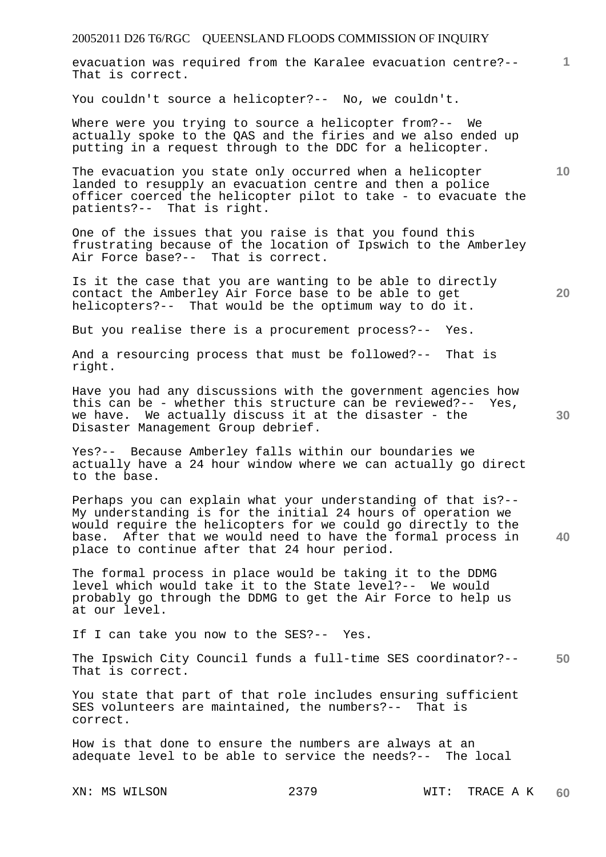evacuation was required from the Karalee evacuation centre?-- That is correct.

You couldn't source a helicopter?-- No, we couldn't.

Where were you trying to source a helicopter from?-- We actually spoke to the QAS and the firies and we also ended up putting in a request through to the DDC for a helicopter.

The evacuation you state only occurred when a helicopter landed to resupply an evacuation centre and then a police officer coerced the helicopter pilot to take - to evacuate the patients?-- That is right.

One of the issues that you raise is that you found this frustrating because of the location of Ipswich to the Amberley Air Force base?-- That is correct.

Is it the case that you are wanting to be able to directly contact the Amberley Air Force base to be able to get helicopters?-- That would be the optimum way to do it.

But you realise there is a procurement process?-- Yes.

And a resourcing process that must be followed?-- That is right.

Have you had any discussions with the government agencies how this can be - whether this structure can be reviewed?-- Yes, we have. We actually discuss it at the disaster - the Disaster Management Group debrief.

Yes?-- Because Amberley falls within our boundaries we actually have a 24 hour window where we can actually go direct to the base.

Perhaps you can explain what your understanding of that is?-- My understanding is for the initial 24 hours of operation we would require the helicopters for we could go directly to the base. After that we would need to have the formal process in place to continue after that 24 hour period.

The formal process in place would be taking it to the DDMG level which would take it to the State level?-- We would probably go through the DDMG to get the Air Force to help us at our level.

If I can take you now to the SES?-- Yes.

**50**  The Ipswich City Council funds a full-time SES coordinator?-- That is correct.

You state that part of that role includes ensuring sufficient SES volunteers are maintained, the numbers?-- That is correct.

How is that done to ensure the numbers are always at an adequate level to be able to service the needs?-- The local

XN: MS WILSON 2379 WIT: TRACE A K **60** 

**20** 

**10** 

**1**

**30**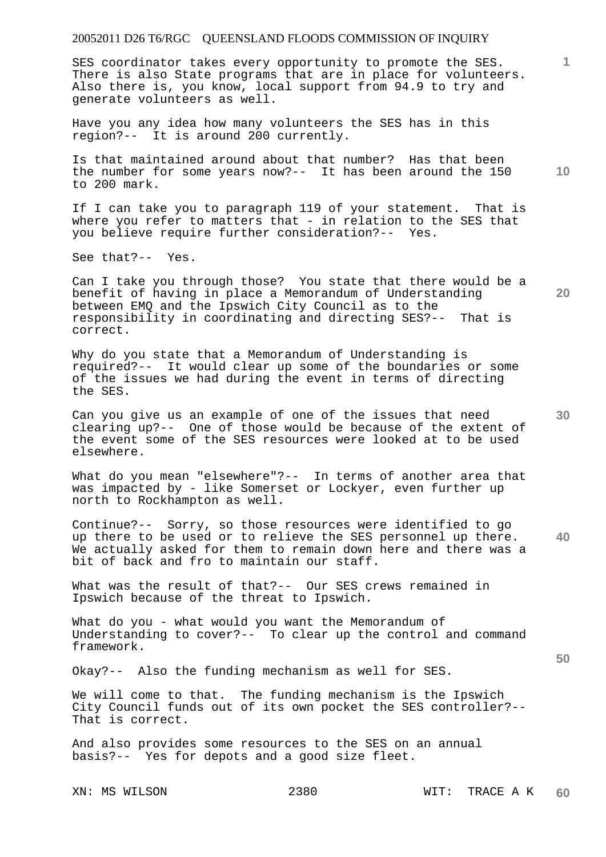SES coordinator takes every opportunity to promote the SES. There is also State programs that are in place for volunteers. Also there is, you know, local support from 94.9 to try and generate volunteers as well.

Have you any idea how many volunteers the SES has in this region?-- It is around 200 currently.

Is that maintained around about that number? Has that been the number for some years now?-- It has been around the 150 to 200 mark.

If I can take you to paragraph 119 of your statement. That is where you refer to matters that - in relation to the SES that you believe require further consideration?-- Yes.

See that?-- Yes.

Can I take you through those? You state that there would be a benefit of having in place a Memorandum of Understanding between EMQ and the Ipswich City Council as to the responsibility in coordinating and directing SES?-- That is correct.

Why do you state that a Memorandum of Understanding is required?-- It would clear up some of the boundaries or some of the issues we had during the event in terms of directing the SES.

Can you give us an example of one of the issues that need clearing up?-- One of those would be because of the extent of the event some of the SES resources were looked at to be used elsewhere.

What do you mean "elsewhere"?-- In terms of another area that was impacted by - like Somerset or Lockyer, even further up north to Rockhampton as well.

**40**  Continue?-- Sorry, so those resources were identified to go up there to be used or to relieve the SES personnel up there. We actually asked for them to remain down here and there was a bit of back and fro to maintain our staff.

What was the result of that?-- Our SES crews remained in Ipswich because of the threat to Ipswich.

What do you - what would you want the Memorandum of Understanding to cover?-- To clear up the control and command framework.

Okay?-- Also the funding mechanism as well for SES.

We will come to that. The funding mechanism is the Ipswich City Council funds out of its own pocket the SES controller?-- That is correct.

And also provides some resources to the SES on an annual basis?-- Yes for depots and a good size fleet.

**20** 

**1**

**10**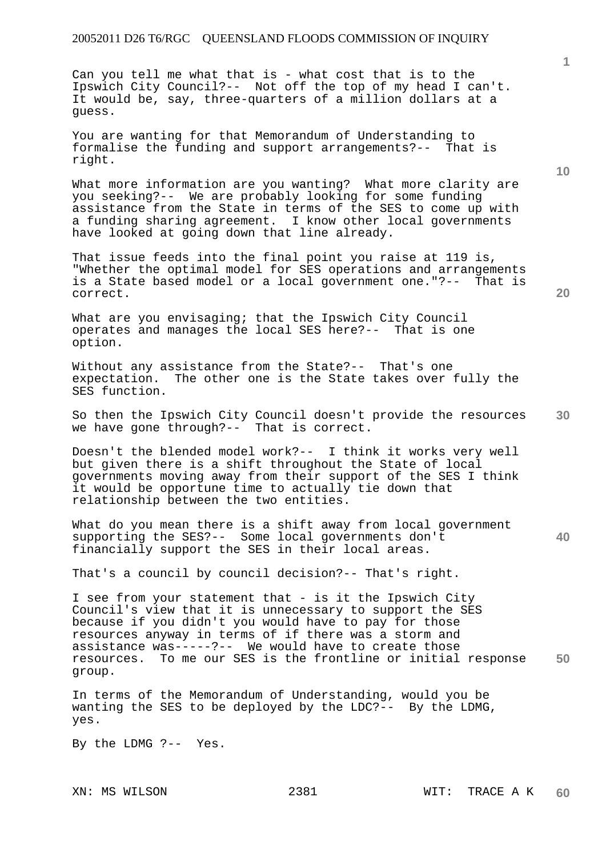Can you tell me what that is - what cost that is to the Ipswich City Council?-- Not off the top of my head I can't. It would be, say, three-quarters of a million dollars at a guess.

You are wanting for that Memorandum of Understanding to formalise the funding and support arrangements?-- That is right.

What more information are you wanting? What more clarity are you seeking?-- We are probably looking for some funding assistance from the State in terms of the SES to come up with a funding sharing agreement. I know other local governments have looked at going down that line already.

That issue feeds into the final point you raise at 119 is, "Whether the optimal model for SES operations and arrangements is a State based model or a local government one."?-- That is correct.

What are you envisaging; that the Ipswich City Council operates and manages the local SES here?-- That is one option.

Without any assistance from the State?-- That's one expectation. The other one is the State takes over fully the SES function.

**30**  So then the Ipswich City Council doesn't provide the resources we have gone through?-- That is correct.

Doesn't the blended model work?-- I think it works very well but given there is a shift throughout the State of local governments moving away from their support of the SES I think it would be opportune time to actually tie down that relationship between the two entities.

What do you mean there is a shift away from local government supporting the SES?-- Some local governments don't financially support the SES in their local areas.

That's a council by council decision?-- That's right.

**50**  I see from your statement that - is it the Ipswich City Council's view that it is unnecessary to support the SES because if you didn't you would have to pay for those resources anyway in terms of if there was a storm and assistance was-----?-- We would have to create those resources. To me our SES is the frontline or initial response group.

In terms of the Memorandum of Understanding, would you be wanting the SES to be deployed by the LDC?-- By the LDMG, yes.

By the LDMG ?-- Yes.

**1**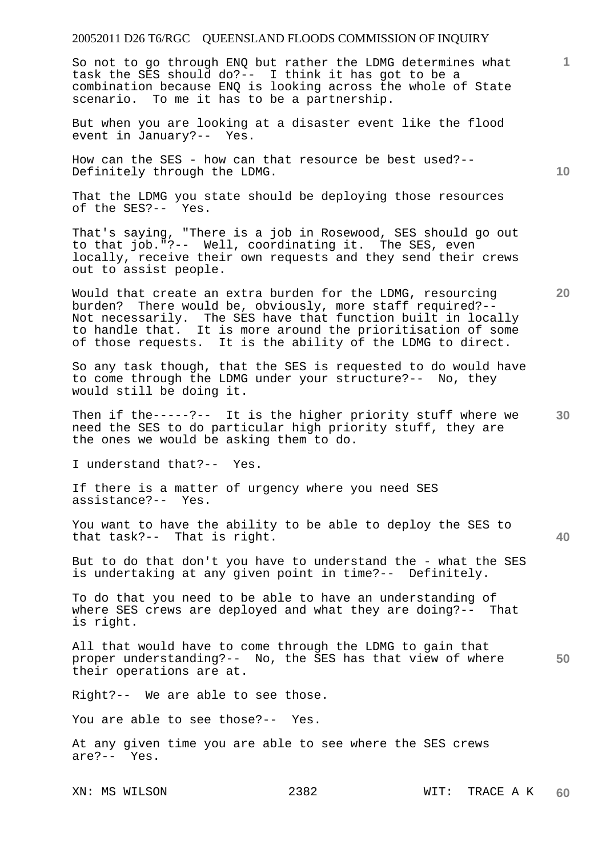So not to go through ENQ but rather the LDMG determines what task the SES should do?-- I think it has got to be a combination because ENQ is looking across the whole of State scenario. To me it has to be a partnership.

But when you are looking at a disaster event like the flood event in January?-- Yes.

How can the SES - how can that resource be best used?-- Definitely through the LDMG.

That the LDMG you state should be deploying those resources of the SES?-- Yes.

That's saying, "There is a job in Rosewood, SES should go out to that job."?-- Well, coordinating it. The SES, even locally, receive their own requests and they send their crews out to assist people.

Would that create an extra burden for the LDMG, resourcing burden? There would be, obviously, more staff required?-- Not necessarily. The SES have that function built in locally to handle that. It is more around the prioritisation of some of those requests. It is the ability of the LDMG to direct.

So any task though, that the SES is requested to do would have to come through the LDMG under your structure?-- No, they would still be doing it.

**30**  Then if the-----?-- It is the higher priority stuff where we need the SES to do particular high priority stuff, they are the ones we would be asking them to do.

I understand that?-- Yes.

If there is a matter of urgency where you need SES<br>assistance?-- Yes. assistance?--

You want to have the ability to be able to deploy the SES to that task?-- That is right.

But to do that don't you have to understand the - what the SES is undertaking at any given point in time?-- Definitely.

To do that you need to be able to have an understanding of where SES crews are deployed and what they are doing?-- That is right.

**50**  All that would have to come through the LDMG to gain that proper understanding?-- No, the SES has that view of where their operations are at.

Right?-- We are able to see those.

You are able to see those?-- Yes.

At any given time you are able to see where the SES crews are?-- Yes.

**10** 

**1**

**20**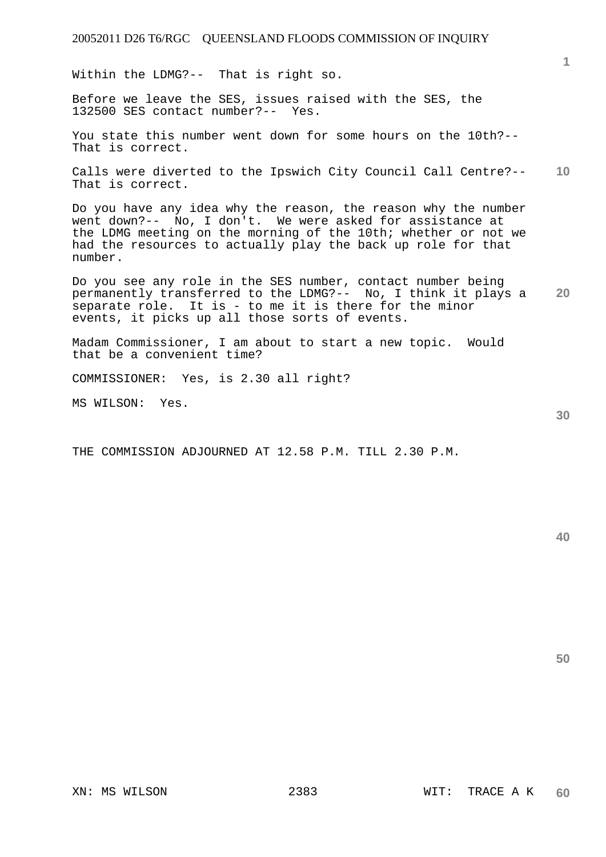Within the LDMG?-- That is right so.

Before we leave the SES, issues raised with the SES, the 132500 SES contact number?-- Yes.

You state this number went down for some hours on the 10th?-- That is correct.

**10**  Calls were diverted to the Ipswich City Council Call Centre?-- That is correct.

Do you have any idea why the reason, the reason why the number went down?-- No, I don't. We were asked for assistance at the LDMG meeting on the morning of the 10th; whether or not we had the resources to actually play the back up role for that number.

**20**  Do you see any role in the SES number, contact number being permanently transferred to the LDMG?-- No, I think it plays a separate role. It is - to me it is there for the minor events, it picks up all those sorts of events.

Madam Commissioner, I am about to start a new topic. Would that be a convenient time?

COMMISSIONER: Yes, is 2.30 all right?

MS WILSON: Yes.

THE COMMISSION ADJOURNED AT 12.58 P.M. TILL 2.30 P.M.

**50** 

**30**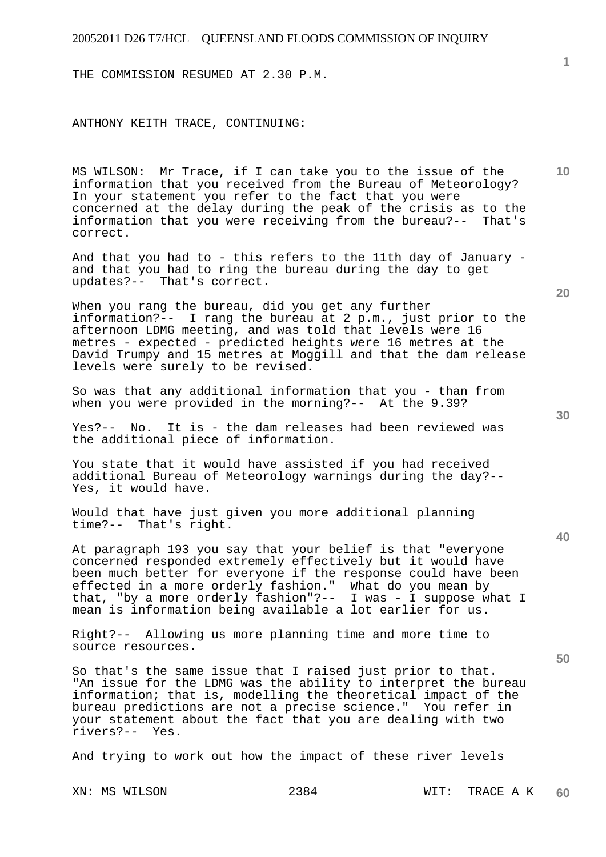THE COMMISSION RESUMED AT 2.30 P.M.

ANTHONY KEITH TRACE, CONTINUING:

MS WILSON: Mr Trace, if I can take you to the issue of the information that you received from the Bureau of Meteorology? In your statement you refer to the fact that you were concerned at the delay during the peak of the crisis as to the information that you were receiving from the bureau?-- That's correct.

And that you had to - this refers to the 11th day of January and that you had to ring the bureau during the day to get updates?-- That's correct.

When you rang the bureau, did you get any further information?-- I rang the bureau at 2 p.m., just prior to the afternoon LDMG meeting, and was told that levels were 16 metres - expected - predicted heights were 16 metres at the David Trumpy and 15 metres at Moggill and that the dam release levels were surely to be revised.

So was that any additional information that you - than from when you were provided in the morning?-- At the 9.39?

Yes?-- No. It is - the dam releases had been reviewed was the additional piece of information.

You state that it would have assisted if you had received additional Bureau of Meteorology warnings during the day?-- Yes, it would have.

Would that have just given you more additional planning time?-- That's right.

At paragraph 193 you say that your belief is that "everyone concerned responded extremely effectively but it would have been much better for everyone if the response could have been effected in a more orderly fashion." What do you mean by that, "by a more orderly fashion"?-- I was - I suppose what I mean is information being available a lot earlier for us.

Right?-- Allowing us more planning time and more time to source resources.

So that's the same issue that I raised just prior to that. "An issue for the LDMG was the ability to interpret the bureau information; that is, modelling the theoretical impact of the bureau predictions are not a precise science." You refer in your statement about the fact that you are dealing with two rivers?-- Yes.

And trying to work out how the impact of these river levels

**30** 

**40** 

**50** 

**20** 

**10**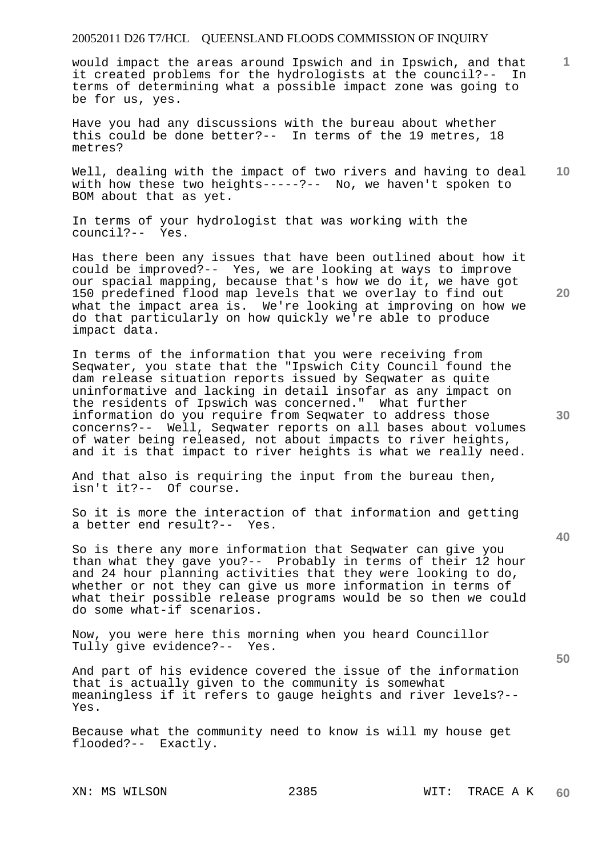would impact the areas around Ipswich and in Ipswich, and that<br>it created problems for the hydrologists at the council?-- In it created problems for the hydrologists at the council?-terms of determining what a possible impact zone was going to be for us, yes.

Have you had any discussions with the bureau about whether this could be done better?-- In terms of the 19 metres, 18 metres?

**10**  Well, dealing with the impact of two rivers and having to deal with how these two heights-----?-- No, we haven't spoken to BOM about that as yet.

In terms of your hydrologist that was working with the council?-- Yes.

Has there been any issues that have been outlined about how it could be improved?-- Yes, we are looking at ways to improve our spacial mapping, because that's how we do it, we have got 150 predefined flood map levels that we overlay to find out what the impact area is. We're looking at improving on how we do that particularly on how quickly we're able to produce impact data.

In terms of the information that you were receiving from Seqwater, you state that the "Ipswich City Council found the dam release situation reports issued by Seqwater as quite uninformative and lacking in detail insofar as any impact on the residents of Ipswich was concerned." What further information do you require from Seqwater to address those concerns?-- Well, Seqwater reports on all bases about volumes of water being released, not about impacts to river heights, and it is that impact to river heights is what we really need.

And that also is requiring the input from the bureau then, isn't it?-- Of course.

So it is more the interaction of that information and getting a better end result?-- Yes.

So is there any more information that Seqwater can give you than what they gave you?-- Probably in terms of their 12 hour and 24 hour planning activities that they were looking to do, whether or not they can give us more information in terms of what their possible release programs would be so then we could do some what-if scenarios.

Now, you were here this morning when you heard Councillor Tully give evidence?-- Yes.

And part of his evidence covered the issue of the information that is actually given to the community is somewhat meaningless if it refers to gauge heights and river levels?-- Yes.

Because what the community need to know is will my house get flooded?-- Exactly.

**20** 

**1**

**40** 

**30**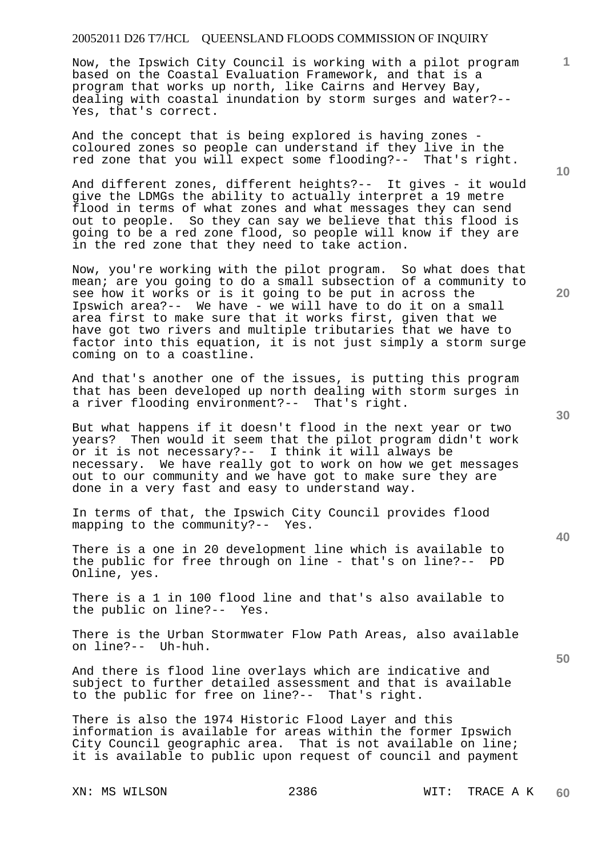Now, the Ipswich City Council is working with a pilot program based on the Coastal Evaluation Framework, and that is a program that works up north, like Cairns and Hervey Bay, dealing with coastal inundation by storm surges and water?-- Yes, that's correct.

And the concept that is being explored is having zones coloured zones so people can understand if they live in the red zone that you will expect some flooding?-- That's right.

And different zones, different heights?-- It gives - it would give the LDMGs the ability to actually interpret a 19 metre flood in terms of what zones and what messages they can send out to people. So they can say we believe that this flood is going to be a red zone flood, so people will know if they are in the red zone that they need to take action.

Now, you're working with the pilot program. So what does that mean; are you going to do a small subsection of a community to see how it works or is it going to be put in across the Ipswich area?-- We have - we will have to do it on a small area first to make sure that it works first, given that we have got two rivers and multiple tributaries that we have to factor into this equation, it is not just simply a storm surge coming on to a coastline.

And that's another one of the issues, is putting this program that has been developed up north dealing with storm surges in a river flooding environment?-- That's right.

But what happens if it doesn't flood in the next year or two years? Then would it seem that the pilot program didn't work or it is not necessary?-- I think it will always be necessary. We have really got to work on how we get messages out to our community and we have got to make sure they are done in a very fast and easy to understand way.

In terms of that, the Ipswich City Council provides flood mapping to the community?-- Yes.

There is a one in 20 development line which is available to the public for free through on line - that's on line?-- PD Online, yes.

There is a 1 in 100 flood line and that's also available to the public on line?-- Yes.

There is the Urban Stormwater Flow Path Areas, also available on line?-- Uh-huh.

And there is flood line overlays which are indicative and subject to further detailed assessment and that is available to the public for free on line?-- That's right.

There is also the 1974 Historic Flood Layer and this information is available for areas within the former Ipswich City Council geographic area. That is not available on line; it is available to public upon request of council and payment

**10** 

**1**

**30** 

**20**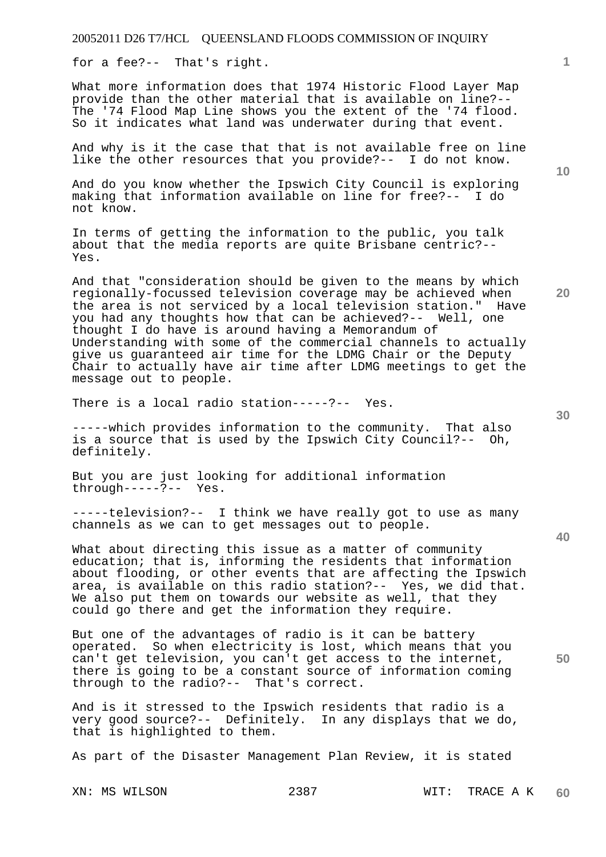for a fee?-- That's right.

What more information does that 1974 Historic Flood Layer Map provide than the other material that is available on line?-- The '74 Flood Map Line shows you the extent of the '74 flood. So it indicates what land was underwater during that event.

And why is it the case that that is not available free on line like the other resources that you provide?-- I do not know.

And do you know whether the Ipswich City Council is exploring making that information available on line for free?-- I do not know.

In terms of getting the information to the public, you talk about that the media reports are quite Brisbane centric?-- Yes.

And that "consideration should be given to the means by which regionally-focussed television coverage may be achieved when the area is not serviced by a local television station." Have you had any thoughts how that can be achieved?-- Well, one thought I do have is around having a Memorandum of Understanding with some of the commercial channels to actually give us guaranteed air time for the LDMG Chair or the Deputy Chair to actually have air time after LDMG meetings to get the message out to people.

There is a local radio station-----?-- Yes.

-----which provides information to the community. That also is a source that is used by the Ipswich City Council?-- Oh, definitely.

But you are just looking for additional information through-----?-- Yes.

-----television?-- I think we have really got to use as many channels as we can to get messages out to people.

What about directing this issue as a matter of community education; that is, informing the residents that information about flooding, or other events that are affecting the Ipswich area, is available on this radio station?-- Yes, we did that. We also put them on towards our website as well, that they could go there and get the information they require.

But one of the advantages of radio is it can be battery operated. So when electricity is lost, which means that you can't get television, you can't get access to the internet, there is going to be a constant source of information coming through to the radio?-- That's correct.

And is it stressed to the Ipswich residents that radio is a very good source?-- Definitely. In any displays that we do, that is highlighted to them.

As part of the Disaster Management Plan Review, it is stated

**10** 

**20** 

**1**

**30** 

**40**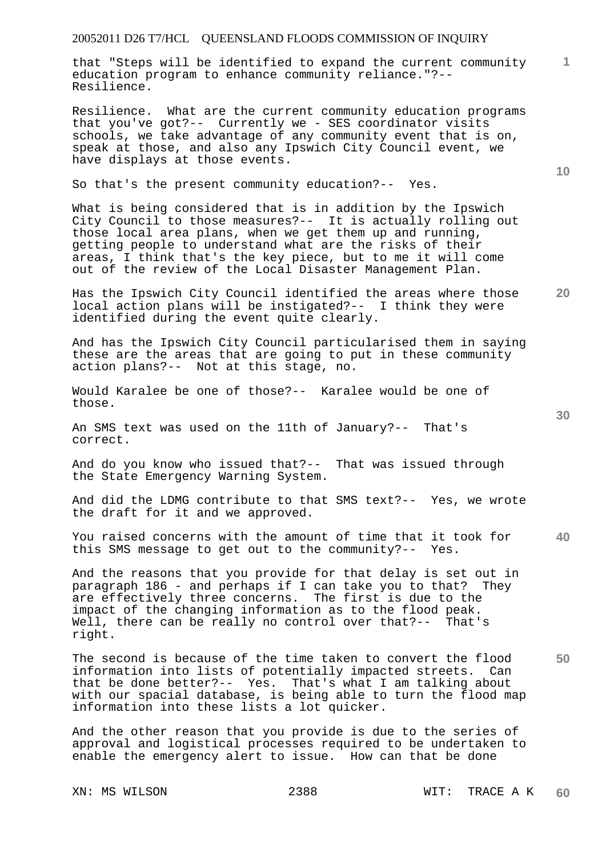that "Steps will be identified to expand the current community education program to enhance community reliance."?-- Resilience.

Resilience. What are the current community education programs that you've got?-- Currently we - SES coordinator visits schools, we take advantage of any community event that is on, speak at those, and also any Ipswich City Council event, we have displays at those events.

So that's the present community education?-- Yes.

What is being considered that is in addition by the Ipswich City Council to those measures?-- It is actually rolling out those local area plans, when we get them up and running, getting people to understand what are the risks of their areas, I think that's the key piece, but to me it will come out of the review of the Local Disaster Management Plan.

**20**  Has the Ipswich City Council identified the areas where those local action plans will be instigated?-- I think they were identified during the event quite clearly.

And has the Ipswich City Council particularised them in saying these are the areas that are going to put in these community action plans?-- Not at this stage, no.

Would Karalee be one of those?-- Karalee would be one of those.

An SMS text was used on the 11th of January?-- That's correct.

And do you know who issued that?-- That was issued through the State Emergency Warning System.

And did the LDMG contribute to that SMS text?-- Yes, we wrote the draft for it and we approved.

**40**  You raised concerns with the amount of time that it took for<br>this SMS message to get out to the community?-- Yes. this SMS message to get out to the community? $--$ 

And the reasons that you provide for that delay is set out in paragraph 186 - and perhaps if I can take you to that? They are effectively three concerns. The first is due to the impact of the changing information as to the flood peak. Well, there can be really no control over that?-- That's right.

**50**  The second is because of the time taken to convert the flood information into lists of potentially impacted streets. Can that be done better?-- Yes. That's what I am talking about with our spacial database, is being able to turn the flood map information into these lists a lot quicker.

And the other reason that you provide is due to the series of approval and logistical processes required to be undertaken to enable the emergency alert to issue. How can that be done

**10** 

**1**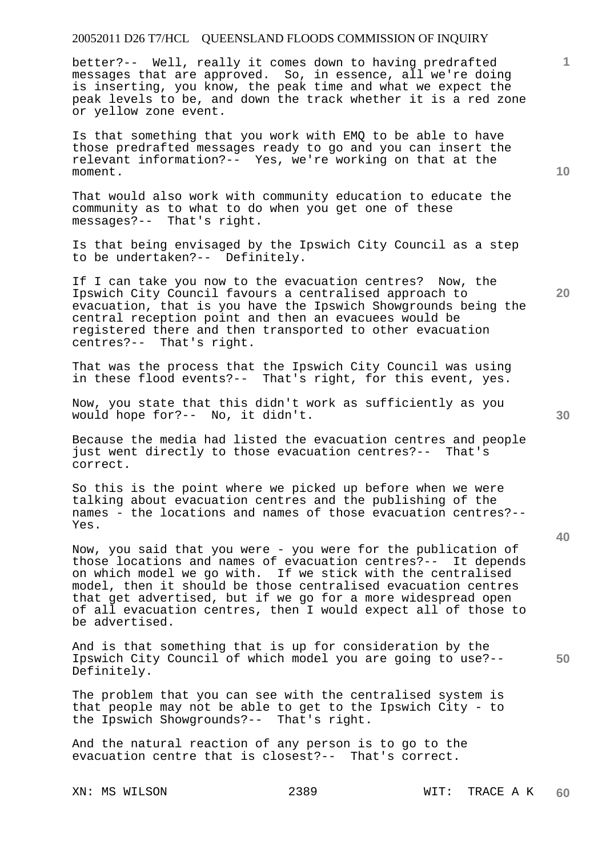better?-- Well, really it comes down to having predrafted messages that are approved. So, in essence, all we're doing is inserting, you know, the peak time and what we expect the peak levels to be, and down the track whether it is a red zone or yellow zone event.

Is that something that you work with EMQ to be able to have those predrafted messages ready to go and you can insert the relevant information?-- Yes, we're working on that at the moment.

That would also work with community education to educate the community as to what to do when you get one of these messages?-- That's right.

Is that being envisaged by the Ipswich City Council as a step to be undertaken?-- Definitely.

If I can take you now to the evacuation centres? Now, the Ipswich City Council favours a centralised approach to evacuation, that is you have the Ipswich Showgrounds being the central reception point and then an evacuees would be registered there and then transported to other evacuation centres?-- That's right.

That was the process that the Ipswich City Council was using in these flood events?-- That's right, for this event, yes.

Now, you state that this didn't work as sufficiently as you would hope for?-- No, it didn't.

Because the media had listed the evacuation centres and people just went directly to those evacuation centres?-- That's correct.

So this is the point where we picked up before when we were talking about evacuation centres and the publishing of the names - the locations and names of those evacuation centres?-- Yes.

Now, you said that you were - you were for the publication of those locations and names of evacuation centres?-- It depends on which model we go with. If we stick with the centralised model, then it should be those centralised evacuation centres that get advertised, but if we go for a more widespread open of all evacuation centres, then I would expect all of those to be advertised.

And is that something that is up for consideration by the Ipswich City Council of which model you are going to use?-- Definitely.

The problem that you can see with the centralised system is that people may not be able to get to the Ipswich City - to the Ipswich Showgrounds?-- That's right.

And the natural reaction of any person is to go to the evacuation centre that is closest?-- That's correct.

**10** 

**20** 

**1**

**30**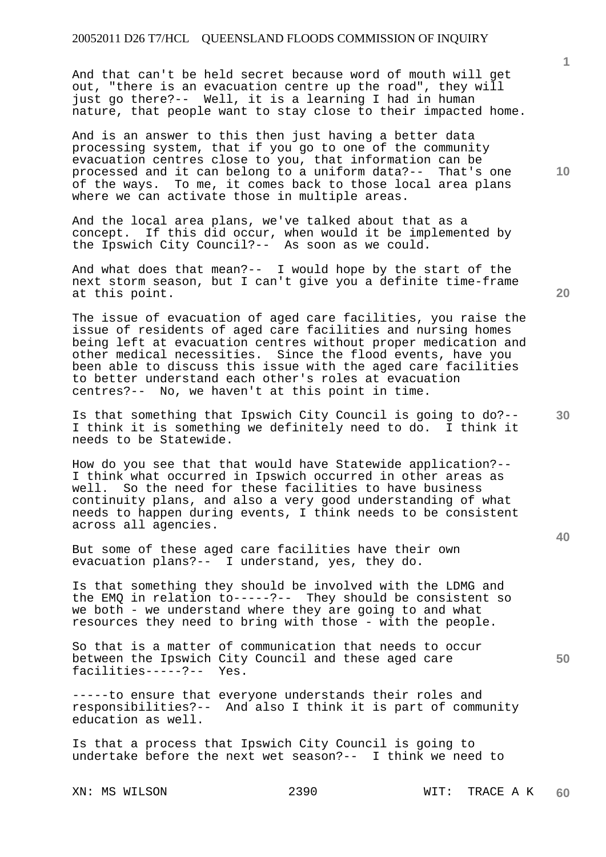And that can't be held secret because word of mouth will get out, "there is an evacuation centre up the road", they will just go there?-- Well, it is a learning I had in human nature, that people want to stay close to their impacted home.

And is an answer to this then just having a better data processing system, that if you go to one of the community evacuation centres close to you, that information can be processed and it can belong to a uniform data?-- That's one of the ways. To me, it comes back to those local area plans where we can activate those in multiple areas.

And the local area plans, we've talked about that as a concept. If this did occur, when would it be implemented by the Ipswich City Council?-- As soon as we could.

And what does that mean?-- I would hope by the start of the next storm season, but I can't give you a definite time-frame at this point.

The issue of evacuation of aged care facilities, you raise the issue of residents of aged care facilities and nursing homes being left at evacuation centres without proper medication and other medical necessities. Since the flood events, have you been able to discuss this issue with the aged care facilities to better understand each other's roles at evacuation centres?-- No, we haven't at this point in time.

Is that something that Ipswich City Council is going to do?-- I think it is something we definitely need to do. I think it needs to be Statewide.

How do you see that that would have Statewide application?-- I think what occurred in Ipswich occurred in other areas as well. So the need for these facilities to have business continuity plans, and also a very good understanding of what needs to happen during events, I think needs to be consistent across all agencies.

But some of these aged care facilities have their own evacuation plans?-- I understand, yes, they do.

Is that something they should be involved with the LDMG and the EMQ in relation to-----?-- They should be consistent so we both - we understand where they are going to and what resources they need to bring with those - with the people.

So that is a matter of communication that needs to occur between the Ipswich City Council and these aged care facilities-----?-- Yes.

-----to ensure that everyone understands their roles and responsibilities?-- And also I think it is part of community education as well.

Is that a process that Ipswich City Council is going to undertake before the next wet season?-- I think we need to

**20** 

**10** 

**1**

**30** 

**40**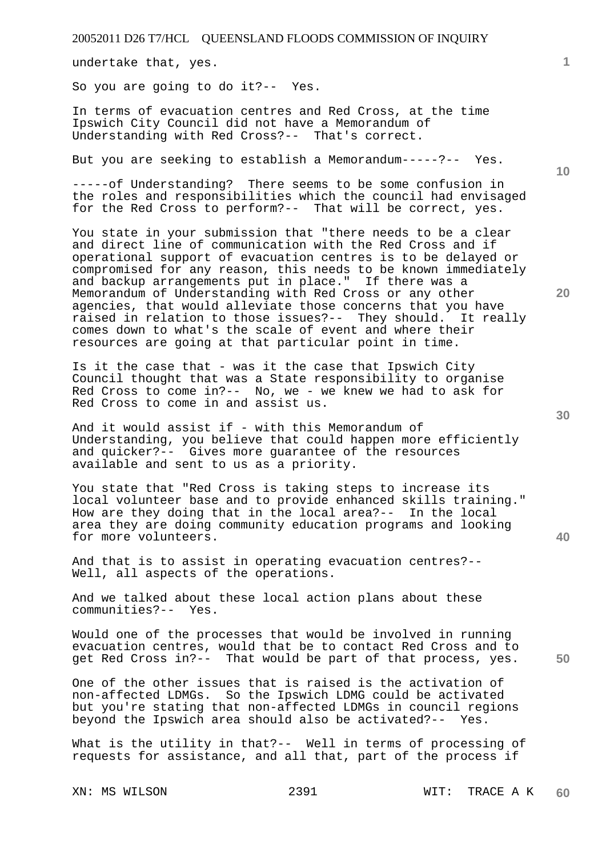undertake that, yes.

So you are going to do it?-- Yes.

In terms of evacuation centres and Red Cross, at the time Ipswich City Council did not have a Memorandum of Understanding with Red Cross?-- That's correct.

But you are seeking to establish a Memorandum-----?-- Yes.

-----of Understanding? There seems to be some confusion in the roles and responsibilities which the council had envisaged for the Red Cross to perform?-- That will be correct, yes.

You state in your submission that "there needs to be a clear and direct line of communication with the Red Cross and if operational support of evacuation centres is to be delayed or compromised for any reason, this needs to be known immediately and backup arrangements put in place." If there was a Memorandum of Understanding with Red Cross or any other agencies, that would alleviate those concerns that you have raised in relation to those issues?-- They should. It really comes down to what's the scale of event and where their resources are going at that particular point in time.

Is it the case that - was it the case that Ipswich City Council thought that was a State responsibility to organise Red Cross to come in?-- No, we - we knew we had to ask for Red Cross to come in and assist us.

And it would assist if - with this Memorandum of Understanding, you believe that could happen more efficiently and quicker?-- Gives more guarantee of the resources available and sent to us as a priority.

You state that "Red Cross is taking steps to increase its local volunteer base and to provide enhanced skills training." How are they doing that in the local area?-- In the local area they are doing community education programs and looking for more volunteers.

And that is to assist in operating evacuation centres?-- Well, all aspects of the operations.

And we talked about these local action plans about these communities?-- Yes.

Would one of the processes that would be involved in running evacuation centres, would that be to contact Red Cross and to get Red Cross in?-- That would be part of that process, yes.

One of the other issues that is raised is the activation of non-affected LDMGs. So the Ipswich LDMG could be activated but you're stating that non-affected LDMGs in council regions beyond the Ipswich area should also be activated?-- Yes.

What is the utility in that?-- Well in terms of processing of requests for assistance, and all that, part of the process if

**10** 

**20** 

**1**

**30**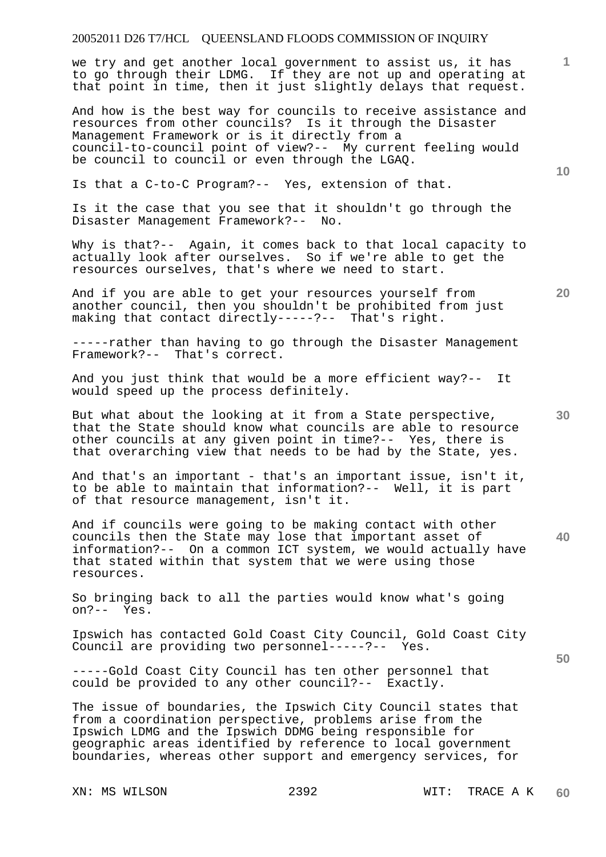we try and get another local government to assist us, it has to go through their LDMG. If they are not up and operating at that point in time, then it just slightly delays that request.

And how is the best way for councils to receive assistance and resources from other councils? Is it through the Disaster Management Framework or is it directly from a council-to-council point of view?-- My current feeling would be council to council or even through the LGAQ.

Is that a C-to-C Program?-- Yes, extension of that.

Is it the case that you see that it shouldn't go through the Disaster Management Framework?-- No.

Why is that?-- Again, it comes back to that local capacity to actually look after ourselves. So if we're able to get the resources ourselves, that's where we need to start.

And if you are able to get your resources yourself from another council, then you shouldn't be prohibited from just making that contact directly-----?-- That's right.

-----rather than having to go through the Disaster Management Framework?-- That's correct.

And you just think that would be a more efficient way?-- It would speed up the process definitely.

But what about the looking at it from a State perspective, that the State should know what councils are able to resource other councils at any given point in time?-- Yes, there is that overarching view that needs to be had by the State, yes.

And that's an important - that's an important issue, isn't it, to be able to maintain that information?-- Well, it is part of that resource management, isn't it.

**40**  And if councils were going to be making contact with other councils then the State may lose that important asset of information?-- On a common ICT system, we would actually have that stated within that system that we were using those resources.

So bringing back to all the parties would know what's going on?-- Yes.

Ipswich has contacted Gold Coast City Council, Gold Coast City Council are providing two personnel-----?-- Yes.

-----Gold Coast City Council has ten other personnel that could be provided to any other council?-- Exactly.

The issue of boundaries, the Ipswich City Council states that from a coordination perspective, problems arise from the Ipswich LDMG and the Ipswich DDMG being responsible for geographic areas identified by reference to local government boundaries, whereas other support and emergency services, for

**10** 

**20** 

**1**

**30**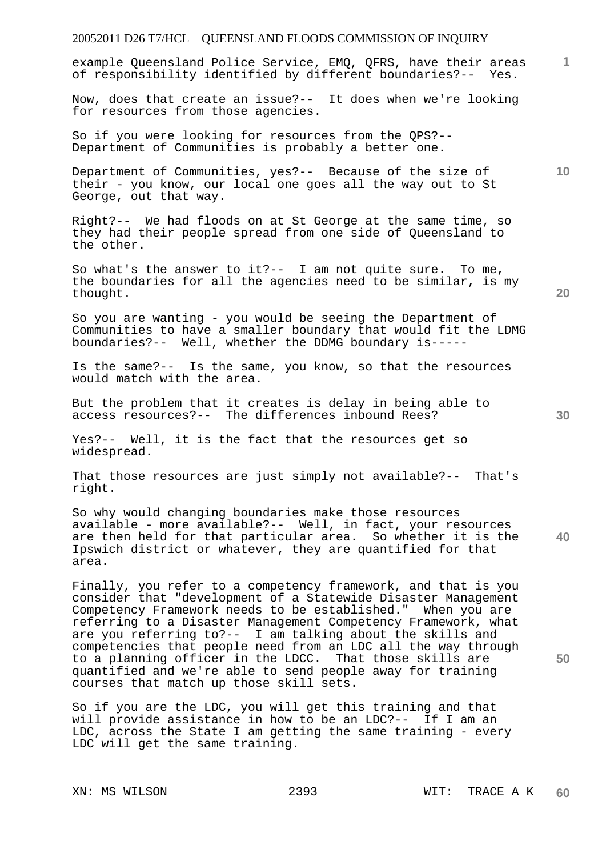# 20052011 D26 T7/HCL QUEENSLAND FLOODS COMMISSION OF INQUIRY **1 10 20 30 40 50**  example Queensland Police Service, EMQ, QFRS, have their areas of responsibility identified by different boundaries?-- Yes. Now, does that create an issue?-- It does when we're looking for resources from those agencies. So if you were looking for resources from the QPS?-- Department of Communities is probably a better one. Department of Communities, yes?-- Because of the size of their - you know, our local one goes all the way out to St George, out that way. Right?-- We had floods on at St George at the same time, so they had their people spread from one side of Queensland to the other. So what's the answer to it?-- I am not quite sure. To me, the boundaries for all the agencies need to be similar, is my thought. So you are wanting - you would be seeing the Department of Communities to have a smaller boundary that would fit the LDMG boundaries?-- Well, whether the DDMG boundary is----- Is the same?-- Is the same, you know, so that the resources would match with the area. But the problem that it creates is delay in being able to access resources?-- The differences inbound Rees? Yes?-- Well, it is the fact that the resources get so widespread. That those resources are just simply not available?-- That's right. So why would changing boundaries make those resources available - more available?-- Well, in fact, your resources are then held for that particular area. So whether it is the Ipswich district or whatever, they are quantified for that area. Finally, you refer to a competency framework, and that is you consider that "development of a Statewide Disaster Management Competency Framework needs to be established." When you are referring to a Disaster Management Competency Framework, what are you referring to?-- I am talking about the skills and competencies that people need from an LDC all the way through to a planning officer in the LDCC. That those skills are quantified and we're able to send people away for training courses that match up those skill sets. So if you are the LDC, you will get this training and that will provide assistance in how to be an LDC?-- If I am an LDC, across the State I am getting the same training - every LDC will get the same training.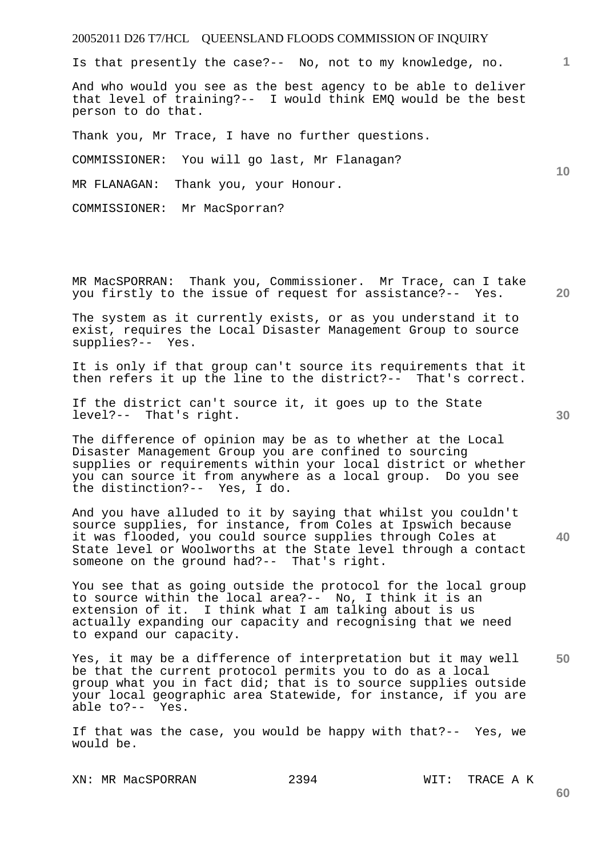Is that presently the case?-- No, not to my knowledge, no.

And who would you see as the best agency to be able to deliver that level of training?-- I would think EMQ would be the best person to do that.

Thank you, Mr Trace, I have no further questions.

COMMISSIONER: You will go last, Mr Flanagan?

MR FLANAGAN: Thank you, your Honour.

COMMISSIONER: Mr MacSporran?

MR MacSPORRAN: Thank you, Commissioner. Mr Trace, can I take you firstly to the issue of request for assistance?-- Yes.

The system as it currently exists, or as you understand it to exist, requires the Local Disaster Management Group to source supplies?-- Yes.

It is only if that group can't source its requirements that it then refers it up the line to the district?-- That's correct.

If the district can't source it, it goes up to the State level?-- That's right.

The difference of opinion may be as to whether at the Local Disaster Management Group you are confined to sourcing supplies or requirements within your local district or whether you can source it from anywhere as a local group. Do you see the distinction?-- Yes, I do.

And you have alluded to it by saying that whilst you couldn't source supplies, for instance, from Coles at Ipswich because it was flooded, you could source supplies through Coles at State level or Woolworths at the State level through a contact someone on the ground had?-- That's right.

You see that as going outside the protocol for the local group to source within the local area?-- No, I think it is an extension of it. I think what I am talking about is us actually expanding our capacity and recognising that we need to expand our capacity.

**50**  Yes, it may be a difference of interpretation but it may well be that the current protocol permits you to do as a local group what you in fact did; that is to source supplies outside your local geographic area Statewide, for instance, if you are able to?-- Yes. able to? $--$ 

If that was the case, you would be happy with that?-- Yes, we would be.

XN: MR MacSPORRAN 2394 WIT: TRACE A K

**30** 

**20** 

**60** 

**10**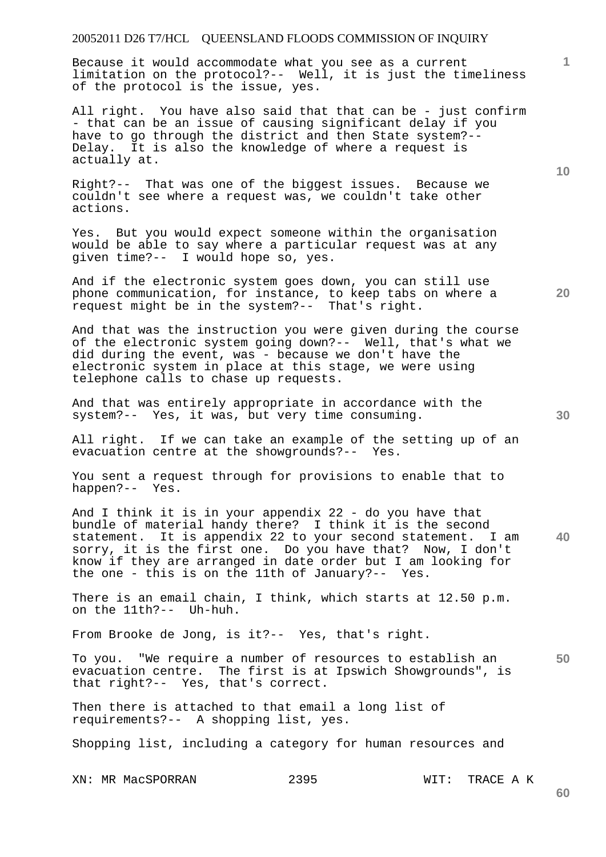Because it would accommodate what you see as a current limitation on the protocol?-- Well, it is just the timeliness of the protocol is the issue, yes.

All right. You have also said that that can be - just confirm - that can be an issue of causing significant delay if you have to go through the district and then State system?-- Delay. It is also the knowledge of where a request is actually at.

Right?-- That was one of the biggest issues. Because we couldn't see where a request was, we couldn't take other actions.

Yes. But you would expect someone within the organisation would be able to say where a particular request was at any given time?-- I would hope so, yes.

And if the electronic system goes down, you can still use phone communication, for instance, to keep tabs on where a request might be in the system?-- That's right.

And that was the instruction you were given during the course of the electronic system going down?-- Well, that's what we did during the event, was - because we don't have the electronic system in place at this stage, we were using telephone calls to chase up requests.

And that was entirely appropriate in accordance with the system?-- Yes, it was, but very time consuming.

All right. If we can take an example of the setting up of an evacuation centre at the showgrounds?-- Yes.

You sent a request through for provisions to enable that to happen?-- Yes.

And I think it is in your appendix 22 - do you have that bundle of material handy there? I think it is the second statement. It is appendix 22 to your second statement. I am sorry, it is the first one. Do you have that? Now, I don't know if they are arranged in date order but I am looking for the one - this is on the 11th of January?-- Yes.

There is an email chain, I think, which starts at 12.50 p.m. on the 11th?-- Uh-huh.

From Brooke de Jong, is it?-- Yes, that's right.

**50**  To you. "We require a number of resources to establish an evacuation centre. The first is at Ipswich Showgrounds", is that right?-- Yes, that's correct.

Then there is attached to that email a long list of requirements?-- A shopping list, yes.

Shopping list, including a category for human resources and

XN: MR MacSPORRAN 2395 WIT: TRACE A K

**1**

**10** 

**30**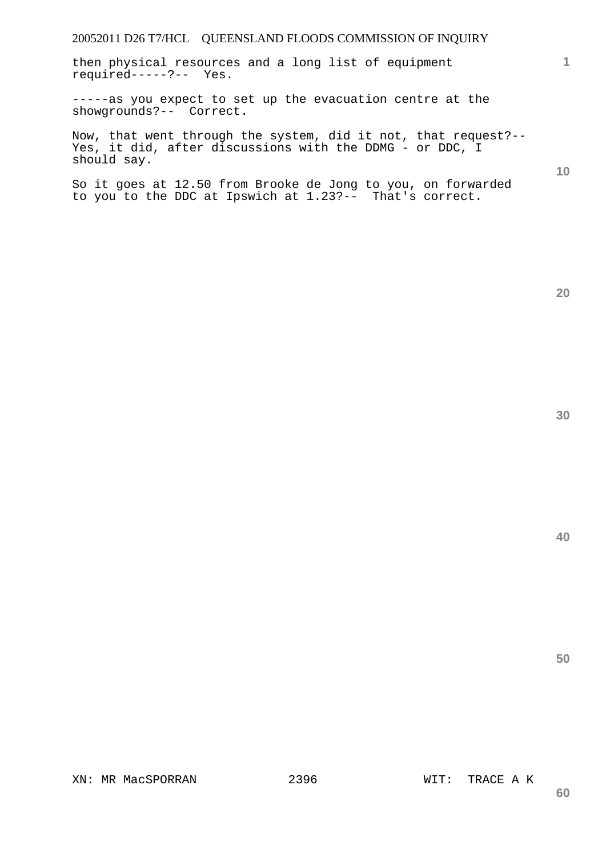then physical resources and a long list of equipment required-----?-- Yes.

-----as you expect to set up the evacuation centre at the showgrounds?-- Correct.

Now, that went through the system, did it not, that request?-- Yes, it did, after discussions with the DDMG - or DDC, I should say.

So it goes at 12.50 from Brooke de Jong to you, on forwarded to you to the DDC at Ipswich at 1.23?-- That's correct.

**40** 

**50** 

**20**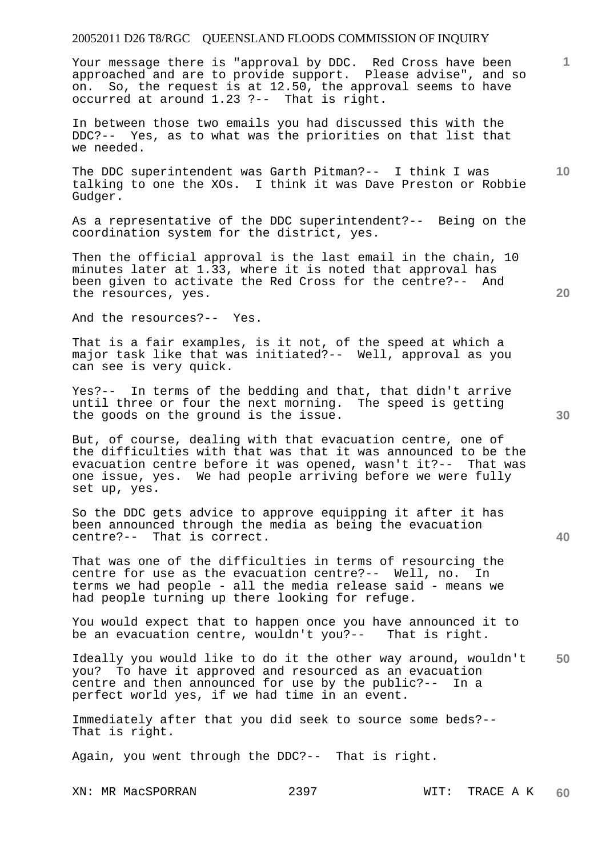Your message there is "approval by DDC. Red Cross have been approached and are to provide support. Please advise", and so on. So, the request is at 12.50, the approval seems to have occurred at around 1.23 ?-- That is right.

In between those two emails you had discussed this with the DDC?-- Yes, as to what was the priorities on that list that we needed.

The DDC superintendent was Garth Pitman?-- I think I was talking to one the XOs. I think it was Dave Preston or Robbie Gudger.

As a representative of the DDC superintendent?-- Being on the coordination system for the district, yes.

Then the official approval is the last email in the chain, 10 minutes later at 1.33, where it is noted that approval has been given to activate the Red Cross for the centre?-- And the resources, yes.

And the resources?-- Yes.

That is a fair examples, is it not, of the speed at which a major task like that was initiated?-- Well, approval as you can see is very quick.

Yes?-- In terms of the bedding and that, that didn't arrive until three or four the next morning. The speed is getting the goods on the ground is the issue.

But, of course, dealing with that evacuation centre, one of the difficulties with that was that it was announced to be the evacuation centre before it was opened, wasn't it?-- That was one issue, yes. We had people arriving before we were fully set up, yes.

So the DDC gets advice to approve equipping it after it has been announced through the media as being the evacuation centre?-- That is correct.

That was one of the difficulties in terms of resourcing the centre for use as the evacuation centre?-- Well, no. In terms we had people - all the media release said - means we had people turning up there looking for refuge.

You would expect that to happen once you have announced it to be an evacuation centre, wouldn't you?-- That is right.

**50**  Ideally you would like to do it the other way around, wouldn't you? To have it approved and resourced as an evacuation centre and then announced for use by the public?-- In a perfect world yes, if we had time in an event.

Immediately after that you did seek to source some beds?-- That is right.

Again, you went through the DDC?-- That is right.

**20** 

**30** 

**10**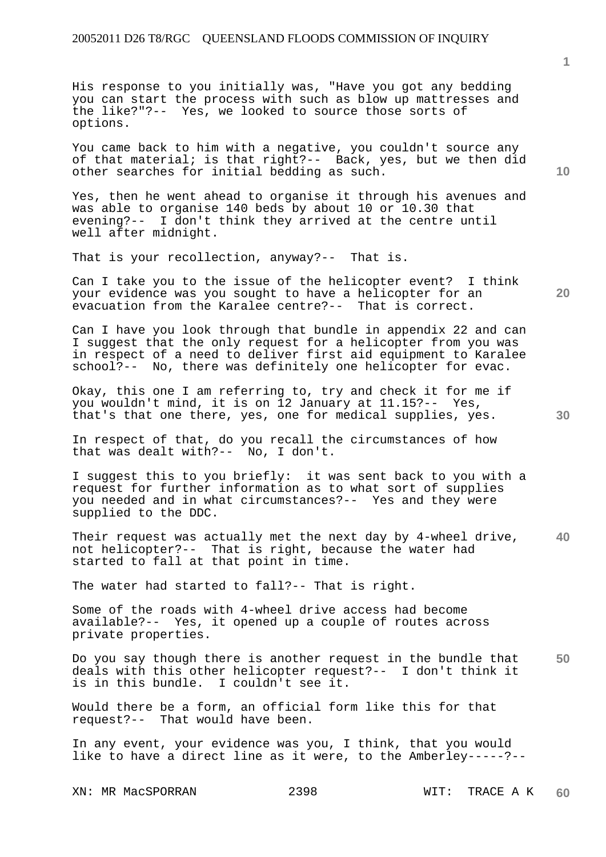His response to you initially was, "Have you got any bedding you can start the process with such as blow up mattresses and the like?"?-- Yes, we looked to source those sorts of options.

You came back to him with a negative, you couldn't source any of that material; is that right?-- Back, yes, but we then did other searches for initial bedding as such.

Yes, then he went ahead to organise it through his avenues and was able to organise 140 beds by about 10 or 10.30 that evening?-- I don't think they arrived at the centre until well after midnight.

That is your recollection, anyway?-- That is.

Can I take you to the issue of the helicopter event? I think your evidence was you sought to have a helicopter for an evacuation from the Karalee centre?-- That is correct.

Can I have you look through that bundle in appendix 22 and can I suggest that the only request for a helicopter from you was in respect of a need to deliver first aid equipment to Karalee school?-- No, there was definitely one helicopter for evac.

Okay, this one I am referring to, try and check it for me if you wouldn't mind, it is on 12 January at 11.15?-- Yes, that's that one there, yes, one for medical supplies, yes.

In respect of that, do you recall the circumstances of how that was dealt with?-- No, I don't.

I suggest this to you briefly: it was sent back to you with a request for further information as to what sort of supplies you needed and in what circumstances?-- Yes and they were supplied to the DDC.

**40**  Their request was actually met the next day by 4-wheel drive, not helicopter?-- That is right, because the water had started to fall at that point in time.

The water had started to fall?-- That is right.

Some of the roads with 4-wheel drive access had become available?-- Yes, it opened up a couple of routes across private properties.

**50**  Do you say though there is another request in the bundle that deals with this other helicopter request?-- I don't think it is in this bundle. I couldn't see it.

Would there be a form, an official form like this for that request?-- That would have been.

In any event, your evidence was you, I think, that you would like to have a direct line as it were, to the Amberley-----?--

XN: MR MacSPORRAN 2398 WIT: TRACE A K

**1**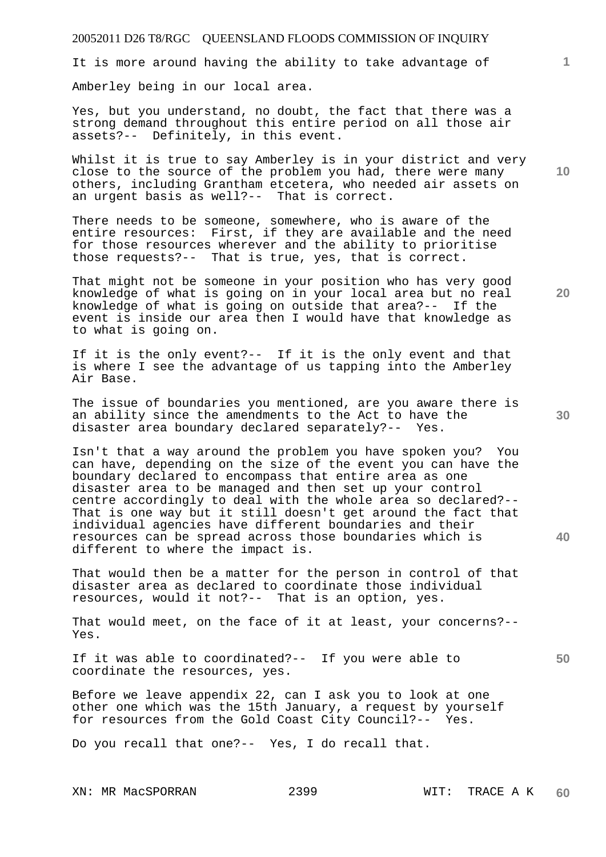It is more around having the ability to take advantage of

Amberley being in our local area.

Yes, but you understand, no doubt, the fact that there was a strong demand throughout this entire period on all those air assets?-- Definitely, in this event.

Whilst it is true to say Amberley is in your district and very close to the source of the problem you had, there were many others, including Grantham etcetera, who needed air assets on an urgent basis as well?-- That is correct.

There needs to be someone, somewhere, who is aware of the entire resources: First, if they are available and the need for those resources wherever and the ability to prioritise those requests?-- That is true, yes, that is correct.

That might not be someone in your position who has very good knowledge of what is going on in your local area but no real knowledge of what is going on outside that area?-- If the event is inside our area then I would have that knowledge as to what is going on.

If it is the only event?-- If it is the only event and that is where I see the advantage of us tapping into the Amberley Air Base.

The issue of boundaries you mentioned, are you aware there is an ability since the amendments to the Act to have the disaster area boundary declared separately?-- Yes.

Isn't that a way around the problem you have spoken you? You can have, depending on the size of the event you can have the boundary declared to encompass that entire area as one disaster area to be managed and then set up your control centre accordingly to deal with the whole area so declared?-- That is one way but it still doesn't get around the fact that individual agencies have different boundaries and their resources can be spread across those boundaries which is different to where the impact is.

That would then be a matter for the person in control of that disaster area as declared to coordinate those individual resources, would it not?-- That is an option, yes.

That would meet, on the face of it at least, your concerns?-- Yes.

If it was able to coordinated?-- If you were able to coordinate the resources, yes.

Before we leave appendix 22, can I ask you to look at one other one which was the 15th January, a request by yourself for resources from the Gold Coast City Council?-- Yes.

Do you recall that one?-- Yes, I do recall that.

XN: MR MacSPORRAN 2399 WIT: TRACE A K

**20** 

**10** 

**1**

**30** 

**40**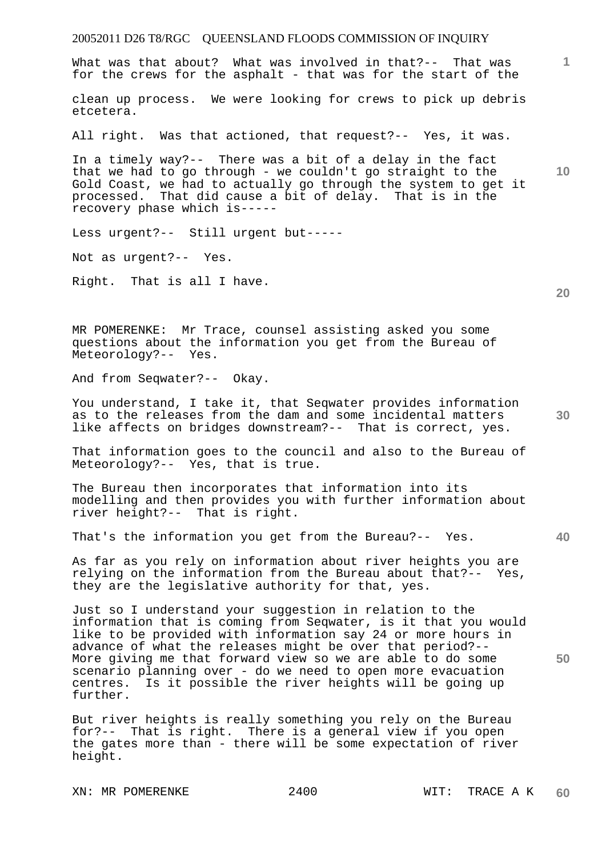# 20052011 D26 T8/RGC QUEENSLAND FLOODS COMMISSION OF INQUIRY **1 10 20 30 40 50**  What was that about? What was involved in that?-- That was for the crews for the asphalt - that was for the start of the clean up process. We were looking for crews to pick up debris etcetera. All right. Was that actioned, that request?-- Yes, it was. In a timely way?-- There was a bit of a delay in the fact that we had to go through - we couldn't go straight to the Gold Coast, we had to actually go through the system to get it processed. That did cause a bit of delay. That is in the recovery phase which is----- Less urgent?-- Still urgent but----- Not as urgent?-- Yes. Right. That is all I have. MR POMERENKE: Mr Trace, counsel assisting asked you some questions about the information you get from the Bureau of Meteorology?-- Yes. And from Seqwater?-- Okay. You understand, I take it, that Seqwater provides information as to the releases from the dam and some incidental matters like affects on bridges downstream?-- That is correct, yes. That information goes to the council and also to the Bureau of Meteorology?-- Yes, that is true. The Bureau then incorporates that information into its modelling and then provides you with further information about river height?-- That is right. That's the information you get from the Bureau?-- Yes. As far as you rely on information about river heights you are relying on the information from the Bureau about that?-- Yes, they are the legislative authority for that, yes. Just so I understand your suggestion in relation to the information that is coming from Seqwater, is it that you would like to be provided with information say 24 or more hours in advance of what the releases might be over that period?-- More giving me that forward view so we are able to do some scenario planning over - do we need to open more evacuation centres. Is it possible the river heights will be going up further. But river heights is really something you rely on the Bureau for?-- That is right. There is a general view if you open the gates more than - there will be some expectation of river height.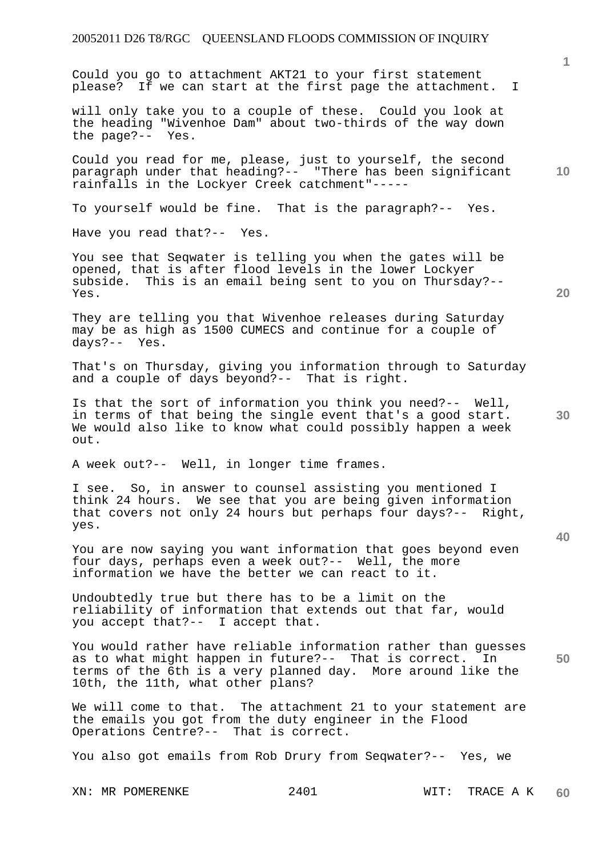Could you go to attachment AKT21 to your first statement please? If we can start at the first page the attachment. I

will only take you to a couple of these. Could you look at the heading "Wivenhoe Dam" about two-thirds of the way down the page?-- Yes.

Could you read for me, please, just to yourself, the second paragraph under that heading?-- "There has been significant rainfalls in the Lockyer Creek catchment"-----

To yourself would be fine. That is the paragraph?-- Yes.

Have you read that?-- Yes.

You see that Seqwater is telling you when the gates will be opened, that is after flood levels in the lower Lockyer subside. This is an email being sent to you on Thursday?-- Yes.

They are telling you that Wivenhoe releases during Saturday may be as high as 1500 CUMECS and continue for a couple of days?-- Yes.

That's on Thursday, giving you information through to Saturday and a couple of days beyond?-- That is right.

Is that the sort of information you think you need?-- Well, in terms of that being the single event that's a good start. We would also like to know what could possibly happen a week out.

A week out?-- Well, in longer time frames.

I see. So, in answer to counsel assisting you mentioned I think 24 hours. We see that you are being given information that covers not only 24 hours but perhaps four days?-- Right, yes.

You are now saying you want information that goes beyond even four days, perhaps even a week out?-- Well, the more information we have the better we can react to it.

Undoubtedly true but there has to be a limit on the reliability of information that extends out that far, would you accept that?-- I accept that.

**50**  You would rather have reliable information rather than guesses as to what might happen in future?-- That is correct. In terms of the 6th is a very planned day. More around like the 10th, the 11th, what other plans?

We will come to that. The attachment 21 to your statement are the emails you got from the duty engineer in the Flood Operations Centre?-- That is correct.

You also got emails from Rob Drury from Seqwater?-- Yes, we

**20** 

**10** 

**40**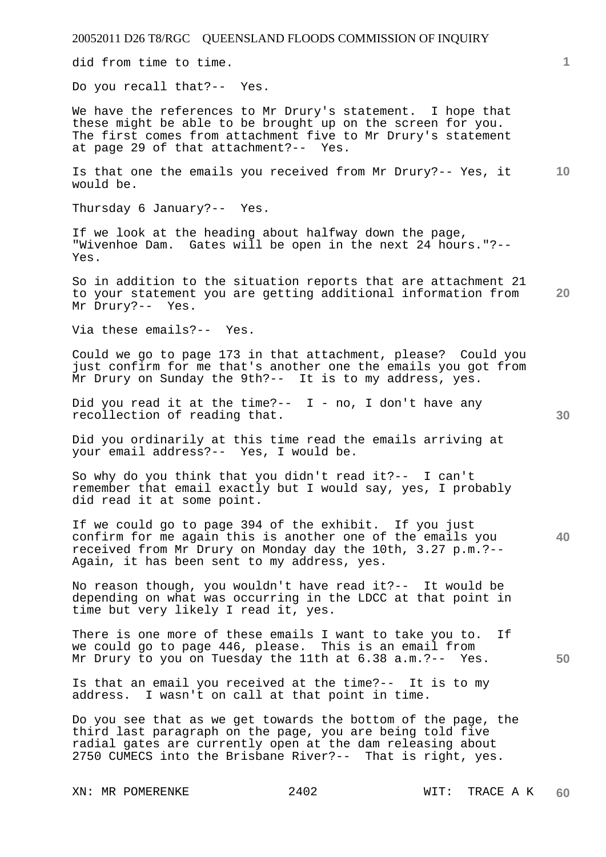did from time to time.

Do you recall that?-- Yes.

We have the references to Mr Drury's statement. I hope that these might be able to be brought up on the screen for you. The first comes from attachment five to Mr Drury's statement at page 29 of that attachment?-- Yes.

**10**  Is that one the emails you received from Mr Drury?-- Yes, it would be.

Thursday 6 January?-- Yes.

If we look at the heading about halfway down the page, "Wivenhoe Dam. Gates will be open in the next 24 hours."?-- Yes.

**20**  So in addition to the situation reports that are attachment 21 to your statement you are getting additional information from Mr Drury?-- Yes.

Via these emails?-- Yes.

Could we go to page 173 in that attachment, please? Could you just confirm for me that's another one the emails you got from Mr Drury on Sunday the 9th?-- It is to my address, yes.

Did you read it at the time?--  $I - no$ , I don't have any recollection of reading that.

Did you ordinarily at this time read the emails arriving at your email address?-- Yes, I would be.

So why do you think that you didn't read it?-- I can't remember that email exactly but I would say, yes, I probably did read it at some point.

**40**  If we could go to page 394 of the exhibit. If you just confirm for me again this is another one of the emails you received from Mr Drury on Monday day the 10th, 3.27 p.m.?-- Again, it has been sent to my address, yes.

No reason though, you wouldn't have read it?-- It would be depending on what was occurring in the LDCC at that point in time but very likely I read it, yes.

There is one more of these emails I want to take you to. If we could go to page 446, please. This is an email from Mr Drury to you on Tuesday the 11th at 6.38 a.m.?-- Yes.

Is that an email you received at the time?-- It is to my address. I wasn't on call at that point in time.

Do you see that as we get towards the bottom of the page, the third last paragraph on the page, you are being told five radial gates are currently open at the dam releasing about 2750 CUMECS into the Brisbane River?-- That is right, yes.

**50**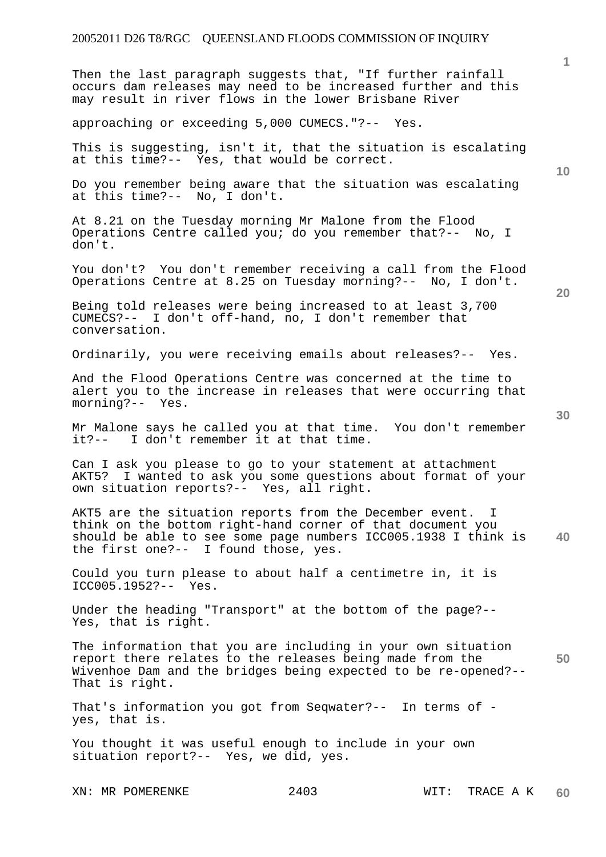Then the last paragraph suggests that, "If further rainfall occurs dam releases may need to be increased further and this may result in river flows in the lower Brisbane River

approaching or exceeding 5,000 CUMECS."?-- Yes.

This is suggesting, isn't it, that the situation is escalating at this time?-- Yes, that would be correct.

Do you remember being aware that the situation was escalating at this time?-- No, I don't.

At 8.21 on the Tuesday morning Mr Malone from the Flood Operations Centre called you; do you remember that?-- No, I don't.

You don't? You don't remember receiving a call from the Flood Operations Centre at 8.25 on Tuesday morning?-- No, I don't.

Being told releases were being increased to at least 3,700 CUMECS?-- I don't off-hand, no, I don't remember that conversation.

Ordinarily, you were receiving emails about releases?-- Yes.

And the Flood Operations Centre was concerned at the time to alert you to the increase in releases that were occurring that morning?-- Yes.

Mr Malone says he called you at that time. You don't remember it?-- I don't remember it at that time.

Can I ask you please to go to your statement at attachment AKT5? I wanted to ask you some questions about format of your own situation reports?-- Yes, all right.

**40**  AKT5 are the situation reports from the December event. I think on the bottom right-hand corner of that document you should be able to see some page numbers ICC005.1938 I think is the first one?-- I found those, yes.

Could you turn please to about half a centimetre in, it is ICC005.1952?-- Yes.

Under the heading "Transport" at the bottom of the page?-- Yes, that is right.

**50**  The information that you are including in your own situation report there relates to the releases being made from the Wivenhoe Dam and the bridges being expected to be re-opened?-- That is right.

That's information you got from Seqwater?-- In terms of yes, that is.

You thought it was useful enough to include in your own situation report?-- Yes, we did, yes.

**20** 

**10**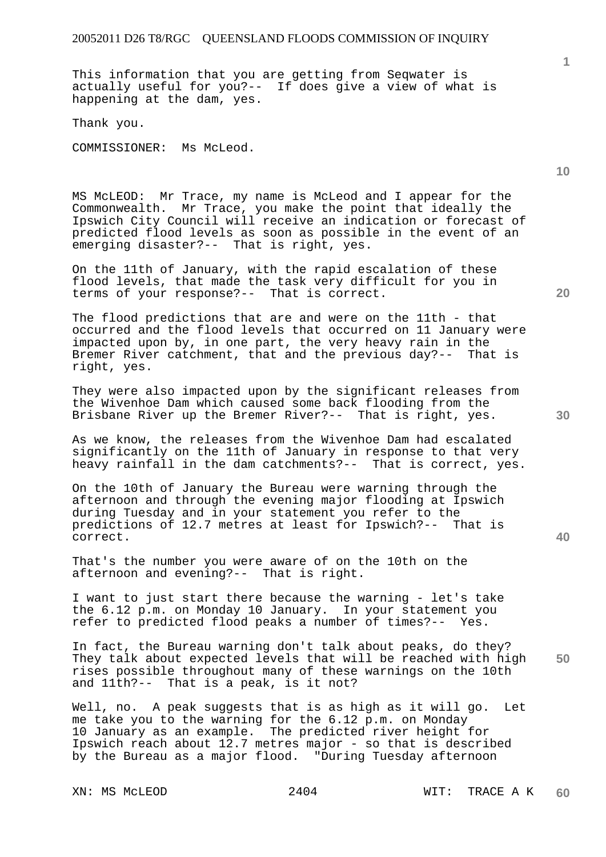This information that you are getting from Seqwater is actually useful for you?-- If does give a view of what is happening at the dam, yes.

Thank you.

COMMISSIONER: Ms McLeod.

MS McLEOD: Mr Trace, my name is McLeod and I appear for the Commonwealth. Mr Trace, you make the point that ideally the Ipswich City Council will receive an indication or forecast of predicted flood levels as soon as possible in the event of an emerging disaster?-- That is right, yes.

On the 11th of January, with the rapid escalation of these flood levels, that made the task very difficult for you in terms of your response?-- That is correct.

The flood predictions that are and were on the 11th - that occurred and the flood levels that occurred on 11 January were impacted upon by, in one part, the very heavy rain in the Bremer River catchment, that and the previous day?-- That is right, yes.

They were also impacted upon by the significant releases from the Wivenhoe Dam which caused some back flooding from the Brisbane River up the Bremer River?-- That is right, yes.

As we know, the releases from the Wivenhoe Dam had escalated significantly on the 11th of January in response to that very heavy rainfall in the dam catchments?-- That is correct, yes.

On the 10th of January the Bureau were warning through the afternoon and through the evening major flooding at Ipswich during Tuesday and in your statement you refer to the predictions of 12.7 metres at least for Ipswich?-- That is correct.

That's the number you were aware of on the 10th on the afternoon and evening?-- That is right.

I want to just start there because the warning - let's take the 6.12 p.m. on Monday 10 January. In your statement you refer to predicted flood peaks a number of times?-- Yes.

**50**  In fact, the Bureau warning don't talk about peaks, do they? They talk about expected levels that will be reached with high rises possible throughout many of these warnings on the 10th and 11th?-- That is a peak, is it not?

Well, no. A peak suggests that is as high as it will go. Let me take you to the warning for the 6.12 p.m. on Monday 10 January as an example. The predicted river height for Ipswich reach about 12.7 metres major - so that is described by the Bureau as a major flood. "During Tuesday afternoon

**20** 

**40** 

**10**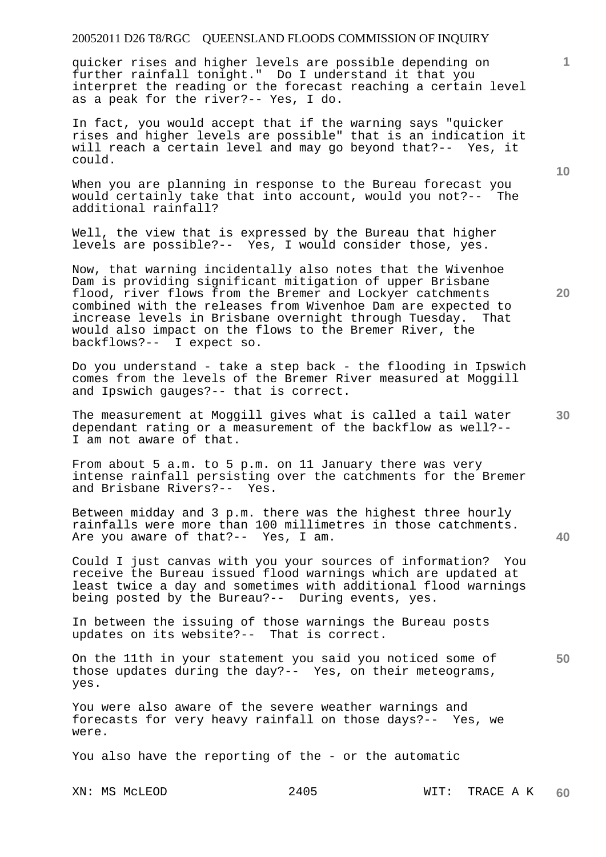quicker rises and higher levels are possible depending on further rainfall tonight." Do I understand it that you interpret the reading or the forecast reaching a certain level as a peak for the river?-- Yes, I do.

In fact, you would accept that if the warning says "quicker rises and higher levels are possible" that is an indication it will reach a certain level and may go beyond that?-- Yes, it could.

When you are planning in response to the Bureau forecast you would certainly take that into account, would you not?-- The additional rainfall?

Well, the view that is expressed by the Bureau that higher levels are possible?-- Yes, I would consider those, yes.

Now, that warning incidentally also notes that the Wivenhoe Dam is providing significant mitigation of upper Brisbane flood, river flows from the Bremer and Lockyer catchments combined with the releases from Wivenhoe Dam are expected to increase levels in Brisbane overnight through Tuesday. That would also impact on the flows to the Bremer River, the backflows?-- I expect so.

Do you understand - take a step back - the flooding in Ipswich comes from the levels of the Bremer River measured at Moggill and Ipswich gauges?-- that is correct.

The measurement at Moggill gives what is called a tail water dependant rating or a measurement of the backflow as well?-- I am not aware of that.

From about 5 a.m. to 5 p.m. on 11 January there was very intense rainfall persisting over the catchments for the Bremer and Brisbane Rivers?-- Yes.

Between midday and 3 p.m. there was the highest three hourly rainfalls were more than 100 millimetres in those catchments. Are you aware of that?-- Yes, I am.

Could I just canvas with you your sources of information? You receive the Bureau issued flood warnings which are updated at least twice a day and sometimes with additional flood warnings being posted by the Bureau?-- During events, yes.

In between the issuing of those warnings the Bureau posts updates on its website?-- That is correct.

**50**  On the 11th in your statement you said you noticed some of those updates during the day?-- Yes, on their meteograms, yes.

You were also aware of the severe weather warnings and forecasts for very heavy rainfall on those days?-- Yes, we were.

You also have the reporting of the - or the automatic

**10** 

**20** 

**30**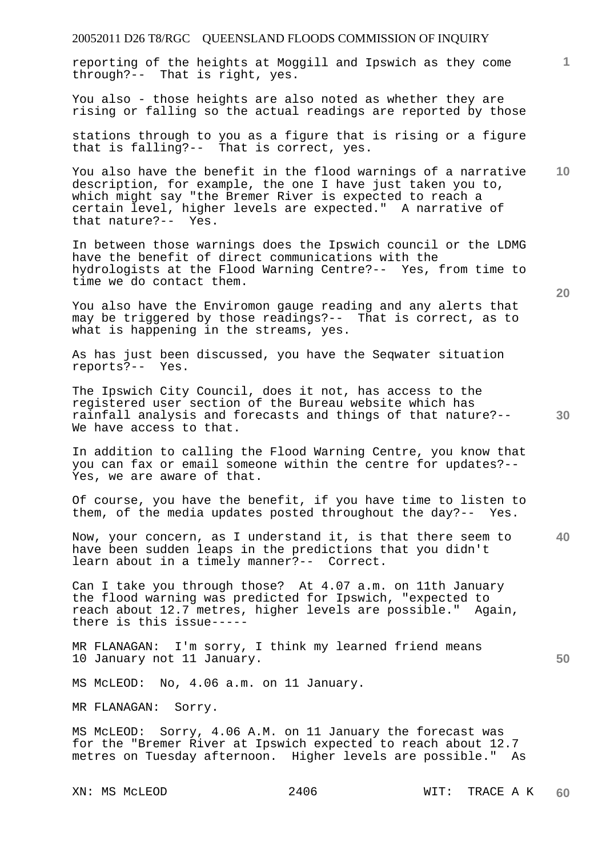| 20052011 D26 T8/RGC QUEENSLAND FLOODS COMMISSION OF INQUIRY                                                                                                                                                                                                                    |    |
|--------------------------------------------------------------------------------------------------------------------------------------------------------------------------------------------------------------------------------------------------------------------------------|----|
| reporting of the heights at Moggill and Ipswich as they come<br>through?-- That is right, yes.                                                                                                                                                                                 | 1  |
| You also - those heights are also noted as whether they are<br>rising or falling so the actual readings are reported by those                                                                                                                                                  |    |
| stations through to you as a figure that is rising or a figure<br>that is falling?-- That is correct, yes.                                                                                                                                                                     |    |
| You also have the benefit in the flood warnings of a narrative<br>description, for example, the one I have just taken you to,<br>which might say "the Bremer River is expected to reach a<br>certain level, higher levels are expected." A narrative of<br>that nature?-- Yes. | 10 |
| In between those warnings does the Ipswich council or the LDMG<br>have the benefit of direct communications with the<br>hydrologists at the Flood Warning Centre?-- Yes, from time to<br>time we do contact them.                                                              | 20 |
| You also have the Enviromon gauge reading and any alerts that<br>may be triggered by those readings?-- That is correct, as to<br>what is happening in the streams, yes.                                                                                                        |    |
| As has just been discussed, you have the Seqwater situation<br>reports?-- Yes.                                                                                                                                                                                                 |    |
| The Ipswich City Council, does it not, has access to the<br>registered user section of the Bureau website which has<br>rainfall analysis and forecasts and things of that nature?--<br>We have access to that.                                                                 | 30 |
| In addition to calling the Flood Warning Centre, you know that<br>you can fax or email someone within the centre for updates?--<br>Yes, we are aware of that.                                                                                                                  |    |
| Of course, you have the benefit, if you have time to listen to<br>them, of the media updates posted throughout the day?-- Yes.                                                                                                                                                 |    |
| Now, your concern, as I understand it, is that there seem to<br>have been sudden leaps in the predictions that you didn't<br>learn about in a timely manner?-- Correct.                                                                                                        | 40 |
| Can I take you through those? At 4.07 a.m. on 11th January<br>the flood warning was predicted for Ipswich, "expected to<br>reach about 12.7 metres, higher levels are possible." Again,<br>there is this issue-----                                                            |    |
| MR FLANAGAN: I'm sorry, I think my learned friend means<br>10 January not 11 January.                                                                                                                                                                                          | 50 |
| MS McLEOD: No, 4.06 a.m. on 11 January.                                                                                                                                                                                                                                        |    |
| MR FLANAGAN: Sorry.                                                                                                                                                                                                                                                            |    |
| MS McLEOD: Sorry, 4.06 A.M. on 11 January the forecast was<br>for the "Bremer River at Ipswich expected to reach about 12.7<br>metres on Tuesday afternoon. Higher levels are possible." As                                                                                    |    |
|                                                                                                                                                                                                                                                                                |    |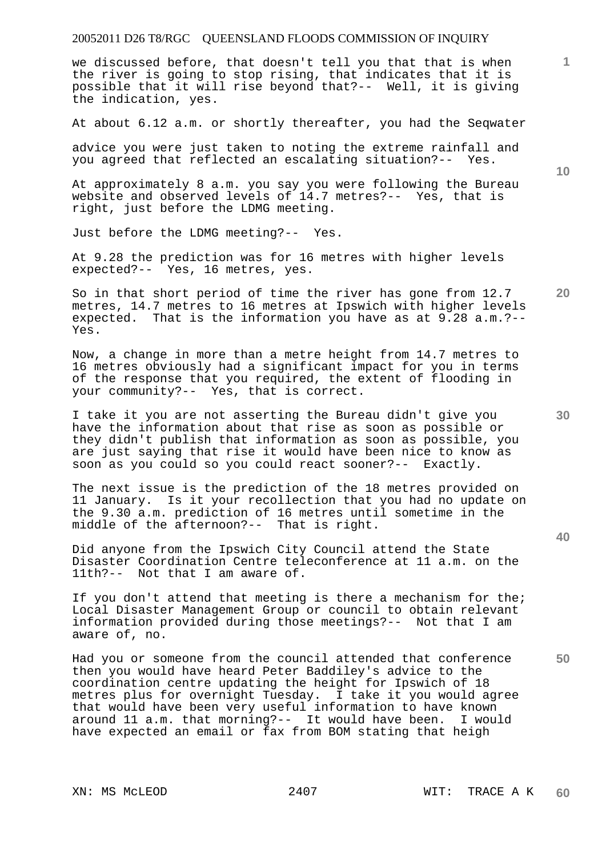we discussed before, that doesn't tell you that that is when the river is going to stop rising, that indicates that it is possible that it will rise beyond that?-- Well, it is giving the indication, yes.

At about 6.12 a.m. or shortly thereafter, you had the Seqwater

advice you were just taken to noting the extreme rainfall and you agreed that reflected an escalating situation?-- Yes.

At approximately 8 a.m. you say you were following the Bureau website and observed levels of 14.7 metres?-- Yes, that is right, just before the LDMG meeting.

Just before the LDMG meeting?-- Yes.

At 9.28 the prediction was for 16 metres with higher levels expected?-- Yes, 16 metres, yes.

So in that short period of time the river has gone from 12.7 metres, 14.7 metres to 16 metres at Ipswich with higher levels expected. That is the information you have as at 9.28 a.m.?-- Yes.

Now, a change in more than a metre height from 14.7 metres to 16 metres obviously had a significant impact for you in terms of the response that you required, the extent of flooding in your community?-- Yes, that is correct.

I take it you are not asserting the Bureau didn't give you have the information about that rise as soon as possible or they didn't publish that information as soon as possible, you are just saying that rise it would have been nice to know as soon as you could so you could react sooner?-- Exactly.

The next issue is the prediction of the 18 metres provided on 11 January. Is it your recollection that you had no update on the 9.30 a.m. prediction of 16 metres until sometime in the middle of the afternoon?-- That is right.

Did anyone from the Ipswich City Council attend the State Disaster Coordination Centre teleconference at 11 a.m. on the 11th?-- Not that I am aware of.

If you don't attend that meeting is there a mechanism for the; Local Disaster Management Group or council to obtain relevant information provided during those meetings?-- Not that I am aware of, no.

Had you or someone from the council attended that conference then you would have heard Peter Baddiley's advice to the coordination centre updating the height for Ipswich of 18 metres plus for overnight Tuesday. I take it you would agree that would have been very useful information to have known around 11 a.m. that morning?-- It would have been. I would have expected an email or fax from BOM stating that heigh

**10** 

**20** 

**1**

**40** 

**50**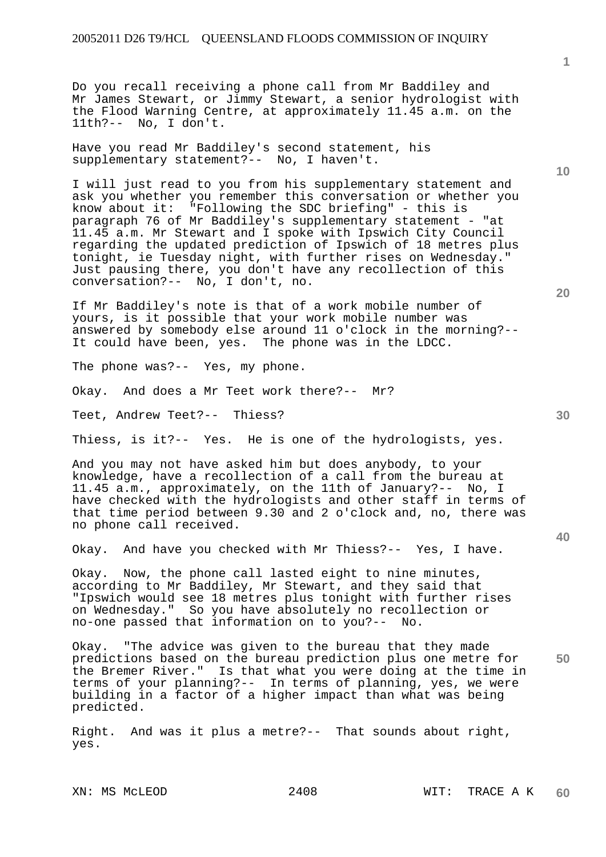Do you recall receiving a phone call from Mr Baddiley and Mr James Stewart, or Jimmy Stewart, a senior hydrologist with the Flood Warning Centre, at approximately 11.45 a.m. on the 11th?-- No, I don't.

Have you read Mr Baddiley's second statement, his supplementary statement?-- No, I haven't.

I will just read to you from his supplementary statement and ask you whether you remember this conversation or whether you know about it: "Following the SDC briefing" - this is paragraph 76 of Mr Baddiley's supplementary statement - "at 11.45 a.m. Mr Stewart and I spoke with Ipswich City Council regarding the updated prediction of Ipswich of 18 metres plus tonight, ie Tuesday night, with further rises on Wednesday." Just pausing there, you don't have any recollection of this conversation?-- No, I don't, no.

If Mr Baddiley's note is that of a work mobile number of yours, is it possible that your work mobile number was answered by somebody else around 11 o'clock in the morning?-- It could have been, yes. The phone was in the LDCC.

The phone was?-- Yes, my phone.

Okay. And does a Mr Teet work there?-- Mr?

Teet, Andrew Teet?-- Thiess?

Thiess, is it?-- Yes. He is one of the hydrologists, yes.

And you may not have asked him but does anybody, to your knowledge, have a recollection of a call from the bureau at 11.45 a.m., approximately, on the 11th of January?-- No, I have checked with the hydrologists and other staff in terms of that time period between 9.30 and 2 o'clock and, no, there was no phone call received.

Okay. And have you checked with Mr Thiess?-- Yes, I have.

Okay. Now, the phone call lasted eight to nine minutes, according to Mr Baddiley, Mr Stewart, and they said that "Ipswich would see 18 metres plus tonight with further rises on Wednesday." So you have absolutely no recollection or no-one passed that information on to you?-- No.

**50**  Okay. "The advice was given to the bureau that they made predictions based on the bureau prediction plus one metre for the Bremer River." Is that what you were doing at the time in terms of your planning?-- In terms of planning, yes, we were building in a factor of a higher impact than what was being predicted.

Right. And was it plus a metre?-- That sounds about right, yes.

**10** 

**20** 

**1**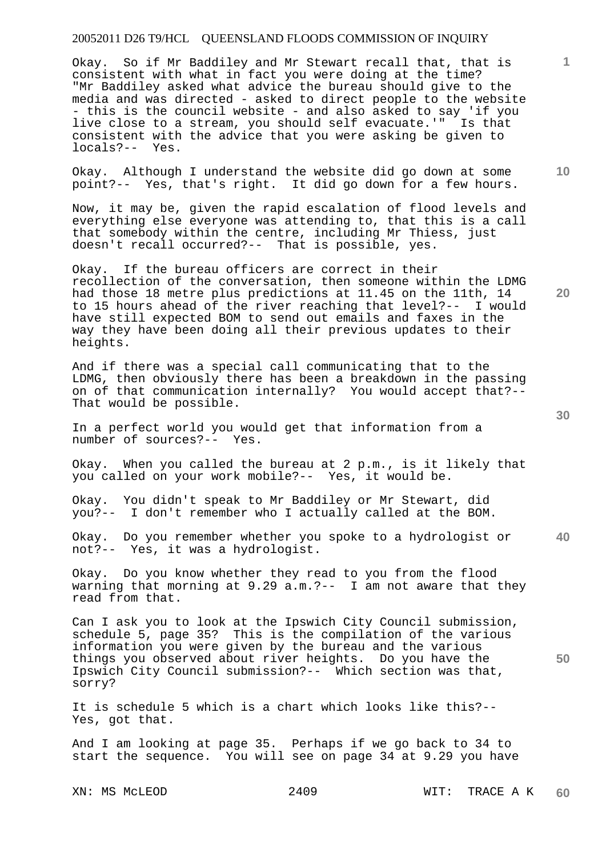Okay. So if Mr Baddiley and Mr Stewart recall that, that is consistent with what in fact you were doing at the time? "Mr Baddiley asked what advice the bureau should give to the media and was directed - asked to direct people to the website - this is the council website - and also asked to say 'if you live close to a stream, you should self evacuate.'" Is that consistent with the advice that you were asking be given to locals?-- Yes.

Okay. Although I understand the website did go down at some point?-- Yes, that's right. It did go down for a few hours.

Now, it may be, given the rapid escalation of flood levels and everything else everyone was attending to, that this is a call that somebody within the centre, including Mr Thiess, just doesn't recall occurred?-- That is possible, yes.

Okay. If the bureau officers are correct in their recollection of the conversation, then someone within the LDMG had those 18 metre plus predictions at 11.45 on the 11th, 14 to 15 hours ahead of the river reaching that level?-- I would have still expected BOM to send out emails and faxes in the way they have been doing all their previous updates to their heights.

And if there was a special call communicating that to the LDMG, then obviously there has been a breakdown in the passing on of that communication internally? You would accept that?-- That would be possible.

In a perfect world you would get that information from a number of sources?-- Yes.

Okay. When you called the bureau at 2 p.m., is it likely that you called on your work mobile?-- Yes, it would be.

Okay. You didn't speak to Mr Baddiley or Mr Stewart, did you?-- I don't remember who I actually called at the BOM.

**40**  Okay. Do you remember whether you spoke to a hydrologist or not?-- Yes, it was a hydrologist.

Okay. Do you know whether they read to you from the flood warning that morning at 9.29 a.m.?-- I am not aware that they read from that.

Can I ask you to look at the Ipswich City Council submission, schedule 5, page 35? This is the compilation of the various information you were given by the bureau and the various things you observed about river heights. Do you have the Ipswich City Council submission?-- Which section was that, sorry?

It is schedule 5 which is a chart which looks like this?-- Yes, got that.

And I am looking at page 35. Perhaps if we go back to 34 to start the sequence. You will see on page 34 at 9.29 you have

**20** 

**50** 

**10**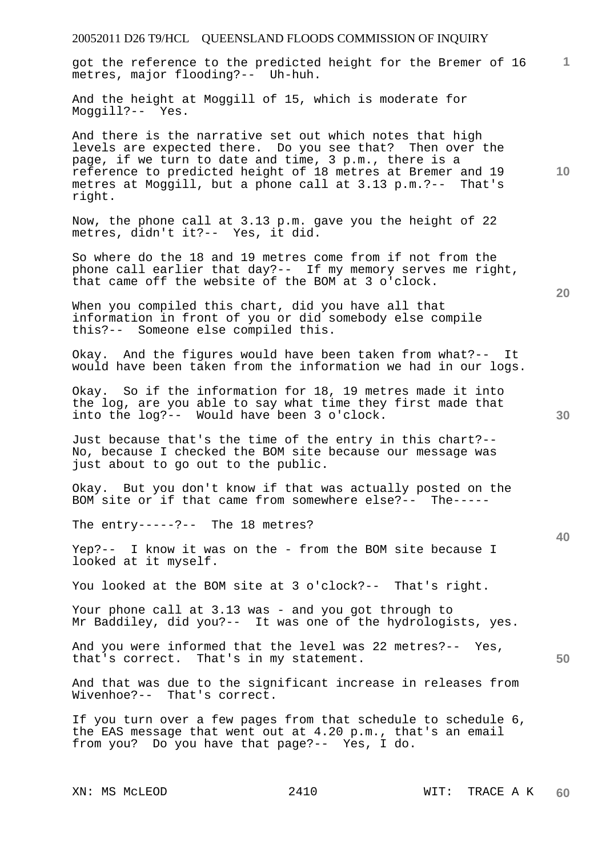# 20052011 D26 T9/HCL QUEENSLAND FLOODS COMMISSION OF INQUIRY **1 10 20 30 40 50**  got the reference to the predicted height for the Bremer of 16 metres, major flooding?-- Uh-huh. And the height at Moggill of 15, which is moderate for Moggill?-- Yes. And there is the narrative set out which notes that high levels are expected there. Do you see that? Then over the page, if we turn to date and time, 3 p.m., there is a reference to predicted height of 18 metres at Bremer and 19 metres at Moggill, but a phone call at 3.13 p.m.?-- That's right. Now, the phone call at 3.13 p.m. gave you the height of 22 metres, didn't it?-- Yes, it did. So where do the 18 and 19 metres come from if not from the phone call earlier that day?-- If my memory serves me right, that came off the website of the BOM at 3 o'clock. When you compiled this chart, did you have all that information in front of you or did somebody else compile this?-- Someone else compiled this. Okay. And the figures would have been taken from what?-- It would have been taken from the information we had in our logs. Okay. So if the information for 18, 19 metres made it into the log, are you able to say what time they first made that into the log?-- Would have been 3 o'clock. Just because that's the time of the entry in this chart?-- No, because I checked the BOM site because our message was just about to go out to the public. Okay. But you don't know if that was actually posted on the BOM site or if that came from somewhere else?-- The----- The entry-----?-- The 18 metres? Yep?-- I know it was on the - from the BOM site because I looked at it myself. You looked at the BOM site at 3 o'clock?-- That's right. Your phone call at 3.13 was - and you got through to Mr Baddiley, did you?-- It was one of the hydrologists, yes. And you were informed that the level was 22 metres?-- Yes, that's correct. That's in my statement. And that was due to the significant increase in releases from Wivenhoe?-- That's correct. If you turn over a few pages from that schedule to schedule 6, the EAS message that went out at 4.20 p.m., that's an email from you? Do you have that page?-- Yes, I do.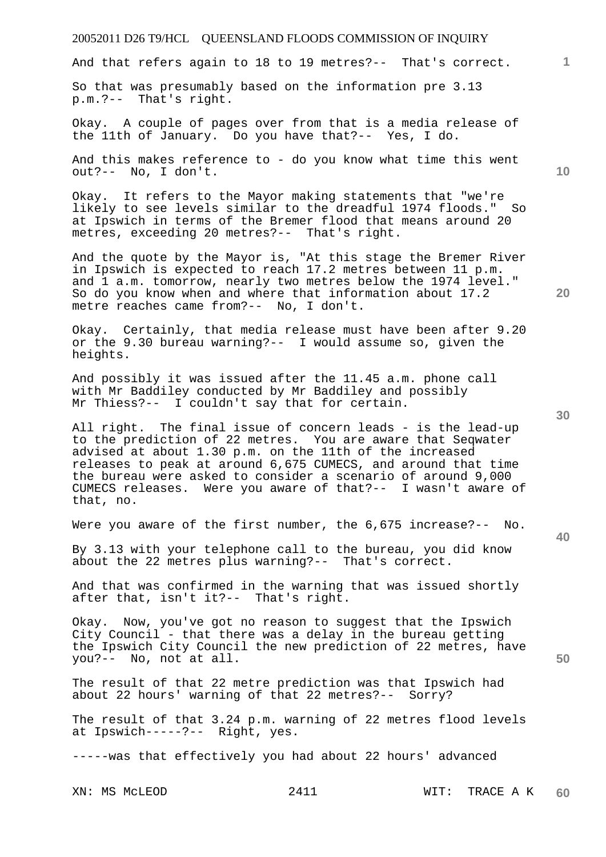# 20052011 D26 T9/HCL QUEENSLAND FLOODS COMMISSION OF INQUIRY XN: MS McLEOD 2411 WIT: TRACE A K **1 10 20 30 40 50**  And that refers again to 18 to 19 metres?-- That's correct. So that was presumably based on the information pre 3.13 p.m.?-- That's right. Okay. A couple of pages over from that is a media release of the 11th of January. Do you have that?-- Yes, I do. And this makes reference to - do you know what time this went out?-- No, I don't. Okay. It refers to the Mayor making statements that "we're likely to see levels similar to the dreadful 1974 floods." So at Ipswich in terms of the Bremer flood that means around 20 metres, exceeding 20 metres?-- That's right. And the quote by the Mayor is, "At this stage the Bremer River in Ipswich is expected to reach 17.2 metres between 11 p.m. and 1 a.m. tomorrow, nearly two metres below the 1974 level." So do you know when and where that information about 17.2 metre reaches came from?-- No, I don't. Okay. Certainly, that media release must have been after 9.20 or the 9.30 bureau warning?-- I would assume so, given the heights. And possibly it was issued after the 11.45 a.m. phone call with Mr Baddiley conducted by Mr Baddiley and possibly Mr Thiess?-- I couldn't say that for certain. All right. The final issue of concern leads - is the lead-up to the prediction of 22 metres. You are aware that Seqwater advised at about 1.30 p.m. on the 11th of the increased releases to peak at around 6,675 CUMECS, and around that time the bureau were asked to consider a scenario of around 9,000 CUMECS releases. Were you aware of that?-- I wasn't aware of that, no. Were you aware of the first number, the 6,675 increase?-- No. By 3.13 with your telephone call to the bureau, you did know about the 22 metres plus warning?-- That's correct. And that was confirmed in the warning that was issued shortly after that, isn't it?-- That's right. Okay. Now, you've got no reason to suggest that the Ipswich City Council - that there was a delay in the bureau getting the Ipswich City Council the new prediction of 22 metres, have you?-- No, not at all. The result of that 22 metre prediction was that Ipswich had about 22 hours' warning of that 22 metres?-- Sorry? The result of that 3.24 p.m. warning of 22 metres flood levels at Ipswich-----?-- Right, yes. -----was that effectively you had about 22 hours' advanced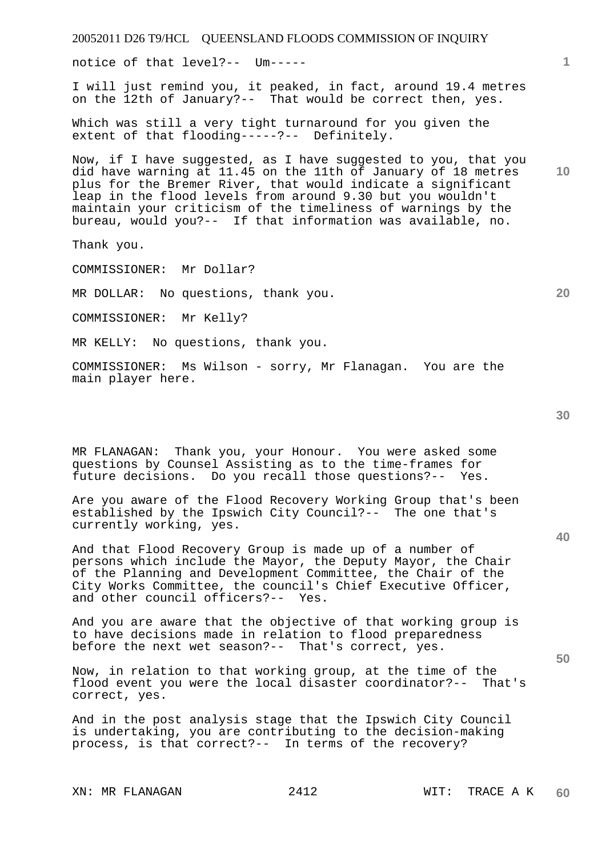XN: MR FLANAGAN 2412 WIT: TRACE A K

20052011 D26 T9/HCL QUEENSLAND FLOODS COMMISSION OF INQUIRY

notice of that level?-- Um-----

I will just remind you, it peaked, in fact, around 19.4 metres on the 12th of January?-- That would be correct then, yes.

Which was still a very tight turnaround for you given the extent of that flooding-----?-- Definitely.

Now, if I have suggested, as I have suggested to you, that you did have warning at 11.45 on the 11th of January of 18 metres plus for the Bremer River, that would indicate a significant leap in the flood levels from around 9.30 but you wouldn't maintain your criticism of the timeliness of warnings by the bureau, would you?-- If that information was available, no.

Thank you.

COMMISSIONER: Mr Dollar?

MR DOLLAR: No questions, thank you.

COMMISSIONER: Mr Kelly?

MR KELLY: No questions, thank you.

COMMISSIONER: Ms Wilson - sorry, Mr Flanagan. You are the main player here.

MR FLANAGAN: Thank you, your Honour. You were asked some questions by Counsel Assisting as to the time-frames for future decisions. Do you recall those questions?-- Yes.

Are you aware of the Flood Recovery Working Group that's been established by the Ipswich City Council?-- The one that's currently working, yes.

And that Flood Recovery Group is made up of a number of persons which include the Mayor, the Deputy Mayor, the Chair of the Planning and Development Committee, the Chair of the City Works Committee, the council's Chief Executive Officer, and other council officers?-- Yes.

And you are aware that the objective of that working group is to have decisions made in relation to flood preparedness before the next wet season?-- That's correct, yes.

Now, in relation to that working group, at the time of the flood event you were the local disaster coordinator?-- That's correct, yes.

And in the post analysis stage that the Ipswich City Council is undertaking, you are contributing to the decision-making process, is that correct?-- In terms of the recovery?

**30** 

**50** 

**10** 

**1**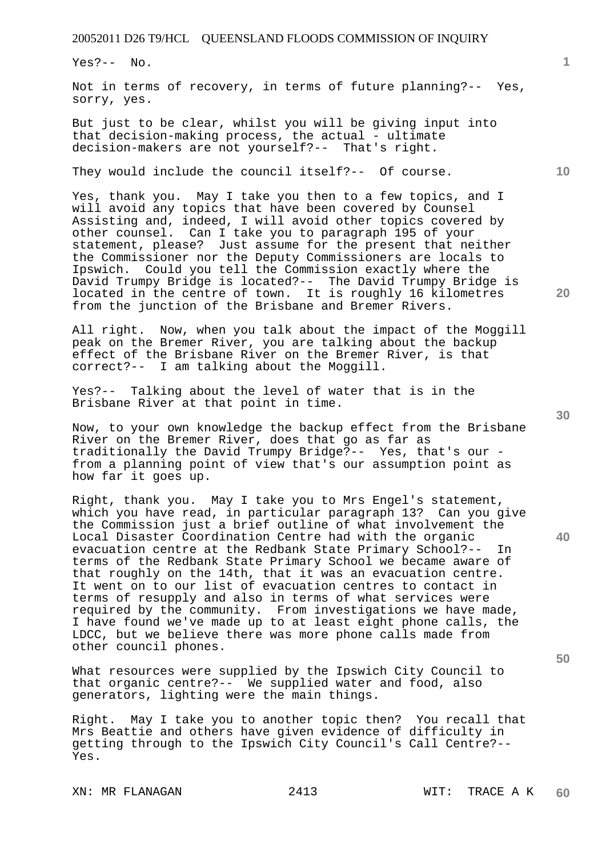Yes?-- No.

Not in terms of recovery, in terms of future planning?-- Yes, sorry, yes.

But just to be clear, whilst you will be giving input into that decision-making process, the actual - ultimate decision-makers are not yourself?-- That's right.

They would include the council itself?-- Of course.

Yes, thank you. May I take you then to a few topics, and I will avoid any topics that have been covered by Counsel Assisting and, indeed, I will avoid other topics covered by other counsel. Can I take you to paragraph 195 of your statement, please? Just assume for the present that neither the Commissioner nor the Deputy Commissioners are locals to Ipswich. Could you tell the Commission exactly where the David Trumpy Bridge is located?-- The David Trumpy Bridge is located in the centre of town. It is roughly 16 kilometres from the junction of the Brisbane and Bremer Rivers.

All right. Now, when you talk about the impact of the Moggill peak on the Bremer River, you are talking about the backup effect of the Brisbane River on the Bremer River, is that correct?-- I am talking about the Moggill.

Yes?-- Talking about the level of water that is in the Brisbane River at that point in time.

Now, to your own knowledge the backup effect from the Brisbane River on the Bremer River, does that go as far as traditionally the David Trumpy Bridge?-- Yes, that's our from a planning point of view that's our assumption point as how far it goes up.

Right, thank you. May I take you to Mrs Engel's statement, which you have read, in particular paragraph 13? Can you give the Commission just a brief outline of what involvement the Local Disaster Coordination Centre had with the organic evacuation centre at the Redbank State Primary School?-- In terms of the Redbank State Primary School we became aware of that roughly on the 14th, that it was an evacuation centre. It went on to our list of evacuation centres to contact in terms of resupply and also in terms of what services were required by the community. From investigations we have made, I have found we've made up to at least eight phone calls, the LDCC, but we believe there was more phone calls made from other council phones.

What resources were supplied by the Ipswich City Council to that organic centre?-- We supplied water and food, also generators, lighting were the main things.

Right. May I take you to another topic then? You recall that Mrs Beattie and others have given evidence of difficulty in getting through to the Ipswich City Council's Call Centre?-- Yes.

XN: MR FLANAGAN 2413 WIT: TRACE A K

**30** 

**40** 

**50** 

**20** 

**10**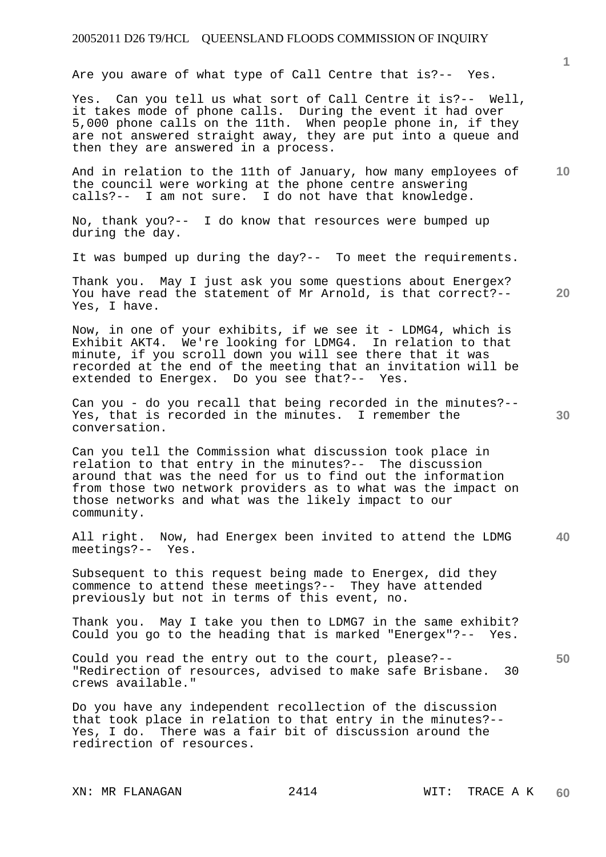Are you aware of what type of Call Centre that is?-- Yes.

Yes. Can you tell us what sort of Call Centre it is?-- Well, it takes mode of phone calls. During the event it had over 5,000 phone calls on the 11th. When people phone in, if they are not answered straight away, they are put into a queue and then they are answered in a process.

**10**  And in relation to the 11th of January, how many employees of the council were working at the phone centre answering calls?-- I am not sure. I do not have that knowledge.

No, thank you?-- I do know that resources were bumped up during the day.

It was bumped up during the day?-- To meet the requirements.

**20**  Thank you. May I just ask you some questions about Energex? You have read the statement of Mr Arnold, is that correct?-- Yes, I have.

Now, in one of your exhibits, if we see it - LDMG4, which is Exhibit AKT4. We're looking for LDMG4. In relation to that minute, if you scroll down you will see there that it was recorded at the end of the meeting that an invitation will be extended to Energex. Do you see that?-- Yes.

Can you - do you recall that being recorded in the minutes?-- Yes, that is recorded in the minutes. I remember the conversation.

Can you tell the Commission what discussion took place in relation to that entry in the minutes?-- The discussion around that was the need for us to find out the information from those two network providers as to what was the impact on those networks and what was the likely impact to our community.

**40**  All right. Now, had Energex been invited to attend the LDMG meetings?-- Yes.

Subsequent to this request being made to Energex, did they commence to attend these meetings?-- They have attended previously but not in terms of this event, no.

Thank you. May I take you then to LDMG7 in the same exhibit? Could you go to the heading that is marked "Energex"?-- Yes.

Could you read the entry out to the court, please?-- "Redirection of resources, advised to make safe Brisbane. 30 crews available."

Do you have any independent recollection of the discussion that took place in relation to that entry in the minutes?-- Yes, I do. There was a fair bit of discussion around the redirection of resources.

XN: MR FLANAGAN 2414 WIT: TRACE A K

**1**

**30**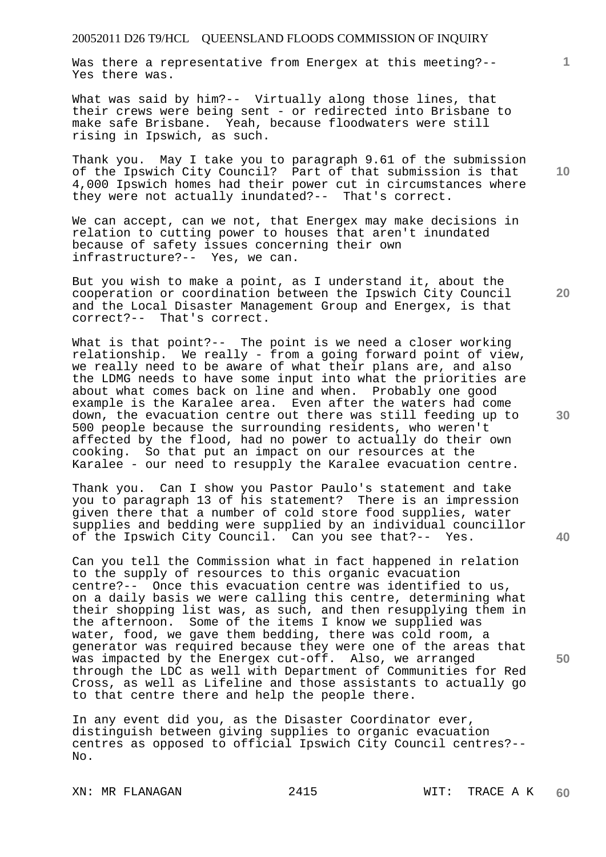Was there a representative from Energex at this meeting?-- Yes there was.

What was said by him?-- Virtually along those lines, that their crews were being sent - or redirected into Brisbane to make safe Brisbane. Yeah, because floodwaters were still rising in Ipswich, as such.

Thank you. May I take you to paragraph 9.61 of the submission of the Ipswich City Council? Part of that submission is that 4,000 Ipswich homes had their power cut in circumstances where they were not actually inundated?-- That's correct.

We can accept, can we not, that Energex may make decisions in relation to cutting power to houses that aren't inundated because of safety issues concerning their own infrastructure?-- Yes, we can.

But you wish to make a point, as I understand it, about the cooperation or coordination between the Ipswich City Council and the Local Disaster Management Group and Energex, is that correct?-- That's correct.

What is that point?-- The point is we need a closer working relationship. We really - from a going forward point of view, we really need to be aware of what their plans are, and also the LDMG needs to have some input into what the priorities are about what comes back on line and when. Probably one good example is the Karalee area. Even after the waters had come down, the evacuation centre out there was still feeding up to 500 people because the surrounding residents, who weren't affected by the flood, had no power to actually do their own cooking. So that put an impact on our resources at the Karalee - our need to resupply the Karalee evacuation centre.

Thank you. Can I show you Pastor Paulo's statement and take you to paragraph 13 of his statement? There is an impression given there that a number of cold store food supplies, water supplies and bedding were supplied by an individual councillor of the Ipswich City Council. Can you see that?-- Yes.

Can you tell the Commission what in fact happened in relation to the supply of resources to this organic evacuation centre?-- Once this evacuation centre was identified to us, on a daily basis we were calling this centre, determining what their shopping list was, as such, and then resupplying them in the afternoon. Some of the items I know we supplied was water, food, we gave them bedding, there was cold room, a generator was required because they were one of the areas that was impacted by the Energex cut-off. Also, we arranged through the LDC as well with Department of Communities for Red Cross, as well as Lifeline and those assistants to actually go to that centre there and help the people there.

In any event did you, as the Disaster Coordinator ever, distinguish between giving supplies to organic evacuation centres as opposed to official Ipswich City Council centres?-- No.

**10** 

**1**

**30** 

**20** 

**40**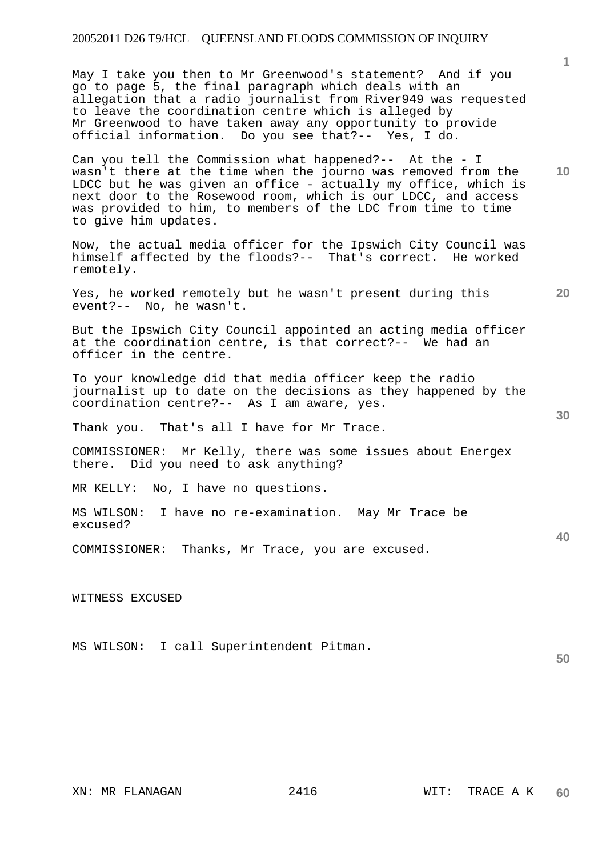May I take you then to Mr Greenwood's statement? And if you go to page 5, the final paragraph which deals with an allegation that a radio journalist from River949 was requested to leave the coordination centre which is alleged by Mr Greenwood to have taken away any opportunity to provide official information. Do you see that?-- Yes, I do.

**10**  Can you tell the Commission what happened?-- At the - I wasn't there at the time when the journo was removed from the LDCC but he was given an office - actually my office, which is next door to the Rosewood room, which is our LDCC, and access was provided to him, to members of the LDC from time to time to give him updates.

Now, the actual media officer for the Ipswich City Council was himself affected by the floods?-- That's correct. He worked remotely.

Yes, he worked remotely but he wasn't present during this event?-- No, he wasn't.

But the Ipswich City Council appointed an acting media officer at the coordination centre, is that correct?-- We had an officer in the centre.

To your knowledge did that media officer keep the radio journalist up to date on the decisions as they happened by the coordination centre?-- As I am aware, yes.

Thank you. That's all I have for Mr Trace.

COMMISSIONER: Mr Kelly, there was some issues about Energex there. Did you need to ask anything?

MR KELLY: No, I have no questions.

MS WILSON: I have no re-examination. May Mr Trace be excused?

COMMISSIONER: Thanks, Mr Trace, you are excused.

WITNESS EXCUSED

MS WILSON: I call Superintendent Pitman.

**1**

**20** 

**40**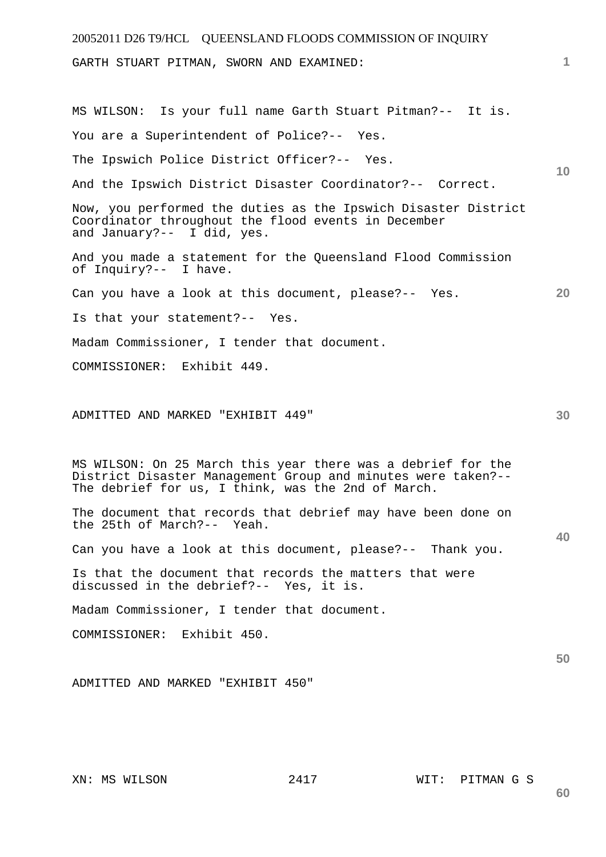20052011 D26 T9/HCL QUEENSLAND FLOODS COMMISSION OF INQUIRY **1 10 20 30 40 50**  GARTH STUART PITMAN, SWORN AND EXAMINED: MS WILSON: Is your full name Garth Stuart Pitman?-- It is. You are a Superintendent of Police?-- Yes. The Ipswich Police District Officer?-- Yes. And the Ipswich District Disaster Coordinator?-- Correct. Now, you performed the duties as the Ipswich Disaster District Coordinator throughout the flood events in December and January?-- I did, yes. And you made a statement for the Queensland Flood Commission of Inquiry?-- I have. Can you have a look at this document, please?-- Yes. Is that your statement?-- Yes. Madam Commissioner, I tender that document. COMMISSIONER: Exhibit 449. ADMITTED AND MARKED "EXHIBIT 449" MS WILSON: On 25 March this year there was a debrief for the District Disaster Management Group and minutes were taken?-- The debrief for us, I think, was the 2nd of March. The document that records that debrief may have been done on the 25th of March?-- Yeah. Can you have a look at this document, please?-- Thank you. Is that the document that records the matters that were discussed in the debrief?-- Yes, it is. Madam Commissioner, I tender that document. COMMISSIONER: Exhibit 450. ADMITTED AND MARKED "EXHIBIT 450"

XN: MS WILSON 2417 WIT: PITMAN G S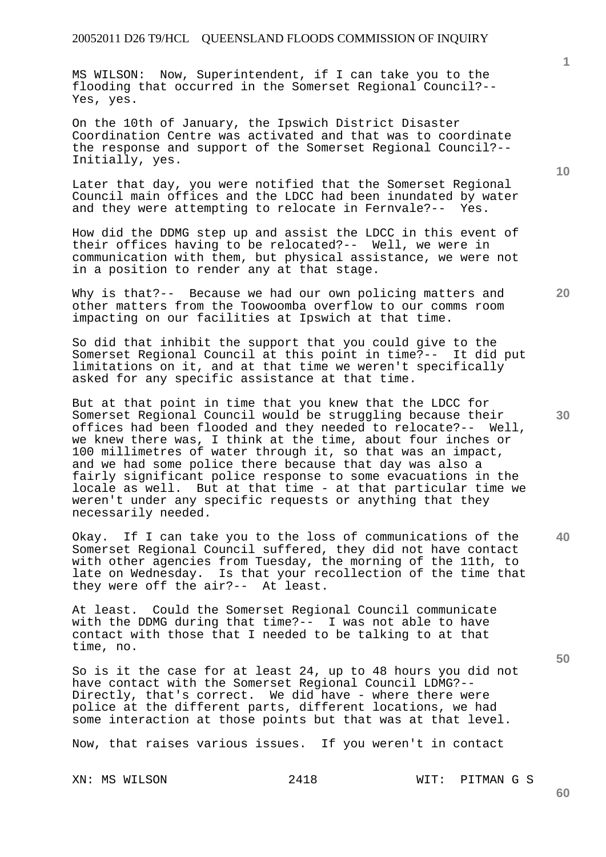MS WILSON: Now, Superintendent, if I can take you to the flooding that occurred in the Somerset Regional Council?-- Yes, yes.

On the 10th of January, the Ipswich District Disaster Coordination Centre was activated and that was to coordinate the response and support of the Somerset Regional Council?-- Initially, yes.

Later that day, you were notified that the Somerset Regional Council main offices and the LDCC had been inundated by water and they were attempting to relocate in Fernvale?-- Yes.

How did the DDMG step up and assist the LDCC in this event of their offices having to be relocated?-- Well, we were in communication with them, but physical assistance, we were not in a position to render any at that stage.

Why is that?-- Because we had our own policing matters and other matters from the Toowoomba overflow to our comms room impacting on our facilities at Ipswich at that time.

So did that inhibit the support that you could give to the Somerset Regional Council at this point in time?-- It did put limitations on it, and at that time we weren't specifically asked for any specific assistance at that time.

But at that point in time that you knew that the LDCC for Somerset Regional Council would be struggling because their offices had been flooded and they needed to relocate?-- Well, we knew there was, I think at the time, about four inches or 100 millimetres of water through it, so that was an impact, and we had some police there because that day was also a fairly significant police response to some evacuations in the locale as well. But at that time - at that particular time we weren't under any specific requests or anything that they necessarily needed.

**40**  Okay. If I can take you to the loss of communications of the Somerset Regional Council suffered, they did not have contact with other agencies from Tuesday, the morning of the 11th, to late on Wednesday. Is that your recollection of the time that they were off the air?-- At least.

At least. Could the Somerset Regional Council communicate with the DDMG during that time?-- I was not able to have contact with those that I needed to be talking to at that time, no.

So is it the case for at least 24, up to 48 hours you did not have contact with the Somerset Regional Council LDMG?-- Directly, that's correct. We did have - where there were police at the different parts, different locations, we had some interaction at those points but that was at that level.

Now, that raises various issues. If you weren't in contact

XN: MS WILSON 2418 WIT: PITMAN G S

**30** 

**20** 

**10**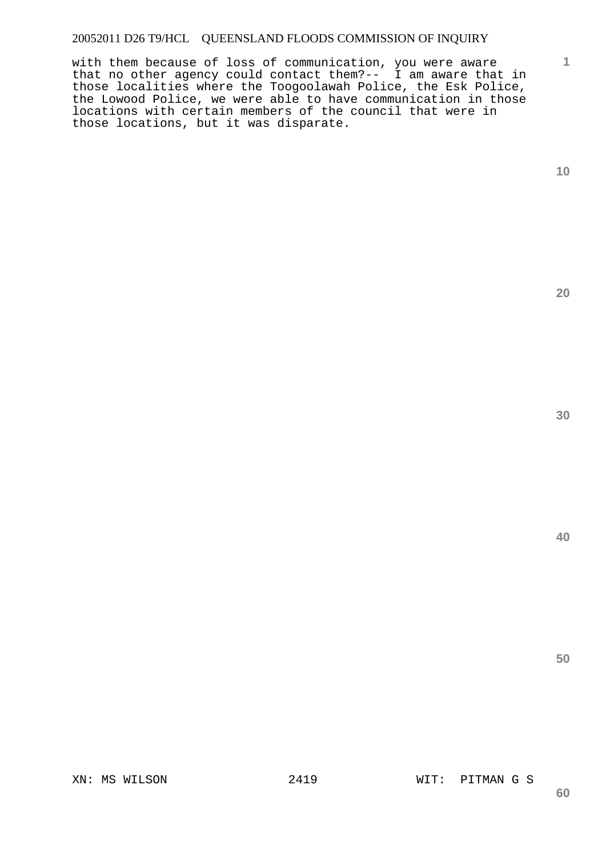with them because of loss of communication, you were aware that no other agency could contact them?-- I am aware that in those localities where the Toogoolawah Police, the Esk Police, the Lowood Police, we were able to have communication in those locations with certain members of the council that were in those locations, but it was disparate.

**1**

**20** 

**30** 

**50**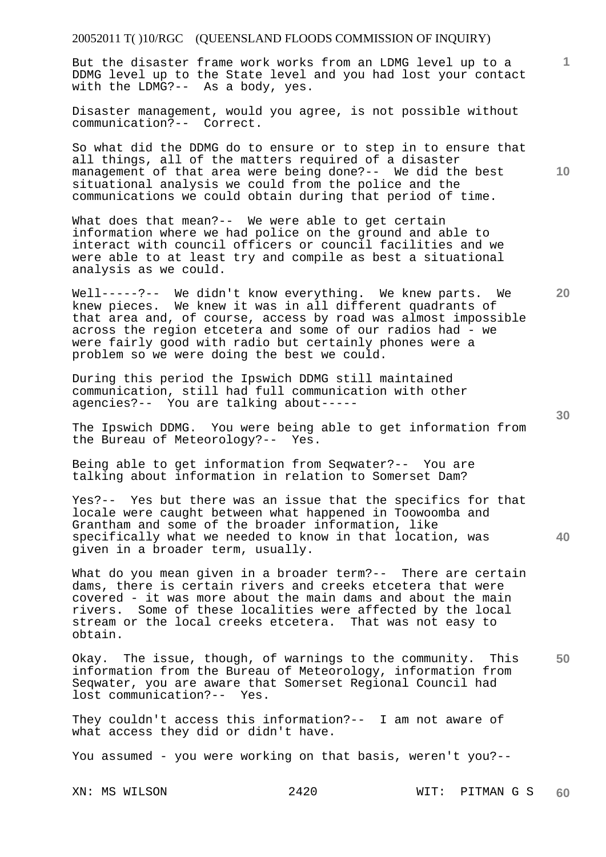But the disaster frame work works from an LDMG level up to a DDMG level up to the State level and you had lost your contact with the LDMG?-- As a body, yes.

Disaster management, would you agree, is not possible without communication?-- Correct.

So what did the DDMG do to ensure or to step in to ensure that all things, all of the matters required of a disaster management of that area were being done?-- We did the best situational analysis we could from the police and the communications we could obtain during that period of time.

What does that mean?-- We were able to get certain information where we had police on the ground and able to interact with council officers or council facilities and we were able to at least try and compile as best a situational analysis as we could.

Well-----?-- We didn't know everything. We knew parts. We knew pieces. We knew it was in all different quadrants of that area and, of course, access by road was almost impossible across the region etcetera and some of our radios had - we were fairly good with radio but certainly phones were a problem so we were doing the best we could.

During this period the Ipswich DDMG still maintained communication, still had full communication with other agencies?-- You are talking about-----

The Ipswich DDMG. You were being able to get information from the Bureau of Meteorology?-- Yes.

Being able to get information from Seqwater?-- You are talking about information in relation to Somerset Dam?

Yes?-- Yes but there was an issue that the specifics for that locale were caught between what happened in Toowoomba and Grantham and some of the broader information, like specifically what we needed to know in that location, was given in a broader term, usually.

What do you mean given in a broader term?-- There are certain dams, there is certain rivers and creeks etcetera that were covered - it was more about the main dams and about the main rivers. Some of these localities were affected by the local stream or the local creeks etcetera. That was not easy to obtain.

**50**  Okay. The issue, though, of warnings to the community. This information from the Bureau of Meteorology, information from Seqwater, you are aware that Somerset Regional Council had lost communication?-- Yes.

They couldn't access this information?-- I am not aware of what access they did or didn't have.

You assumed - you were working on that basis, weren't you?--

**30** 

**40** 

**20** 

**10**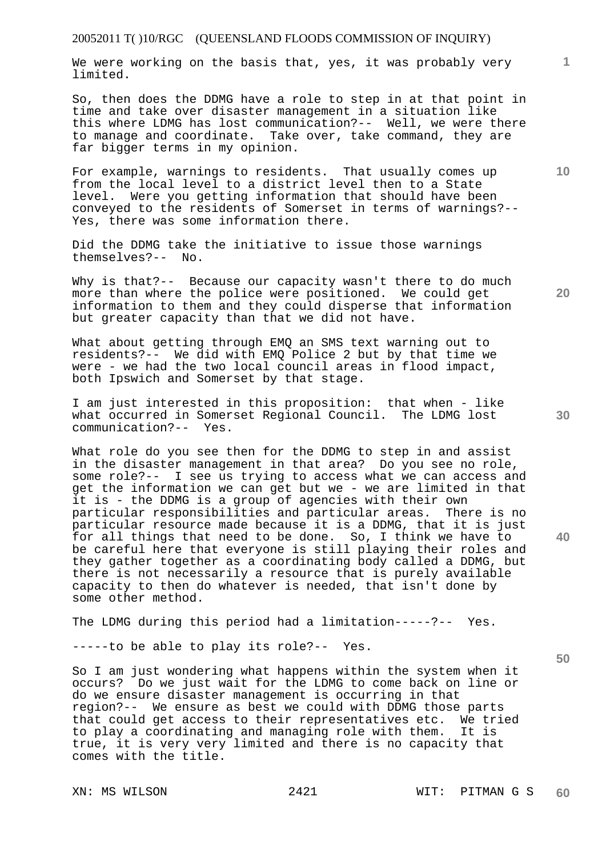We were working on the basis that, yes, it was probably very limited.

So, then does the DDMG have a role to step in at that point in time and take over disaster management in a situation like this where LDMG has lost communication?-- Well, we were there to manage and coordinate. Take over, take command, they are far bigger terms in my opinion.

For example, warnings to residents. That usually comes up from the local level to a district level then to a State level. Were you getting information that should have been conveyed to the residents of Somerset in terms of warnings?-- Yes, there was some information there.

Did the DDMG take the initiative to issue those warnings themselves?-- No.

Why is that?-- Because our capacity wasn't there to do much more than where the police were positioned. We could get information to them and they could disperse that information but greater capacity than that we did not have.

What about getting through EMQ an SMS text warning out to residents?-- We did with EMQ Police 2 but by that time we were - we had the two local council areas in flood impact, both Ipswich and Somerset by that stage.

I am just interested in this proposition: that when - like what occurred in Somerset Regional Council. The LDMG lost communication?-- Yes.

What role do you see then for the DDMG to step in and assist in the disaster management in that area? Do you see no role, some role?-- I see us trying to access what we can access and get the information we can get but we - we are limited in that it is - the DDMG is a group of agencies with their own particular responsibilities and particular areas. There is no particular resource made because it is a DDMG, that it is just for all things that need to be done. So, I think we have to be careful here that everyone is still playing their roles and they gather together as a coordinating body called a DDMG, but there is not necessarily a resource that is purely available capacity to then do whatever is needed, that isn't done by some other method.

The LDMG during this period had a limitation-----?-- Yes.

-----to be able to play its role?-- Yes.

So I am just wondering what happens within the system when it occurs? Do we just wait for the LDMG to come back on line or do we ensure disaster management is occurring in that region?-- We ensure as best we could with DDMG those parts that could get access to their representatives etc. We tried to play a coordinating and managing role with them. It is true, it is very very limited and there is no capacity that comes with the title.

**10** 

**1**

**40**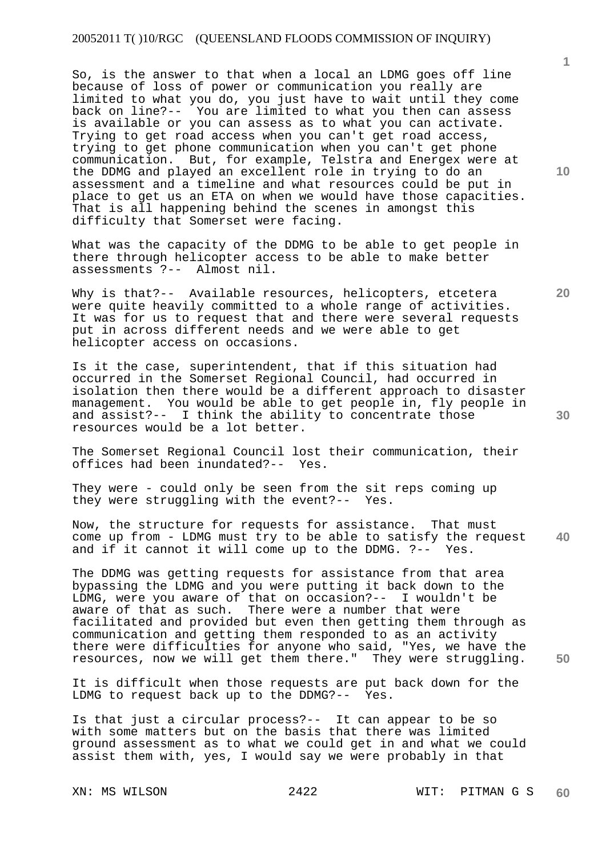So, is the answer to that when a local an LDMG goes off line because of loss of power or communication you really are limited to what you do, you just have to wait until they come back on line?-- You are limited to what you then can assess is available or you can assess as to what you can activate. Trying to get road access when you can't get road access, trying to get phone communication when you can't get phone communication. But, for example, Telstra and Energex were at the DDMG and played an excellent role in trying to do an assessment and a timeline and what resources could be put in place to get us an ETA on when we would have those capacities. That is all happening behind the scenes in amongst this difficulty that Somerset were facing.

What was the capacity of the DDMG to be able to get people in there through helicopter access to be able to make better assessments ?-- Almost nil.

Why is that?-- Available resources, helicopters, etcetera were quite heavily committed to a whole range of activities. It was for us to request that and there were several requests put in across different needs and we were able to get helicopter access on occasions.

Is it the case, superintendent, that if this situation had occurred in the Somerset Regional Council, had occurred in isolation then there would be a different approach to disaster management. You would be able to get people in, fly people in and assist?-- I think the ability to concentrate those resources would be a lot better.

The Somerset Regional Council lost their communication, their offices had been inundated?-- Yes.

They were - could only be seen from the sit reps coming up they were struggling with the event?-- Yes.

**40**  Now, the structure for requests for assistance. That must come up from - LDMG must try to be able to satisfy the request and if it cannot it will come up to the DDMG. ?-- Yes.

The DDMG was getting requests for assistance from that area bypassing the LDMG and you were putting it back down to the LDMG, were you aware of that on occasion?-- I wouldn't be aware of that as such. There were a number that were facilitated and provided but even then getting them through as communication and getting them responded to as an activity there were difficulties for anyone who said, "Yes, we have the resources, now we will get them there." They were struggling.

It is difficult when those requests are put back down for the LDMG to request back up to the DDMG?-- Yes.

Is that just a circular process?-- It can appear to be so with some matters but on the basis that there was limited ground assessment as to what we could get in and what we could assist them with, yes, I would say we were probably in that

**10** 

**1**

**20**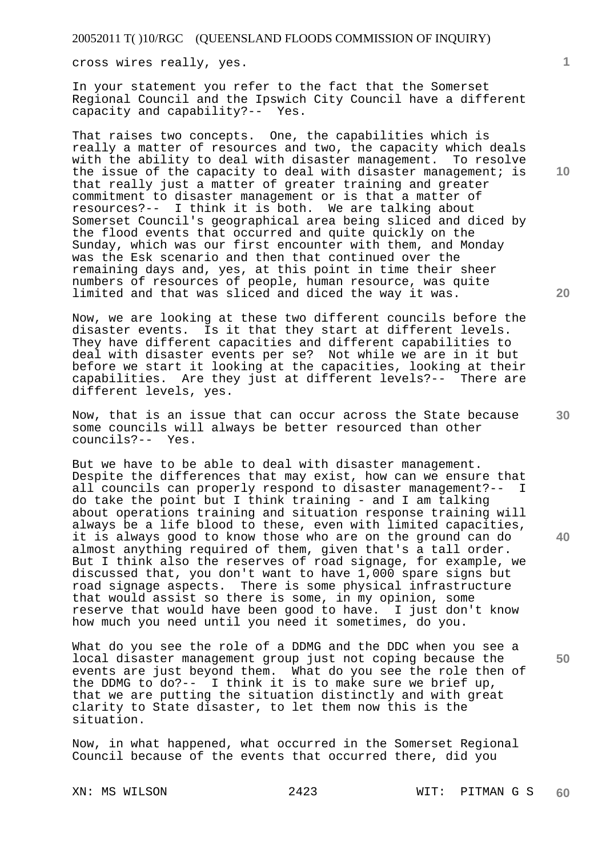cross wires really, yes.

In your statement you refer to the fact that the Somerset Regional Council and the Ipswich City Council have a different capacity and capability?-- Yes.

That raises two concepts. One, the capabilities which is really a matter of resources and two, the capacity which deals with the ability to deal with disaster management. To resolve the issue of the capacity to deal with disaster management; is that really just a matter of greater training and greater commitment to disaster management or is that a matter of resources?-- I think it is both. We are talking about Somerset Council's geographical area being sliced and diced by the flood events that occurred and quite quickly on the Sunday, which was our first encounter with them, and Monday was the Esk scenario and then that continued over the remaining days and, yes, at this point in time their sheer numbers of resources of people, human resource, was quite limited and that was sliced and diced the way it was.

Now, we are looking at these two different councils before the disaster events. Is it that they start at different levels. They have different capacities and different capabilities to deal with disaster events per se? Not while we are in it but before we start it looking at the capacities, looking at their capabilities. Are they just at different levels?-- There are different levels, yes.

Now, that is an issue that can occur across the State because some councils will always be better resourced than other councils?-- Yes.

But we have to be able to deal with disaster management. Despite the differences that may exist, how can we ensure that all councils can properly respond to disaster management?-- I do take the point but I think training - and I am talking about operations training and situation response training will always be a life blood to these, even with limited capacities, it is always good to know those who are on the ground can do almost anything required of them, given that's a tall order. But I think also the reserves of road signage, for example, we discussed that, you don't want to have 1,000 spare signs but road signage aspects. There is some physical infrastructure that would assist so there is some, in my opinion, some reserve that would have been good to have. I just don't know how much you need until you need it sometimes, do you.

What do you see the role of a DDMG and the DDC when you see a local disaster management group just not coping because the events are just beyond them. What do you see the role then of the DDMG to do?-- I think it is to make sure we brief up, that we are putting the situation distinctly and with great clarity to State disaster, to let them now this is the situation.

Now, in what happened, what occurred in the Somerset Regional Council because of the events that occurred there, did you

**1**

**10** 

**20** 

**30** 

**40**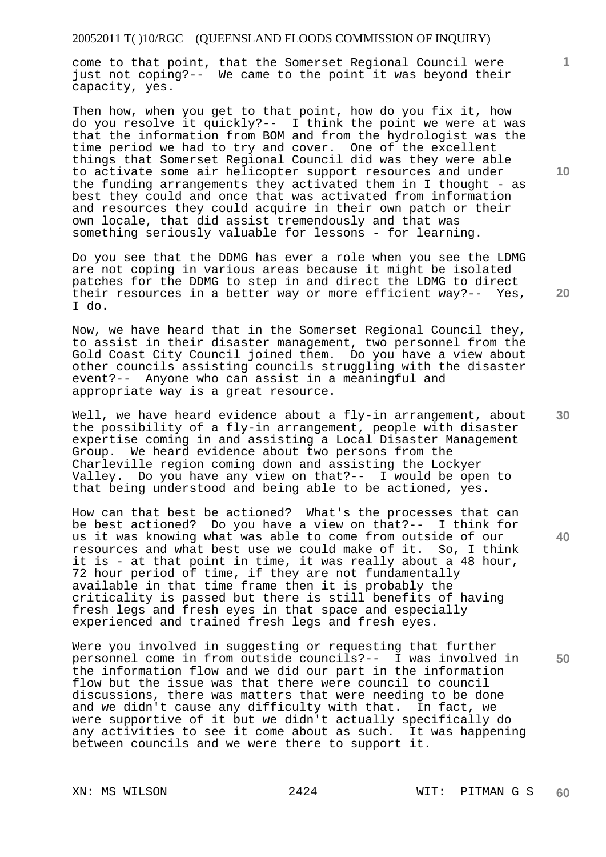come to that point, that the Somerset Regional Council were just not coping?-- We came to the point it was beyond their capacity, yes.

Then how, when you get to that point, how do you fix it, how do you resolve it quickly?-- I think the point we were at was that the information from BOM and from the hydrologist was the time period we had to try and cover. One of the excellent things that Somerset Regional Council did was they were able to activate some air helicopter support resources and under the funding arrangements they activated them in I thought - as best they could and once that was activated from information and resources they could acquire in their own patch or their own locale, that did assist tremendously and that was something seriously valuable for lessons - for learning.

Do you see that the DDMG has ever a role when you see the LDMG are not coping in various areas because it might be isolated patches for the DDMG to step in and direct the LDMG to direct their resources in a better way or more efficient way?-- Yes, I do.

Now, we have heard that in the Somerset Regional Council they, to assist in their disaster management, two personnel from the Gold Coast City Council joined them. Do you have a view about other councils assisting councils struggling with the disaster event?-- Anyone who can assist in a meaningful and appropriate way is a great resource.

Well, we have heard evidence about a fly-in arrangement, about the possibility of a fly-in arrangement, people with disaster expertise coming in and assisting a Local Disaster Management Group. We heard evidence about two persons from the Charleville region coming down and assisting the Lockyer Valley. Do you have any view on that?-- I would be open to that being understood and being able to be actioned, yes.

How can that best be actioned? What's the processes that can be best actioned? Do you have a view on that?-- I think for us it was knowing what was able to come from outside of our resources and what best use we could make of it. So, I think it is - at that point in time, it was really about a 48 hour, 72 hour period of time, if they are not fundamentally available in that time frame then it is probably the criticality is passed but there is still benefits of having fresh legs and fresh eyes in that space and especially experienced and trained fresh legs and fresh eyes.

Were you involved in suggesting or requesting that further personnel come in from outside councils?-- I was involved in the information flow and we did our part in the information flow but the issue was that there were council to council discussions, there was matters that were needing to be done and we didn't cause any difficulty with that. In fact, we were supportive of it but we didn't actually specifically do any activities to see it come about as such. It was happening between councils and we were there to support it.

**10** 

**1**

**30** 

**20** 

**40**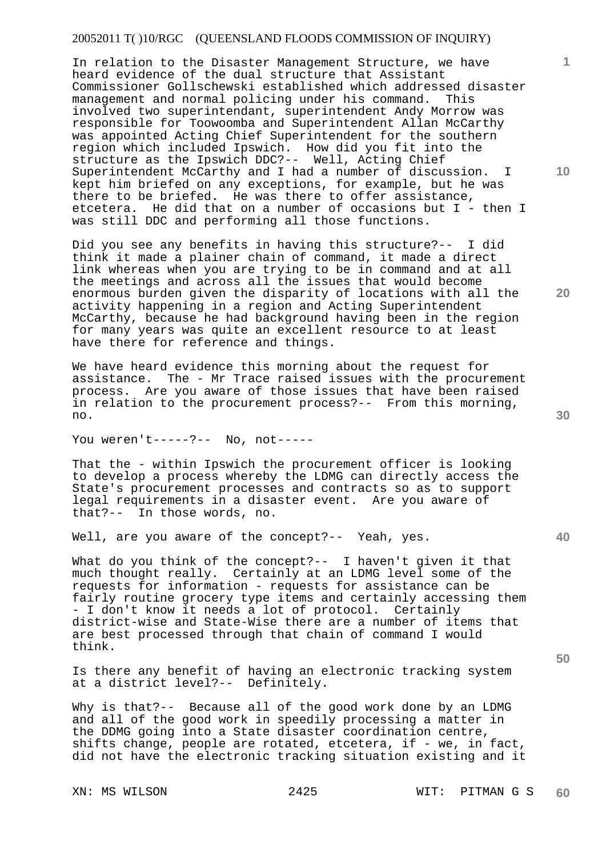In relation to the Disaster Management Structure, we have heard evidence of the dual structure that Assistant Commissioner Gollschewski established which addressed disaster management and normal policing under his command. This involved two superintendant, superintendent Andy Morrow was responsible for Toowoomba and Superintendent Allan McCarthy was appointed Acting Chief Superintendent for the southern region which included Ipswich. How did you fit into the structure as the Ipswich DDC?-- Well, Acting Chief Superintendent McCarthy and I had a number of discussion. I kept him briefed on any exceptions, for example, but he was there to be briefed. He was there to offer assistance, etcetera. He did that on a number of occasions but I - then I was still DDC and performing all those functions.

Did you see any benefits in having this structure?-- I did think it made a plainer chain of command, it made a direct link whereas when you are trying to be in command and at all the meetings and across all the issues that would become enormous burden given the disparity of locations with all the activity happening in a region and Acting Superintendent McCarthy, because he had background having been in the region for many years was quite an excellent resource to at least have there for reference and things.

We have heard evidence this morning about the request for assistance. The - Mr Trace raised issues with the procurement process. Are you aware of those issues that have been raised in relation to the procurement process?-- From this morning, no.

You weren't-----?-- No, not-----

That the - within Ipswich the procurement officer is looking to develop a process whereby the LDMG can directly access the State's procurement processes and contracts so as to support legal requirements in a disaster event. Are you aware of that?-- In those words, no.

Well, are you aware of the concept?-- Yeah, yes.

What do you think of the concept?-- I haven't given it that much thought really. Certainly at an LDMG level some of the requests for information - requests for assistance can be fairly routine grocery type items and certainly accessing them - I don't know it needs a lot of protocol. Certainly district-wise and State-Wise there are a number of items that are best processed through that chain of command I would think.

Is there any benefit of having an electronic tracking system at a district level?-- Definitely.

Why is that?-- Because all of the good work done by an LDMG and all of the good work in speedily processing a matter in the DDMG going into a State disaster coordination centre, shifts change, people are rotated, etcetera, if - we, in fact, did not have the electronic tracking situation existing and it

**10** 

**1**

**20** 

**30**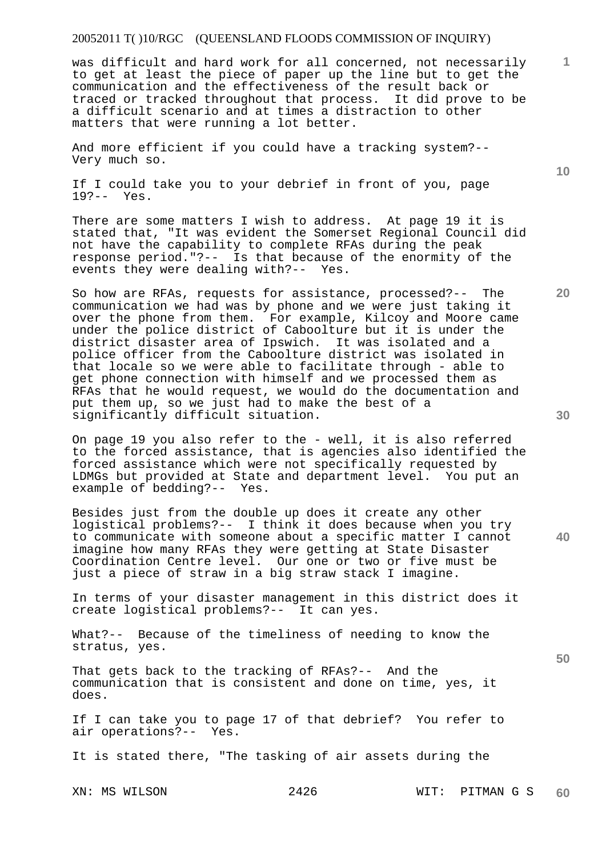was difficult and hard work for all concerned, not necessarily to get at least the piece of paper up the line but to get the communication and the effectiveness of the result back or traced or tracked throughout that process. It did prove to be a difficult scenario and at times a distraction to other matters that were running a lot better.

And more efficient if you could have a tracking system?-- Very much so.

If I could take you to your debrief in front of you, page 19?-- Yes.

There are some matters I wish to address. At page 19 it is stated that, "It was evident the Somerset Regional Council did not have the capability to complete RFAs during the peak response period."?-- Is that because of the enormity of the events they were dealing with?-- Yes.

So how are RFAs, requests for assistance, processed?-- The communication we had was by phone and we were just taking it over the phone from them. For example, Kilcoy and Moore came under the police district of Caboolture but it is under the district disaster area of Ipswich. It was isolated and a police officer from the Caboolture district was isolated in that locale so we were able to facilitate through - able to get phone connection with himself and we processed them as RFAs that he would request, we would do the documentation and put them up, so we just had to make the best of a significantly difficult situation.

On page 19 you also refer to the - well, it is also referred to the forced assistance, that is agencies also identified the forced assistance which were not specifically requested by LDMGs but provided at State and department level. You put an example of bedding?-- Yes.

Besides just from the double up does it create any other logistical problems?-- I think it does because when you try to communicate with someone about a specific matter I cannot imagine how many RFAs they were getting at State Disaster Coordination Centre level. Our one or two or five must be just a piece of straw in a big straw stack I imagine.

In terms of your disaster management in this district does it create logistical problems?-- It can yes.

What?-- Because of the timeliness of needing to know the stratus, yes.

That gets back to the tracking of RFAs?-- And the communication that is consistent and done on time, yes, it does.

If I can take you to page 17 of that debrief? You refer to air operations?-- Yes.

It is stated there, "The tasking of air assets during the

XN: MS WILSON 2426 WIT: PITMAN G S **60** 

**30** 

**20** 

**40** 

**50** 

**10**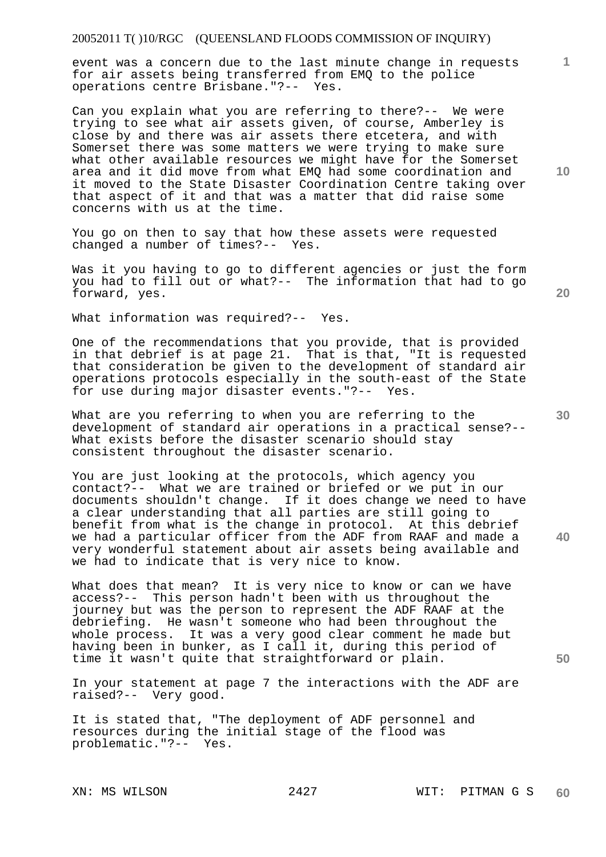# 20052011 T( )10/RGC (QUEENSLAND FLOODS COMMISSION OF INQUIRY)

event was a concern due to the last minute change in requests for air assets being transferred from EMQ to the police operations centre Brisbane."?-- Yes.

Can you explain what you are referring to there?-- We were trying to see what air assets given, of course, Amberley is close by and there was air assets there etcetera, and with Somerset there was some matters we were trying to make sure what other available resources we might have for the Somerset area and it did move from what EMQ had some coordination and it moved to the State Disaster Coordination Centre taking over that aspect of it and that was a matter that did raise some concerns with us at the time.

You go on then to say that how these assets were requested changed a number of times?-- Yes.

Was it you having to go to different agencies or just the form you had to fill out or what?-- The information that had to go forward, yes.

What information was required?-- Yes.

One of the recommendations that you provide, that is provided in that debrief is at page 21. That is that, "It is requested that consideration be given to the development of standard air operations protocols especially in the south-east of the State for use during major disaster events."?-- Yes.

What are you referring to when you are referring to the development of standard air operations in a practical sense?-- What exists before the disaster scenario should stay consistent throughout the disaster scenario.

You are just looking at the protocols, which agency you contact?-- What we are trained or briefed or we put in our documents shouldn't change. If it does change we need to have a clear understanding that all parties are still going to benefit from what is the change in protocol. At this debrief we had a particular officer from the ADF from RAAF and made a very wonderful statement about air assets being available and we had to indicate that is very nice to know.

What does that mean? It is very nice to know or can we have access?-- This person hadn't been with us throughout the journey but was the person to represent the ADF RAAF at the debriefing. He wasn't someone who had been throughout the whole process. It was a very good clear comment he made but having been in bunker, as I call it, during this period of time it wasn't quite that straightforward or plain.

In your statement at page 7 the interactions with the ADF are raised?-- Very good.

It is stated that, "The deployment of ADF personnel and resources during the initial stage of the flood was problematic."?-- Yes.

**10** 

**1**

**20** 

**30** 

**40**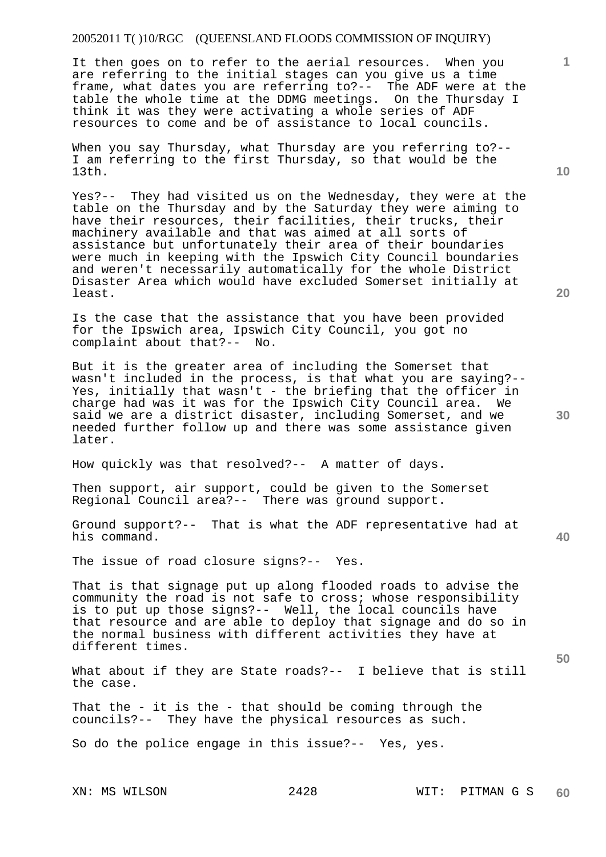# 20052011 T( )10/RGC (QUEENSLAND FLOODS COMMISSION OF INQUIRY)

It then goes on to refer to the aerial resources. When you are referring to the initial stages can you give us a time frame, what dates you are referring to?-- The ADF were at the table the whole time at the DDMG meetings. On the Thursday I think it was they were activating a whole series of ADF resources to come and be of assistance to local councils.

When you say Thursday, what Thursday are you referring to?-- I am referring to the first Thursday, so that would be the 13th.

Yes?-- They had visited us on the Wednesday, they were at the table on the Thursday and by the Saturday they were aiming to have their resources, their facilities, their trucks, their machinery available and that was aimed at all sorts of assistance but unfortunately their area of their boundaries were much in keeping with the Ipswich City Council boundaries and weren't necessarily automatically for the whole District Disaster Area which would have excluded Somerset initially at least.

Is the case that the assistance that you have been provided for the Ipswich area, Ipswich City Council, you got no complaint about that?-- No.

But it is the greater area of including the Somerset that wasn't included in the process, is that what you are saying?-- Yes, initially that wasn't - the briefing that the officer in charge had was it was for the Ipswich City Council area. We said we are a district disaster, including Somerset, and we needed further follow up and there was some assistance given later.

How quickly was that resolved?-- A matter of days.

Then support, air support, could be given to the Somerset Regional Council area?-- There was ground support.

Ground support?-- That is what the ADF representative had at his command.

The issue of road closure signs?-- Yes.

That is that signage put up along flooded roads to advise the community the road is not safe to cross; whose responsibility is to put up those signs?-- Well, the local councils have that resource and are able to deploy that signage and do so in the normal business with different activities they have at different times.

What about if they are State roads?-- I believe that is still the case.

That the - it is the - that should be coming through the councils?-- They have the physical resources as such.

So do the police engage in this issue?-- Yes, yes.

**10** 

**1**

**20** 

**40**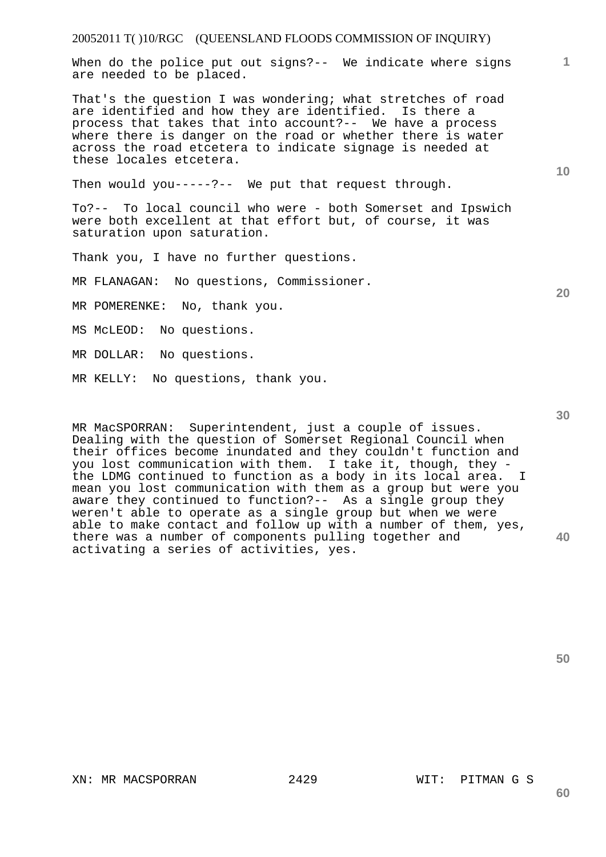#### 20052011 T( )10/RGC (QUEENSLAND FLOODS COMMISSION OF INQUIRY)

When do the police put out signs?-- We indicate where signs are needed to be placed.

That's the question I was wondering; what stretches of road are identified and how they are identified. Is there a process that takes that into account?-- We have a process where there is danger on the road or whether there is water across the road etcetera to indicate signage is needed at these locales etcetera.

Then would you-----?-- We put that request through.

To?-- To local council who were - both Somerset and Ipswich were both excellent at that effort but, of course, it was saturation upon saturation.

Thank you, I have no further questions.

MR FLANAGAN: No questions, Commissioner.

MR POMERENKE: No, thank you.

MS McLEOD: No questions.

MR DOLLAR: No questions.

MR KELLY: No questions, thank you.

**40**  MR MacSPORRAN: Superintendent, just a couple of issues. Dealing with the question of Somerset Regional Council when their offices become inundated and they couldn't function and you lost communication with them. I take it, though, they the LDMG continued to function as a body in its local area. I mean you lost communication with them as a group but were you aware they continued to function?-- As a single group they weren't able to operate as a single group but when we were able to make contact and follow up with a number of them, yes, there was a number of components pulling together and activating a series of activities, yes.

**50** 

**60** 

**10** 

**1**

**20**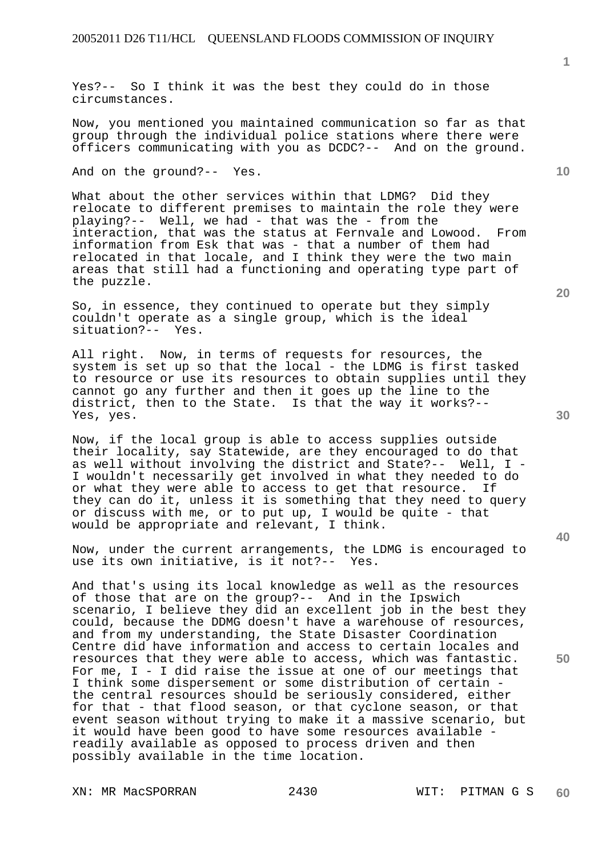Yes?-- So I think it was the best they could do in those circumstances.

Now, you mentioned you maintained communication so far as that group through the individual police stations where there were officers communicating with you as DCDC?-- And on the ground.

And on the ground?-- Yes.

What about the other services within that LDMG? Did they relocate to different premises to maintain the role they were playing?-- Well, we had - that was the - from the interaction, that was the status at Fernvale and Lowood. From information from Esk that was - that a number of them had relocated in that locale, and I think they were the two main areas that still had a functioning and operating type part of the puzzle.

So, in essence, they continued to operate but they simply couldn't operate as a single group, which is the ideal situation?-- Yes.

All right. Now, in terms of requests for resources, the system is set up so that the local - the LDMG is first tasked to resource or use its resources to obtain supplies until they cannot go any further and then it goes up the line to the district, then to the State. Is that the way it works?-- Yes, yes.

Now, if the local group is able to access supplies outside their locality, say Statewide, are they encouraged to do that as well without involving the district and State?-- Well, I - I wouldn't necessarily get involved in what they needed to do or what they were able to access to get that resource. If they can do it, unless it is something that they need to query or discuss with me, or to put up, I would be quite - that would be appropriate and relevant, I think.

Now, under the current arrangements, the LDMG is encouraged to use its own initiative, is it not?-- Yes.

And that's using its local knowledge as well as the resources of those that are on the group?-- And in the Ipswich scenario, I believe they did an excellent job in the best they could, because the DDMG doesn't have a warehouse of resources, and from my understanding, the State Disaster Coordination Centre did have information and access to certain locales and resources that they were able to access, which was fantastic. For me,  $I - I$  did raise the issue at one of our meetings that I think some dispersement or some distribution of certain the central resources should be seriously considered, either for that - that flood season, or that cyclone season, or that event season without trying to make it a massive scenario, but it would have been good to have some resources available readily available as opposed to process driven and then possibly available in the time location.

XN: MR MacSPORRAN 2430 WIT: PITMAN G S

**20** 

**40** 

**50** 

**30** 

**10**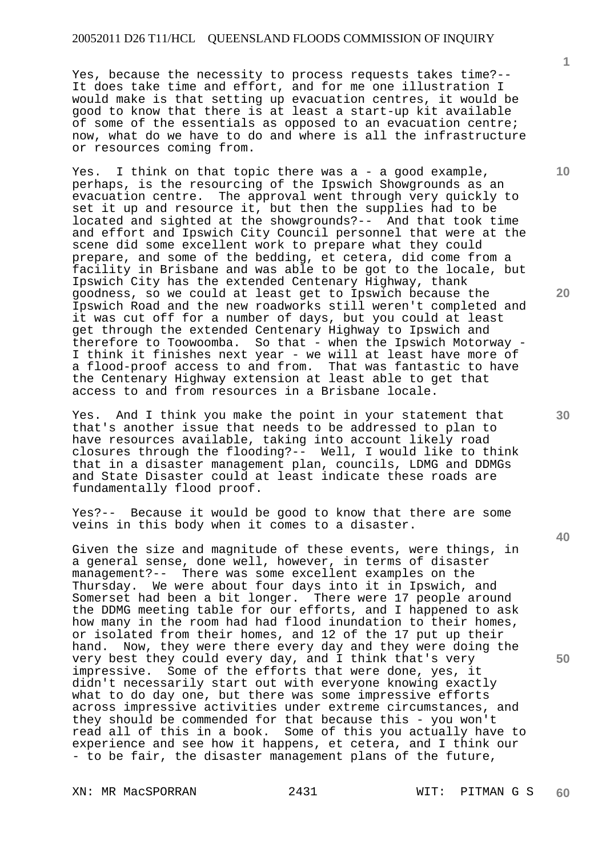#### 20052011 D26 T11/HCL QUEENSLAND FLOODS COMMISSION OF INQUIRY

Yes, because the necessity to process requests takes time?-- It does take time and effort, and for me one illustration I would make is that setting up evacuation centres, it would be good to know that there is at least a start-up kit available of some of the essentials as opposed to an evacuation centre; now, what do we have to do and where is all the infrastructure or resources coming from.

Yes. I think on that topic there was a - a good example, perhaps, is the resourcing of the Ipswich Showgrounds as an evacuation centre. The approval went through very quickly to set it up and resource it, but then the supplies had to be located and sighted at the showgrounds?-- And that took time and effort and Ipswich City Council personnel that were at the scene did some excellent work to prepare what they could prepare, and some of the bedding, et cetera, did come from a facility in Brisbane and was able to be got to the locale, but Ipswich City has the extended Centenary Highway, thank goodness, so we could at least get to Ipswich because the Ipswich Road and the new roadworks still weren't completed and it was cut off for a number of days, but you could at least get through the extended Centenary Highway to Ipswich and therefore to Toowoomba. So that - when the Ipswich Motorway -I think it finishes next year - we will at least have more of a flood-proof access to and from. That was fantastic to have the Centenary Highway extension at least able to get that access to and from resources in a Brisbane locale.

Yes. And I think you make the point in your statement that that's another issue that needs to be addressed to plan to have resources available, taking into account likely road closures through the flooding?-- Well, I would like to think that in a disaster management plan, councils, LDMG and DDMGs and State Disaster could at least indicate these roads are fundamentally flood proof.

Yes?-- Because it would be good to know that there are some veins in this body when it comes to a disaster.

Given the size and magnitude of these events, were things, in a general sense, done well, however, in terms of disaster management?-- There was some excellent examples on the Thursday. We were about four days into it in Ipswich, and Somerset had been a bit longer. There were 17 people around the DDMG meeting table for our efforts, and I happened to ask how many in the room had had flood inundation to their homes, or isolated from their homes, and 12 of the 17 put up their hand. Now, they were there every day and they were doing the very best they could every day, and I think that's very impressive. Some of the efforts that were done, yes, it didn't necessarily start out with everyone knowing exactly what to do day one, but there was some impressive efforts across impressive activities under extreme circumstances, and they should be commended for that because this - you won't read all of this in a book. Some of this you actually have to experience and see how it happens, et cetera, and I think our - to be fair, the disaster management plans of the future,

XN: MR MacSPORRAN 2431 WIT: PITMAN G S

**10** 

**1**

**20** 

**30** 

**40**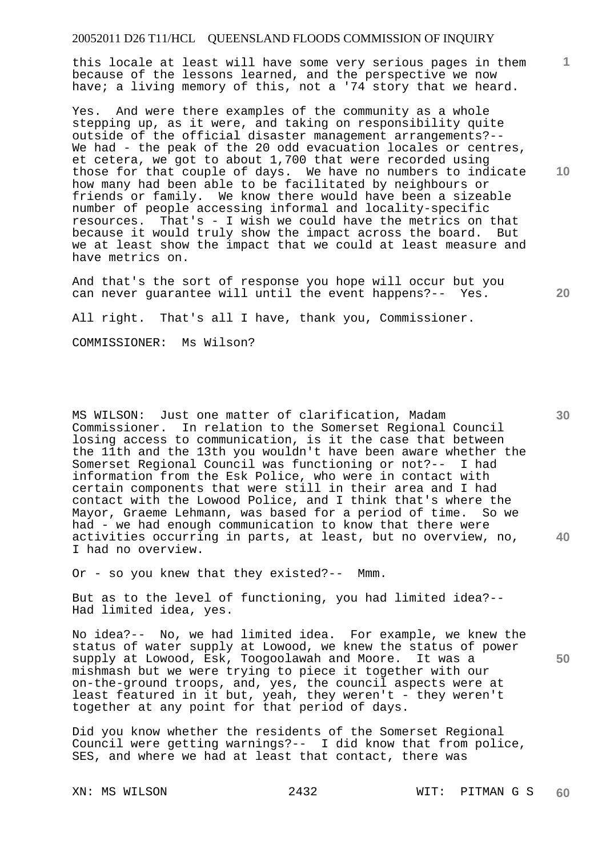# 20052011 D26 T11/HCL QUEENSLAND FLOODS COMMISSION OF INQUIRY

this locale at least will have some very serious pages in them because of the lessons learned, and the perspective we now have; a living memory of this, not a '74 story that we heard.

Yes. And were there examples of the community as a whole stepping up, as it were, and taking on responsibility quite outside of the official disaster management arrangements?-- We had - the peak of the 20 odd evacuation locales or centres, et cetera, we got to about 1,700 that were recorded using those for that couple of days. We have no numbers to indicate how many had been able to be facilitated by neighbours or friends or family. We know there would have been a sizeable number of people accessing informal and locality-specific resources. That's - I wish we could have the metrics on that because it would truly show the impact across the board. But we at least show the impact that we could at least measure and have metrics on.

And that's the sort of response you hope will occur but you can never guarantee will until the event happens?-- Yes.

All right. That's all I have, thank you, Commissioner.

COMMISSIONER: Ms Wilson?

**40**  MS WILSON: Just one matter of clarification, Madam Commissioner. In relation to the Somerset Regional Council losing access to communication, is it the case that between the 11th and the 13th you wouldn't have been aware whether the Somerset Regional Council was functioning or not?-- I had information from the Esk Police, who were in contact with certain components that were still in their area and I had contact with the Lowood Police, and I think that's where the Mayor, Graeme Lehmann, was based for a period of time. So we had - we had enough communication to know that there were activities occurring in parts, at least, but no overview, no, I had no overview.

Or - so you knew that they existed?-- Mmm.

But as to the level of functioning, you had limited idea?-- Had limited idea, yes.

No idea?-- No, we had limited idea. For example, we knew the status of water supply at Lowood, we knew the status of power supply at Lowood, Esk, Toogoolawah and Moore. It was a mishmash but we were trying to piece it together with our on-the-ground troops, and, yes, the council aspects were at least featured in it but, yeah, they weren't - they weren't together at any point for that period of days.

Did you know whether the residents of the Somerset Regional Council were getting warnings?-- I did know that from police, SES, and where we had at least that contact, there was

**10** 

**20** 

**1**

**30**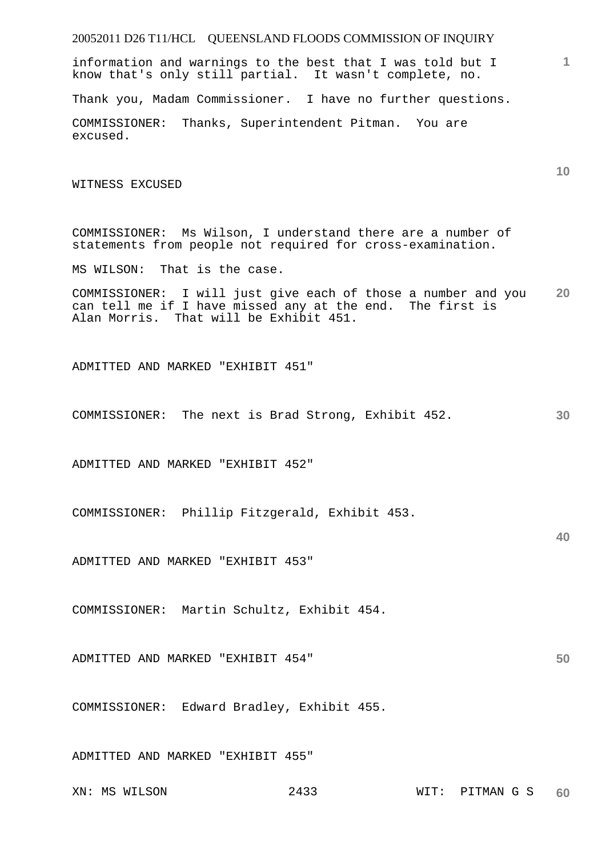# 20052011 D26 T11/HCL QUEENSLAND FLOODS COMMISSION OF INQUIRY

information and warnings to the best that I was told but I know that's only still partial. It wasn't complete, no.

Thank you, Madam Commissioner. I have no further questions.

COMMISSIONER: Thanks, Superintendent Pitman. You are excused.

WITNESS EXCUSED

COMMISSIONER: Ms Wilson, I understand there are a number of statements from people not required for cross-examination.

MS WILSON: That is the case.

**20**  COMMISSIONER: I will just give each of those a number and you can tell me if I have missed any at the end. The first is Alan Morris. That will be Exhibit 451.

ADMITTED AND MARKED "EXHIBIT 451"

**30**  COMMISSIONER: The next is Brad Strong, Exhibit 452.

ADMITTED AND MARKED "EXHIBIT 452"

COMMISSIONER: Phillip Fitzgerald, Exhibit 453.

**40** 

**1**

**10** 

ADMITTED AND MARKED "EXHIBIT 453"

COMMISSIONER: Martin Schultz, Exhibit 454.

**50**  ADMITTED AND MARKED "EXHIBIT 454"

COMMISSIONER: Edward Bradley, Exhibit 455.

ADMITTED AND MARKED "EXHIBIT 455"